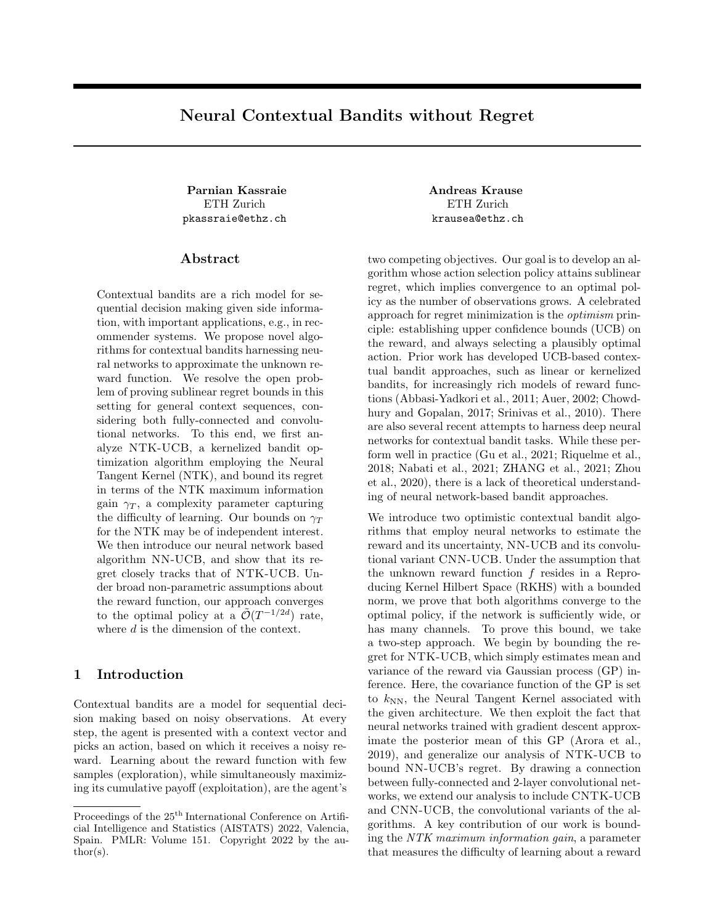# Neural Contextual Bandits without Regret

ETH Zurich pkassraie@ethz.ch

## ${\rm Abstract}$

Contextual bandits are a rich model for sequential decision making given side information, with important applications, e.g., in recommender systems. We propose novel algorithms for contextual bandits harnessing neural networks to approximate the unknown reward function. We resolve the open problem of proving sublinear regret bounds in this setting for general context sequences, considering both fully-connected and convolutional networks. To this end, we first analyze NTK-UCB, a kernelized bandit optimization algorithm employing the Neural Tangent Kernel (NTK), and bound its regret in terms of the NTK maximum information gain  $\gamma_T$ , a complexity parameter capturing the difficulty of learning. Our bounds on  $\gamma_T$ for the NTK may be of independent interest. We then introduce our neural network based algorithm NN-UCB, and show that its regret closely tracks that of NTK-UCB. Under broad non-parametric assumptions about the reward function, our approach converges to the optimal policy at a  $\tilde{\mathcal{O}}(T^{-1/2d})$  rate, where  $d$  is the dimension of the context.

# 1 Introduction

Contextual bandits are a model for sequential decision making based on noisy observations. At every step, the agent is presented with a context vector and picks an action, based on which it receives a noisy reward. Learning about the reward function with few samples (exploration), while simultaneously maximizing its cumulative payoff (exploitation), are the agent's

Parnian Kassraie **Andreas Krause** ETH Zurich krausea@ethz.ch

> two competing objectives. Our goal is to develop an algorithm whose action selection policy attains sublinear regret, which implies convergence to an optimal policy as the number of observations grows. A celebrated approach for regret minimization is the optimism principle: establishing upper confidence bounds (UCB) on the reward, and always selecting a plausibly optimal action. Prior work has developed UCB-based contextual bandit approaches, such as linear or kernelized bandits, for increasingly rich models of reward functions (Abbasi-Yadkori et al., 2011; Auer, 2002; Chowdhury and Gopalan, 2017; Srinivas et al., 2010). There are also several recent attempts to harness deep neural networks for contextual bandit tasks. While these perform well in practice (Gu et al., 2021; Riquelme et al., 2018; Nabati et al., 2021; ZHANG et al., 2021; Zhou et al., 2020), there is a lack of theoretical understanding of neural network-based bandit approaches.

> We introduce two optimistic contextual bandit algorithms that employ neural networks to estimate the reward and its uncertainty, NN-UCB and its convolutional variant CNN-UCB. Under the assumption that the unknown reward function f resides in a Reproducing Kernel Hilbert Space (RKHS) with a bounded norm, we prove that both algorithms converge to the optimal policy, if the network is sufficiently wide, or has many channels. To prove this bound, we take a two-step approach. We begin by bounding the regret for NTK-UCB, which simply estimates mean and variance of the reward via Gaussian process (GP) inference. Here, the covariance function of the GP is set to  $k_{NN}$ , the Neural Tangent Kernel associated with the given architecture. We then exploit the fact that neural networks trained with gradient descent approximate the posterior mean of this GP (Arora et al., 2019), and generalize our analysis of NTK-UCB to bound NN-UCB's regret. By drawing a connection between fully-connected and 2-layer convolutional networks, we extend our analysis to include CNTK-UCB and CNN-UCB, the convolutional variants of the algorithms. A key contribution of our work is bounding the NTK maximum information gain, a parameter that measures the difficulty of learning about a reward

Proceedings of the  $25^{\text{th}}$  International Conference on Artificial Intelligence and Statistics (AISTATS) 2022, Valencia, Spain. PMLR: Volume 151. Copyright 2022 by the au- $\text{thor}(s)$ .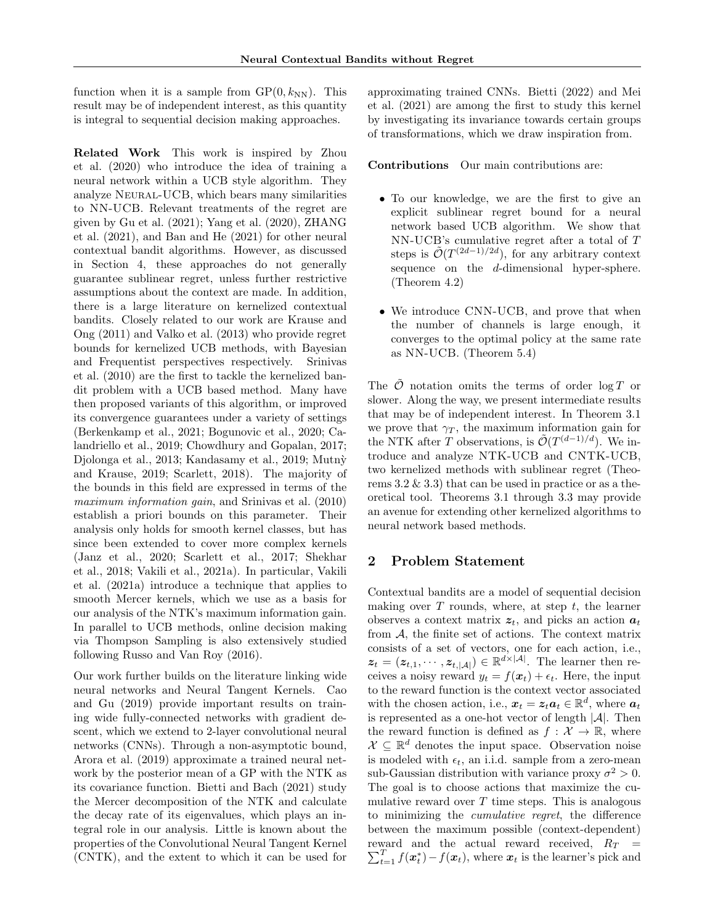function when it is a sample from  $\text{GP}(0, k_{NN})$ . This result may be of independent interest, as this quantity is integral to sequential decision making approaches.

Related Work This work is inspired by Zhou et al. (2020) who introduce the idea of training a neural network within a UCB style algorithm. They analyze Neural-UCB, which bears many similarities to NN-UCB. Relevant treatments of the regret are given by Gu et al. (2021); Yang et al. (2020), ZHANG et al. (2021), and Ban and He (2021) for other neural contextual bandit algorithms. However, as discussed in Section 4, these approaches do not generally guarantee sublinear regret, unless further restrictive assumptions about the context are made. In addition, there is a large literature on kernelized contextual bandits. Closely related to our work are Krause and Ong (2011) and Valko et al. (2013) who provide regret bounds for kernelized UCB methods, with Bayesian and Frequentist perspectives respectively. Srinivas et al. (2010) are the first to tackle the kernelized bandit problem with a UCB based method. Many have then proposed variants of this algorithm, or improved its convergence guarantees under a variety of settings (Berkenkamp et al., 2021; Bogunovic et al., 2020; Calandriello et al., 2019; Chowdhury and Gopalan, 2017; Djolonga et al., 2013; Kandasamy et al., 2019; Mutnỳ and Krause, 2019; Scarlett, 2018). The majority of the bounds in this field are expressed in terms of the maximum information gain, and Srinivas et al.  $(2010)$ establish a priori bounds on this parameter. Their analysis only holds for smooth kernel classes, but has since been extended to cover more complex kernels (Janz et al., 2020; Scarlett et al., 2017; Shekhar et al., 2018; Vakili et al., 2021a). In particular, Vakili et al. (2021a) introduce a technique that applies to smooth Mercer kernels, which we use as a basis for our analysis of the NTK's maximum information gain. In parallel to UCB methods, online decision making via Thompson Sampling is also extensively studied following Russo and Van Roy (2016).

Our work further builds on the literature linking wide neural networks and Neural Tangent Kernels. Cao and Gu (2019) provide important results on training wide fully-connected networks with gradient descent, which we extend to 2-layer convolutional neural networks (CNNs). Through a non-asymptotic bound, Arora et al. (2019) approximate a trained neural network by the posterior mean of a GP with the NTK as its covariance function. Bietti and Bach (2021) study the Mercer decomposition of the NTK and calculate the decay rate of its eigenvalues, which plays an integral role in our analysis. Little is known about the properties of the Convolutional Neural Tangent Kernel (CNTK), and the extent to which it can be used for

approximating trained CNNs. Bietti (2022) and Mei et al. (2021) are among the first to study this kernel by investigating its invariance towards certain groups of transformations, which we draw inspiration from.

Contributions Our main contributions are:

- To our knowledge, we are the first to give an explicit sublinear regret bound for a neural network based UCB algorithm. We show that NN-UCB's cumulative regret after a total of T steps is  $\tilde{\mathcal{O}}(T^{(2d-1)/2d})$ , for any arbitrary context sequence on the d-dimensional hyper-sphere. (Theorem 4.2)
- We introduce CNN-UCB, and prove that when the number of channels is large enough, it converges to the optimal policy at the same rate as NN-UCB. (Theorem 5.4)

The  $\tilde{\mathcal{O}}$  notation omits the terms of order log T or slower. Along the way, we present intermediate results that may be of independent interest. In Theorem 3.1 we prove that  $\gamma_T$ , the maximum information gain for the NTK after T observations, is  $\tilde{\mathcal{O}}(T^{(d-1)/d})$ . We introduce and analyze NTK-UCB and CNTK-UCB, two kernelized methods with sublinear regret (Theorems  $3.2 \& 3.3$  that can be used in practice or as a theoretical tool. Theorems 3.1 through 3.3 may provide an avenue for extending other kernelized algorithms to neural network based methods.

# 2 Problem Statement

Contextual bandits are a model of sequential decision making over  $T$  rounds, where, at step  $t$ , the learner observes a context matrix  $z_t$ , and picks an action  $a_t$ from A, the finite set of actions. The context matrix consists of a set of vectors, one for each action, i.e.,  $z_t = (z_{t,1}, \dots, z_{t,|\mathcal{A}|}) \in \mathbb{R}^{d \times |\mathcal{A}|}$ . The learner then receives a noisy reward  $y_t = f(\mathbf{x}_t) + \epsilon_t$ . Here, the input to the reward function is the context vector associated with the chosen action, i.e.,  $\boldsymbol{x}_t = \boldsymbol{z}_t \boldsymbol{a}_t \in \mathbb{R}^d$ , where  $\boldsymbol{a}_t$ is represented as a one-hot vector of length  $|\mathcal{A}|$ . Then the reward function is defined as  $f : \mathcal{X} \to \mathbb{R}$ , where  $\mathcal{X} \subseteq \mathbb{R}^d$  denotes the input space. Observation noise is modeled with  $\epsilon_t$ , an i.i.d. sample from a zero-mean sub-Gaussian distribution with variance proxy  $\sigma^2 > 0$ . The goal is to choose actions that maximize the cumulative reward over  $T$  time steps. This is analogous to minimizing the cumulative regret, the difference between the maximum possible (context-dependent)  $\sum_{t=1}^{T} f(x_t^*) - f(x_t)$ , where  $x_t$  is the learner's pick and reward and the actual reward received,  $R_T =$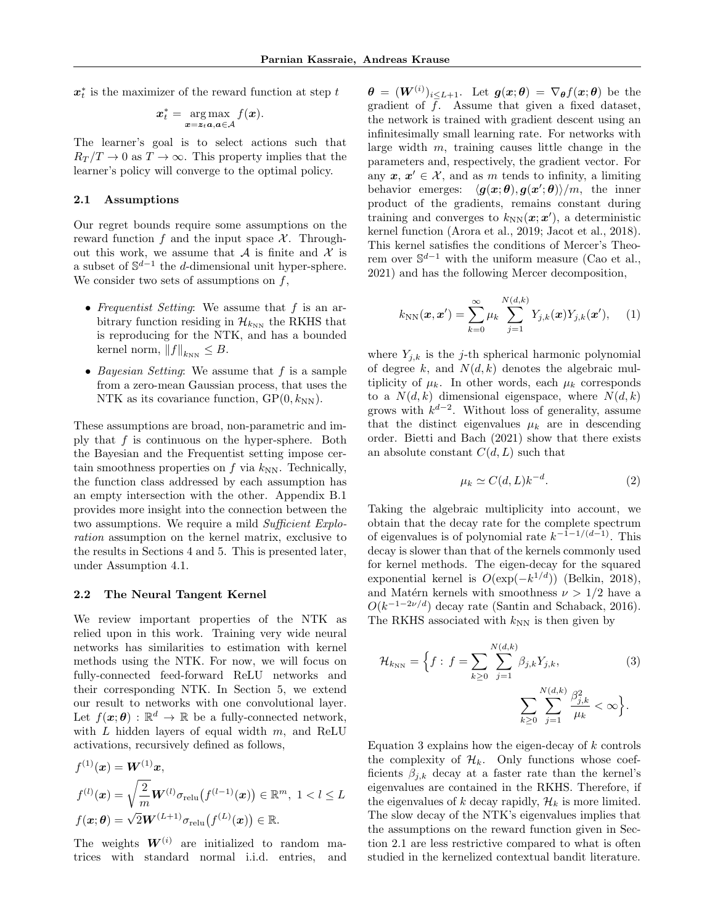$\boldsymbol{x}_t^*$  is the maximizer of the reward function at step  $t$ 

$$
\boldsymbol{x}_t^* = \argmax_{\boldsymbol{x} = \boldsymbol{z}_t \boldsymbol{a}, \boldsymbol{a} \in \mathcal{A}} f(\boldsymbol{x}).
$$

The learner's goal is to select actions such that  $R_T/T \to 0$  as  $T \to \infty$ . This property implies that the learner's policy will converge to the optimal policy.

### 2.1 Assumptions

Our regret bounds require some assumptions on the reward function f and the input space  $\mathcal{X}$ . Throughout this work, we assume that  $A$  is finite and  $X$  is a subset of  $\mathbb{S}^{d-1}$  the d-dimensional unit hyper-sphere. We consider two sets of assumptions on  $f$ ,

- Frequentist Setting: We assume that  $f$  is an arbitrary function residing in  $\mathcal{H}_{k_{NN}}$  the RKHS that is reproducing for the NTK, and has a bounded kernel norm,  $||f||_{k_{NN}} \leq B$ .
- Bayesian Setting: We assume that  $f$  is a sample from a zero-mean Gaussian process, that uses the NTK as its covariance function,  $\text{GP}(0, k_{\text{NN}})$ .

These assumptions are broad, non-parametric and imply that f is continuous on the hyper-sphere. Both the Bayesian and the Frequentist setting impose certain smoothness properties on  $f$  via  $k_{NN}$ . Technically, the function class addressed by each assumption has an empty intersection with the other. Appendix B.1 provides more insight into the connection between the two assumptions. We require a mild Sufficient Exploration assumption on the kernel matrix, exclusive to the results in Sections 4 and 5. This is presented later, under Assumption 4.1.

### 2.2 The Neural Tangent Kernel

We review important properties of the NTK as relied upon in this work. Training very wide neural networks has similarities to estimation with kernel methods using the NTK. For now, we will focus on fully-connected feed-forward ReLU networks and their corresponding NTK. In Section 5, we extend our result to networks with one convolutional layer. Let  $f(\boldsymbol{x}; \boldsymbol{\theta}) : \mathbb{R}^d \to \mathbb{R}$  be a fully-connected network, with  $L$  hidden layers of equal width  $m$ , and ReLU activations, recursively defined as follows,

$$
f^{(1)}(\boldsymbol{x}) = \boldsymbol{W}^{(1)}\boldsymbol{x},
$$
  
\n
$$
f^{(l)}(\boldsymbol{x}) = \sqrt{\frac{2}{m}} \boldsymbol{W}^{(l)} \sigma_{\text{relu}}(f^{(l-1)}(\boldsymbol{x})) \in \mathbb{R}^m, \ 1 < l \leq L
$$
  
\n
$$
f(\boldsymbol{x}; \boldsymbol{\theta}) = \sqrt{2} \boldsymbol{W}^{(L+1)} \sigma_{\text{relu}}(f^{(L)}(\boldsymbol{x})) \in \mathbb{R}.
$$

The weights  $W^{(i)}$  are initialized to random matrices with standard normal i.i.d. entries, and

 $\bm{\theta}$  =  $(\bm{W}^{(i)})_{i\leq L+1}$ . Let  $\bm{g}(\bm{x};\bm{\theta})$  =  $\nabla_{\bm{\theta}}f(\bm{x};\bm{\theta})$  be the gradient of f. Assume that given a fixed dataset, the network is trained with gradient descent using an infinitesimally small learning rate. For networks with large width  $m$ , training causes little change in the parameters and, respectively, the gradient vector. For any  $x, x' \in \mathcal{X}$ , and as m tends to infinity, a limiting behavior emerges:  $\langle g(x; \theta), g(x'; \theta) \rangle/m$ , the inner product of the gradients, remains constant during training and converges to  $k_{NN}(\boldsymbol{x}; \boldsymbol{x}')$ , a deterministic kernel function (Arora et al., 2019; Jacot et al., 2018). This kernel satisfies the conditions of Mercer's Theorem over  $\mathbb{S}^{d-1}$  with the uniform measure (Cao et al., 2021) and has the following Mercer decomposition,

$$
k_{NN}(\boldsymbol{x}, \boldsymbol{x}') = \sum_{k=0}^{\infty} \mu_k \sum_{j=1}^{N(d,k)} Y_{j,k}(\boldsymbol{x}) Y_{j,k}(\boldsymbol{x}'), \quad (1)
$$

where  $Y_{j,k}$  is the j-th spherical harmonic polynomial of degree k, and  $N(d, k)$  denotes the algebraic multiplicity of  $\mu_k$ . In other words, each  $\mu_k$  corresponds to a  $N(d, k)$  dimensional eigenspace, where  $N(d, k)$ grows with  $k^{d-2}$ . Without loss of generality, assume that the distinct eigenvalues  $\mu_k$  are in descending order. Bietti and Bach (2021) show that there exists an absolute constant  $C(d, L)$  such that

$$
\mu_k \simeq C(d, L)k^{-d}.\tag{2}
$$

Taking the algebraic multiplicity into account, we obtain that the decay rate for the complete spectrum of eigenvalues is of polynomial rate  $k^{-1-1/(d-1)}$ . This decay is slower than that of the kernels commonly used for kernel methods. The eigen-decay for the squared exponential kernel is  $O(\exp(-k^{1/d}))$  (Belkin, 2018), and Matérn kernels with smoothness  $\nu > 1/2$  have a  $O(k^{-1-2\nu/d})$  decay rate (Santin and Schaback, 2016). The RKHS associated with  $k_{NN}$  is then given by

$$
\mathcal{H}_{k_{\rm NN}} = \left\{ f : f = \sum_{k \ge 0} \sum_{j=1}^{N(d,k)} \beta_{j,k} Y_{j,k}, \sum_{k \ge 0} \sum_{j=1}^{N(d,k)} \frac{\beta_{j,k}^2}{\mu_k} < \infty \right\}.
$$
\n(3)

Equation 3 explains how the eigen-decay of  $k$  controls the complexity of  $\mathcal{H}_k$ . Only functions whose coefficients  $\beta_{i,k}$  decay at a faster rate than the kernel's eigenvalues are contained in the RKHS. Therefore, if the eigenvalues of k decay rapidly,  $\mathcal{H}_k$  is more limited. The slow decay of the NTK's eigenvalues implies that the assumptions on the reward function given in Section 2.1 are less restrictive compared to what is often studied in the kernelized contextual bandit literature.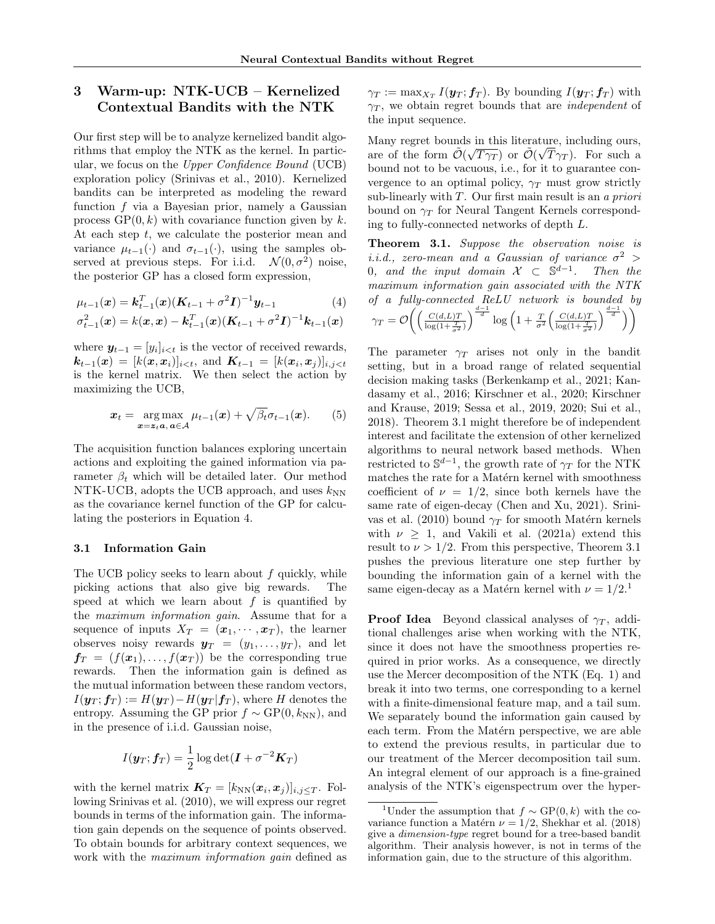# 3 Warm-up: NTK-UCB – Kernelized Contextual Bandits with the NTK

Our first step will be to analyze kernelized bandit algorithms that employ the NTK as the kernel. In particular, we focus on the Upper Confidence Bound (UCB) exploration policy (Srinivas et al., 2010). Kernelized bandits can be interpreted as modeling the reward function  $f$  via a Bayesian prior, namely a Gaussian process  $\text{GP}(0, k)$  with covariance function given by k. At each step  $t$ , we calculate the posterior mean and variance  $\mu_{t-1}(\cdot)$  and  $\sigma_{t-1}(\cdot)$ , using the samples observed at previous steps. For i.i.d.  $\mathcal{N}(0, \sigma^2)$  noise, the posterior GP has a closed form expression,

$$
\mu_{t-1}(\mathbf{x}) = \mathbf{k}_{t-1}^T(\mathbf{x}) (\mathbf{K}_{t-1} + \sigma^2 \mathbf{I})^{-1} \mathbf{y}_{t-1} \tag{4}
$$

$$
\sigma_{t-1}^2(\mathbf{x}) = k(\mathbf{x}, \mathbf{x}) - \mathbf{k}_{t-1}^T(\mathbf{x}) (\mathbf{K}_{t-1} + \sigma^2 \mathbf{I})^{-1} \mathbf{k}_{t-1}(\mathbf{x})
$$

where  $y_{t-1} = [y_i]_{i \leq t}$  is the vector of received rewards,  $\bm{k}_{t-1}(\bm{x})\, =\, [k(\bm{x},\bm{x}_i)]_{i < t}, \text{ and } \bm{K}_{t-1}\, =\, [k(\bm{x}_i,\bm{x}_j)]_{i,j < t}$ is the kernel matrix. We then select the action by maximizing the UCB,

$$
\boldsymbol{x}_t = \underset{\boldsymbol{x} = \boldsymbol{z}_t \boldsymbol{a}, \, \boldsymbol{a} \in \mathcal{A}}{\arg \max} \mu_{t-1}(\boldsymbol{x}) + \sqrt{\beta_t} \sigma_{t-1}(\boldsymbol{x}). \qquad (5)
$$

The acquisition function balances exploring uncertain actions and exploiting the gained information via parameter  $\beta_t$  which will be detailed later. Our method NTK-UCB, adopts the UCB approach, and uses  $k_{NN}$ as the covariance kernel function of the GP for calculating the posteriors in Equation 4.

## 3.1 Information Gain

The UCB policy seeks to learn about  $f$  quickly, while picking actions that also give big rewards. The speed at which we learn about  $f$  is quantified by the maximum information gain. Assume that for a sequence of inputs  $X_T = (\mathbf{x}_1, \cdots, \mathbf{x}_T)$ , the learner observes noisy rewards  $y_T = (y_1, \ldots, y_T)$ , and let  $f_T = (f(\boldsymbol{x}_1), \dots, f(\boldsymbol{x}_T))$  be the corresponding true rewards. Then the information gain is defined as the mutual information between these random vectors,  $I(\mathbf{y}_T; \mathbf{f}_T) := H(\mathbf{y}_T) - H(\mathbf{y}_T | \mathbf{f}_T)$ , where H denotes the entropy. Assuming the GP prior  $f \sim GP(0, k_{NN})$ , and in the presence of i.i.d. Gaussian noise,

$$
I(\boldsymbol{y}_T; \boldsymbol{f}_T) = \frac{1}{2} \log \det(\boldsymbol{I} + \sigma^{-2} \boldsymbol{K}_T)
$$

with the kernel matrix  $\mathbf{K}_T = [k_{NN}(\boldsymbol{x}_i, \boldsymbol{x}_j)]_{i,j \leq T}$ . Following Srinivas et al. (2010), we will express our regret bounds in terms of the information gain. The information gain depends on the sequence of points observed. To obtain bounds for arbitrary context sequences, we work with the *maximum information gain* defined as

 $\gamma_T := \max_{X_T} I(\boldsymbol{y}_T; \boldsymbol{f}_T)$ . By bounding  $I(\boldsymbol{y}_T; \boldsymbol{f}_T)$  with  $\gamma_T$ , we obtain regret bounds that are *independent* of the input sequence.

Many regret bounds in this literature, including ours, are of the form  $\tilde{\mathcal{O}}(\sqrt{T\gamma_T})$  or  $\tilde{\mathcal{O}}(\sqrt{T}\gamma_T)$ . For such a bound not to be vacuous, i.e., for it to guarantee convergence to an optimal policy,  $\gamma_T$  must grow strictly sub-linearly with  $T$ . Our first main result is an a priori bound on  $\gamma_T$  for Neural Tangent Kernels corresponding to fully-connected networks of depth L.

Theorem 3.1. Suppose the observation noise is i.i.d., zero-mean and a Gaussian of variance  $\sigma^2$  > 0, and the input domain  $\mathcal{X} \subset \mathbb{S}^{d-1}$ . Then the maximum information gain associated with the NTK of a fully-connected ReLU network is bounded by  $\gamma_T = \mathcal{O}\Biggl(\Bigl(\frac{C(d,L)T}{\log\left(1+\frac{T}{\sigma^2}\right)}\Bigr)^{\frac{d-1}{d}}\log\Big(1+\frac{T}{\sigma^2}\Bigl(\frac{C(d,L)T}{\log(1+\frac{T}{\sigma^2})}\Bigr)^{\frac{d-1}{d}}\Biggr)\Biggr)$ 

The parameter  $\gamma_T$  arises not only in the bandit setting, but in a broad range of related sequential decision making tasks (Berkenkamp et al., 2021; Kandasamy et al., 2016; Kirschner et al., 2020; Kirschner and Krause, 2019; Sessa et al., 2019, 2020; Sui et al., 2018). Theorem 3.1 might therefore be of independent interest and facilitate the extension of other kernelized algorithms to neural network based methods. When restricted to  $\mathbb{S}^{d-1}$ , the growth rate of  $\gamma_T$  for the NTK matches the rate for a Matérn kernel with smoothness coefficient of  $\nu = 1/2$ , since both kernels have the same rate of eigen-decay (Chen and Xu, 2021). Srinivas et al. (2010) bound  $\gamma_T$  for smooth Matérn kernels with  $\nu \geq 1$ , and Vakili et al. (2021a) extend this result to  $\nu > 1/2$ . From this perspective, Theorem 3.1 pushes the previous literature one step further by bounding the information gain of a kernel with the same eigen-decay as a Matérn kernel with  $\nu = 1/2$ .<sup>1</sup>

**Proof Idea** Beyond classical analyses of  $\gamma_T$ , additional challenges arise when working with the NTK, since it does not have the smoothness properties required in prior works. As a consequence, we directly use the Mercer decomposition of the NTK (Eq. 1) and break it into two terms, one corresponding to a kernel with a finite-dimensional feature map, and a tail sum. We separately bound the information gain caused by each term. From the Matérn perspective, we are able to extend the previous results, in particular due to our treatment of the Mercer decomposition tail sum. An integral element of our approach is a fine-grained analysis of the NTK's eigenspectrum over the hyper-

<sup>&</sup>lt;sup>1</sup>Under the assumption that  $f \sim GP(0, k)$  with the covariance function a Matérn  $\nu = 1/2$ , Shekhar et al. (2018) give a dimension-type regret bound for a tree-based bandit algorithm. Their analysis however, is not in terms of the information gain, due to the structure of this algorithm.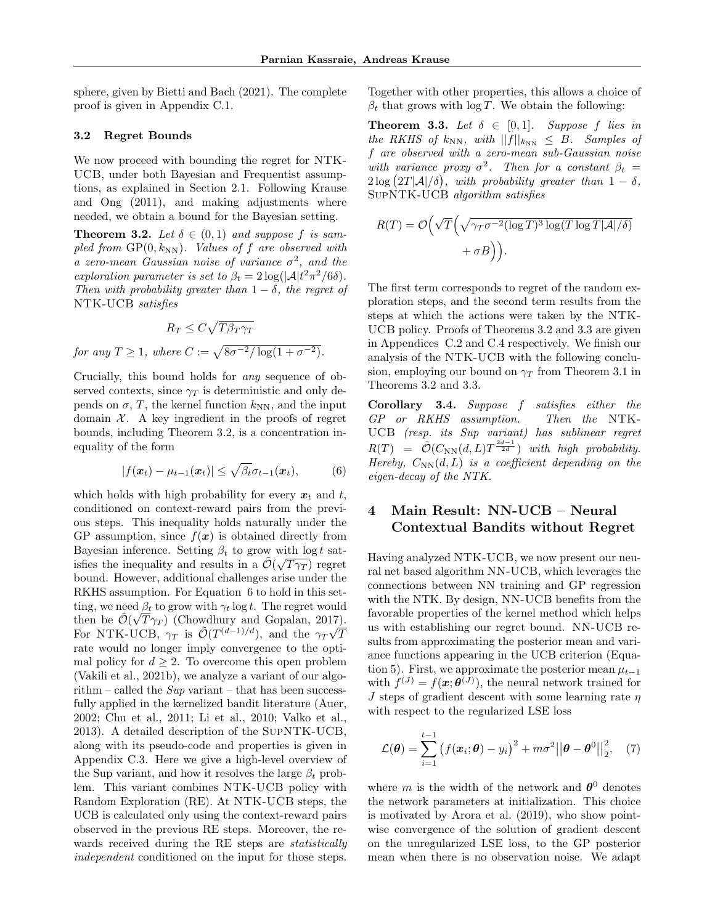sphere, given by Bietti and Bach (2021). The complete proof is given in Appendix C.1.

### 3.2 Regret Bounds

We now proceed with bounding the regret for NTK-UCB, under both Bayesian and Frequentist assumptions, as explained in Section 2.1. Following Krause and Ong (2011), and making adjustments where needed, we obtain a bound for the Bayesian setting.

**Theorem 3.2.** Let  $\delta \in (0,1)$  and suppose f is sampled from  $\text{GP}(0, k_{\text{NN}})$ . Values of f are observed with a zero-mean Gaussian noise of variance  $\sigma^2$ , and the exploration parameter is set to  $\beta_t = 2 \log(|\mathcal{A}| t^2 \pi^2/6\delta)$ . Then with probability greater than  $1 - \delta$ , the regret of NTK-UCB satisfies

$$
R_T \le C\sqrt{T\beta_T\gamma_T}
$$
  
for any  $T \ge 1$ , where  $C := \sqrt{8\sigma^{-2}/\log(1 + \sigma^{-2})}$ .

Crucially, this bound holds for any sequence of observed contexts, since  $\gamma_T$  is deterministic and only depends on  $\sigma$ , T, the kernel function  $k_{NN}$ , and the input domain  $X$ . A key ingredient in the proofs of regret bounds, including Theorem 3.2, is a concentration inequality of the form

$$
|f(\boldsymbol{x}_t) - \mu_{t-1}(\boldsymbol{x}_t)| \leq \sqrt{\beta_t} \sigma_{t-1}(\boldsymbol{x}_t), \quad (6)
$$

which holds with high probability for every  $x_t$  and t, conditioned on context-reward pairs from the previous steps. This inequality holds naturally under the GP assumption, since  $f(x)$  is obtained directly from Bayesian inference. Setting  $\beta_t$  to grow with  $\log t$  satisfies the inequality and results in a  $\tilde{\mathcal{O}}(\sqrt{T\gamma_T})$  regret bound. However, additional challenges arise under the RKHS assumption. For Equation 6 to hold in this setting, we need  $\beta_t$  to grow with  $\gamma_t \log t$ . The regret would then be  $\tilde{\mathcal{O}}(\sqrt{T}\gamma_T)$  (Chowdhury and Gopalan, 2017). then be  $\mathcal{O}(\sqrt{I}\gamma_T)$  (Chowdnury and Gopalan, 2017)<br>For NTK-UCB,  $\gamma_T$  is  $\mathcal{O}(T^{(d-1)/d})$ , and the  $\gamma_T\sqrt{I}$ T rate would no longer imply convergence to the optimal policy for  $d > 2$ . To overcome this open problem (Vakili et al., 2021b), we analyze a variant of our algorithm – called the  $Sup$  variant – that has been successfully applied in the kernelized bandit literature (Auer, 2002; Chu et al., 2011; Li et al., 2010; Valko et al., 2013). A detailed description of the SupNTK-UCB, along with its pseudo-code and properties is given in Appendix C.3. Here we give a high-level overview of the Sup variant, and how it resolves the large  $\beta_t$  problem. This variant combines NTK-UCB policy with Random Exploration (RE). At NTK-UCB steps, the UCB is calculated only using the context-reward pairs observed in the previous RE steps. Moreover, the rewards received during the RE steps are *statistically* independent conditioned on the input for those steps. Together with other properties, this allows a choice of  $\beta_t$  that grows with log T. We obtain the following:

**Theorem 3.3.** Let  $\delta \in [0,1]$ . Suppose f lies in the RKHS of  $k_{NN}$ , with  $||f||_{k_{NN}} \leq B$ . Samples of f are observed with a zero-mean sub-Gaussian noise with variance proxy  $\sigma^2$ . Then for a constant  $\beta_t =$  $2\log\left(2T|\mathcal{A}|/\delta\right)$ , with probability greater than  $1-\delta$ , SupNTK-UCB algorithm satisfies

$$
R(T) = \mathcal{O}\left(\sqrt{T}\left(\sqrt{\gamma_T \sigma^{-2} (\log T)^3 \log(T \log T |\mathcal{A}|/\delta)} + \sigma B\right)\right).
$$

The first term corresponds to regret of the random exploration steps, and the second term results from the steps at which the actions were taken by the NTK-UCB policy. Proofs of Theorems 3.2 and 3.3 are given in Appendices C.2 and C.4 respectively. We finish our analysis of the NTK-UCB with the following conclusion, employing our bound on  $\gamma_T$  from Theorem 3.1 in Theorems 3.2 and 3.3.

Corollary 3.4. Suppose f satisfies either the GP or RKHS assumption. Then the NTK-UCB (resp. its Sup variant) has sublinear regret  $R(T) = \tilde{\mathcal{O}}(C_{\text{NN}}(d,L)T^{\frac{2d-1}{2d}})$  with high probability. Hereby,  $C_{NN}(d, L)$  is a coefficient depending on the eigen-decay of the NTK.

# 4 Main Result: NN-UCB – Neural Contextual Bandits without Regret

Having analyzed NTK-UCB, we now present our neural net based algorithm NN-UCB, which leverages the connections between NN training and GP regression with the NTK. By design, NN-UCB benefits from the favorable properties of the kernel method which helps us with establishing our regret bound. NN-UCB results from approximating the posterior mean and variance functions appearing in the UCB criterion (Equation 5). First, we approximate the posterior mean  $\mu_{t-1}$ with  $f^{(J)} = f(\mathbf{x}; \boldsymbol{\theta}^{(J)})$ , the neural network trained for  $J$  steps of gradient descent with some learning rate  $\eta$ with respect to the regularized LSE loss

$$
\mathcal{L}(\boldsymbol{\theta}) = \sum_{i=1}^{t-1} (f(\boldsymbol{x}_i; \boldsymbol{\theta}) - y_i)^2 + m\sigma^2 ||\boldsymbol{\theta} - \boldsymbol{\theta}^0||_2^2, \quad (7)
$$

where m is the width of the network and  $\theta^0$  denotes the network parameters at initialization. This choice is motivated by Arora et al. (2019), who show pointwise convergence of the solution of gradient descent on the unregularized LSE loss, to the GP posterior mean when there is no observation noise. We adapt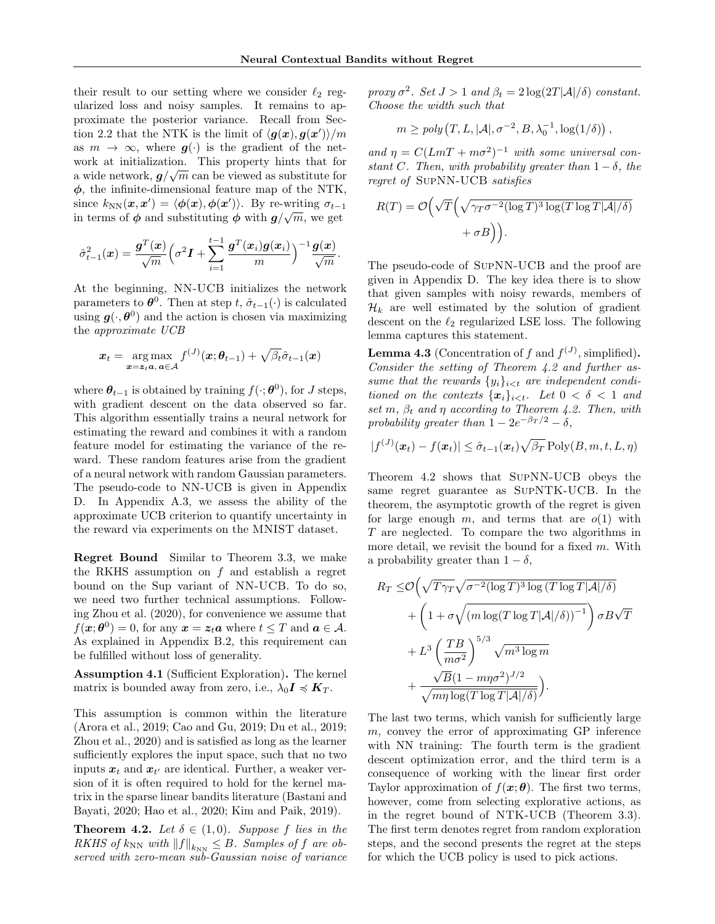their result to our setting where we consider  $\ell_2$  regularized loss and noisy samples. It remains to approximate the posterior variance. Recall from Section 2.2 that the NTK is the limit of  $\langle g(x), g(x') \rangle / m$ as  $m \to \infty$ , where  $g(\cdot)$  is the gradient of the network at initialization. This property hints that for a wide network,  $g/\sqrt{m}$  can be viewed as substitute for  $\phi$ , the infinite-dimensional feature map of the NTK, since  $k_{NN}(\boldsymbol{x}, \boldsymbol{x}') = \langle \boldsymbol{\phi}(\boldsymbol{x}), \boldsymbol{\phi}(\boldsymbol{x}') \rangle$ . By re-writing  $\sigma_{t-1}$ in terms of  $\phi$  and substituting  $\phi$  with  $g/\sqrt{m}$ , we get

$$
\hat{\sigma}_{t-1}^2(\boldsymbol{x}) = \frac{\boldsymbol{g}^T(\boldsymbol{x})}{\sqrt{m}} \left( \sigma^2 \boldsymbol{I} + \sum_{i=1}^{t-1} \frac{\boldsymbol{g}^T(\boldsymbol{x}_i) \boldsymbol{g}(\boldsymbol{x}_i)}{m} \right)^{-1} \frac{\boldsymbol{g}(\boldsymbol{x})}{\sqrt{m}}.
$$

At the beginning, NN-UCB initializes the network parameters to  $\boldsymbol{\theta}^0$ . Then at step t,  $\hat{\sigma}_{t-1}(\cdot)$  is calculated using  $g(\cdot, \theta^0)$  and the action is chosen via maximizing the approximate UCB

$$
\boldsymbol{x}_t = \underset{\boldsymbol{x} = \boldsymbol{z}_t \boldsymbol{a}, \, \boldsymbol{a} \in \mathcal{A}}{\arg \max} f^{(J)}(\boldsymbol{x}; \boldsymbol{\theta}_{t-1}) + \sqrt{\beta_t} \hat{\sigma}_{t-1}(\boldsymbol{x})
$$

where  $\theta_{t-1}$  is obtained by training  $f(\cdot; \theta^0)$ , for J steps, with gradient descent on the data observed so far. This algorithm essentially trains a neural network for estimating the reward and combines it with a random feature model for estimating the variance of the reward. These random features arise from the gradient of a neural network with random Gaussian parameters. The pseudo-code to NN-UCB is given in Appendix D. In Appendix A.3, we assess the ability of the approximate UCB criterion to quantify uncertainty in the reward via experiments on the MNIST dataset.

Regret Bound Similar to Theorem 3.3, we make the RKHS assumption on  $f$  and establish a regret bound on the Sup variant of NN-UCB. To do so, we need two further technical assumptions. Following Zhou et al. (2020), for convenience we assume that  $f(\boldsymbol{x}; \boldsymbol{\theta}^0) = 0$ , for any  $\boldsymbol{x} = \boldsymbol{z}_t \boldsymbol{a}$  where  $t \leq T$  and  $\boldsymbol{a} \in \mathcal{A}$ . As explained in Appendix B.2, this requirement can be fulfilled without loss of generality.

Assumption 4.1 (Sufficient Exploration). The kernel matrix is bounded away from zero, i.e.,  $\lambda_0 I \preccurlyeq K_T$ .

This assumption is common within the literature (Arora et al., 2019; Cao and Gu, 2019; Du et al., 2019; Zhou et al., 2020) and is satisfied as long as the learner sufficiently explores the input space, such that no two inputs  $x_t$  and  $x_{t'}$  are identical. Further, a weaker version of it is often required to hold for the kernel matrix in the sparse linear bandits literature (Bastani and Bayati, 2020; Hao et al., 2020; Kim and Paik, 2019).

**Theorem 4.2.** Let  $\delta \in (1,0)$ . Suppose f lies in the RKHS of  $k_{NN}$  with  $||f||_{k_{NN}} \leq B$ . Samples of f are observed with zero-mean sub-Gaussian noise of variance proxy  $\sigma^2$ . Set  $J > 1$  and  $\beta_t = 2 \log(2T|\mathcal{A}|/\delta)$  constant. Choose the width such that

$$
m \geq poly(T, L, |\mathcal{A}|, \sigma^{-2}, B, \lambda_0^{-1}, \log(1/\delta)),
$$

and  $\eta = C(LmT + m\sigma^2)^{-1}$  with some universal constant C. Then, with probability greater than  $1 - \delta$ , the regret of SupNN-UCB satisfies

$$
R(T) = \mathcal{O}\left(\sqrt{T}\left(\sqrt{\gamma_T \sigma^{-2} (\log T)^3 \log(T \log T |\mathcal{A}|/\delta)} + \sigma B\right)\right).
$$

The pseudo-code of SupNN-UCB and the proof are given in Appendix D. The key idea there is to show that given samples with noisy rewards, members of  $\mathcal{H}_k$  are well estimated by the solution of gradient descent on the  $\ell_2$  regularized LSE loss. The following lemma captures this statement.

**Lemma 4.3** (Concentration of f and  $f^{(J)}$ , simplified). Consider the setting of Theorem 4.2 and further assume that the rewards  $\{y_i\}_{i \leq t}$  are independent conditioned on the contexts  $\{x_i\}_{i \leq t}$ . Let  $0 < \delta < 1$  and set m,  $\beta_t$  and  $\eta$  according to Theorem 4.2. Then, with probability greater than  $1 - 2e^{-\beta T/2} - \delta$ ,

$$
|f^{(J)}(\boldsymbol{x}_t) - f(\boldsymbol{x}_t)| \leq \hat{\sigma}_{t-1}(\boldsymbol{x}_t) \sqrt{\beta_T} \operatorname{Poly}(B, m, t, L, \eta)
$$

Theorem 4.2 shows that SupNN-UCB obeys the same regret guarantee as SupNTK-UCB. In the theorem, the asymptotic growth of the regret is given for large enough m, and terms that are  $o(1)$  with T are neglected. To compare the two algorithms in more detail, we revisit the bound for a fixed  $m$ . With a probability greater than  $1 - \delta$ ,

$$
R_T \leq \mathcal{O}\left(\sqrt{T\gamma_T}\sqrt{\sigma^{-2}(\log T)^3 \log (T \log T |\mathcal{A}|/\delta)} + \left(1 + \sigma\sqrt{\left(m\log(T \log T |\mathcal{A}|/\delta)\right)^{-1}}\right)\sigma B\sqrt{T} + L^3 \left(\frac{T B}{m\sigma^2}\right)^{5/3} \sqrt{m^3 \log m} + \frac{\sqrt{B}(1 - m\eta\sigma^2)^{J/2}}{\sqrt{m\eta \log(T \log T |\mathcal{A}|/\delta)}}\right).
$$

The last two terms, which vanish for sufficiently large m, convey the error of approximating GP inference with NN training: The fourth term is the gradient descent optimization error, and the third term is a consequence of working with the linear first order Taylor approximation of  $f(\mathbf{x}; \boldsymbol{\theta})$ . The first two terms, however, come from selecting explorative actions, as in the regret bound of NTK-UCB (Theorem 3.3). The first term denotes regret from random exploration steps, and the second presents the regret at the steps for which the UCB policy is used to pick actions.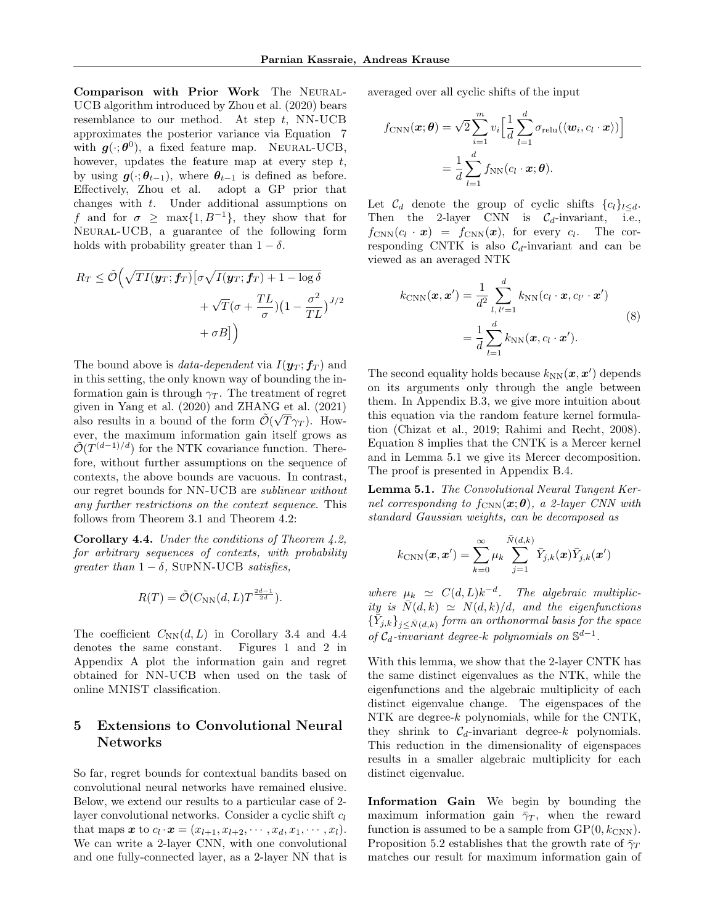Comparison with Prior Work The Neural-UCB algorithm introduced by Zhou et al. (2020) bears resemblance to our method. At step  $t$ , NN-UCB approximates the posterior variance via Equation 7 with  $g(\cdot;\boldsymbol{\theta}^0)$ , a fixed feature map. NEURAL-UCB, however, updates the feature map at every step  $t$ , by using  $g(\cdot; \theta_{t-1})$ , where  $\theta_{t-1}$  is defined as before. Effectively, Zhou et al. adopt a GP prior that changes with  $t$ . Under additional assumptions on f and for  $\sigma \geq \max\{1, B^{-1}\},\$  they show that for Neural-UCB, a guarantee of the following form holds with probability greater than  $1 - \delta$ .

$$
R_T \le \tilde{\mathcal{O}}\left(\sqrt{TI(\boldsymbol{y}_T; \boldsymbol{f}_T)}\left[\sigma\sqrt{I(\boldsymbol{y}_T; \boldsymbol{f}_T)} + 1 - \log \delta\right.\right.\right.
$$

$$
+ \sqrt{T}(\sigma + \frac{TL}{\sigma})(1 - \frac{\sigma^2}{TL})^{J/2} + \sigma B\right)
$$

The bound above is *data-dependent* via  $I(\mathbf{y}_T; \mathbf{f}_T)$  and in this setting, the only known way of bounding the information gain is through  $\gamma_T$ . The treatment of regret given in Yang et al.  $(2020)$  and ZHANG et al.  $(2021)$ also results in a bound of the form  $\tilde{\mathcal{O}}(\sqrt{T}\gamma_T)$ . However, the maximum information gain itself grows as  $\tilde{\mathcal{O}}(T^{(d-1)/d})$  for the NTK covariance function. Therefore, without further assumptions on the sequence of contexts, the above bounds are vacuous. In contrast, our regret bounds for NN-UCB are sublinear without any further restrictions on the context sequence. This follows from Theorem 3.1 and Theorem 4.2:

Corollary 4.4. Under the conditions of Theorem 4.2, for arbitrary sequences of contexts, with probability qreater than  $1 - \delta$ , SUPNN-UCB satisfies,

$$
R(T) = \tilde{\mathcal{O}}(C_{\text{NN}}(d, L) T^{\frac{2d-1}{2d}}).
$$

The coefficient  $C_{NN}(d, L)$  in Corollary 3.4 and 4.4 denotes the same constant. Figures 1 and 2 in Appendix A plot the information gain and regret obtained for NN-UCB when used on the task of online MNIST classification.

# 5 Extensions to Convolutional Neural Networks

So far, regret bounds for contextual bandits based on convolutional neural networks have remained elusive. Below, we extend our results to a particular case of 2 layer convolutional networks. Consider a cyclic shift  $c_l$ that maps  $\boldsymbol{x}$  to  $c_l \cdot \boldsymbol{x} = (x_{l+1}, x_{l+2}, \cdots, x_d, x_1, \cdots, x_l).$ We can write a 2-layer CNN, with one convolutional and one fully-connected layer, as a 2-layer NN that is averaged over all cyclic shifts of the input

$$
f_{\text{CNN}}(\boldsymbol{x};\boldsymbol{\theta}) = \sqrt{2} \sum_{i=1}^{m} v_i \Big[ \frac{1}{d} \sum_{l=1}^{d} \sigma_{\text{relu}}(\langle \boldsymbol{w}_i, c_l \cdot \boldsymbol{x} \rangle) \Big]
$$
  
= 
$$
\frac{1}{d} \sum_{l=1}^{d} f_{\text{NN}}(c_l \cdot \boldsymbol{x}; \boldsymbol{\theta}).
$$

Let  $\mathcal{C}_d$  denote the group of cyclic shifts  $\{c_l\}_{l\leq d}$ . Then the 2-layer CNN is  $C_d$ -invariant, i.e.,  $f_{\text{CNN}}(c_l \cdot \boldsymbol{x}) = f_{\text{CNN}}(\boldsymbol{x}), \text{ for every } c_l.$  The corresponding CNTK is also  $C_d$ -invariant and can be viewed as an averaged NTK

$$
k_{\text{CNN}}(\boldsymbol{x}, \boldsymbol{x}') = \frac{1}{d^2} \sum_{l, l'=1}^{d} k_{\text{NN}}(c_l \cdot \boldsymbol{x}, c_{l'} \cdot \boldsymbol{x}')
$$
  
= 
$$
\frac{1}{d} \sum_{l=1}^{d} k_{\text{NN}}(\boldsymbol{x}, c_l \cdot \boldsymbol{x}').
$$
 (8)

The second equality holds because  $k_{NN}(\boldsymbol{x}, \boldsymbol{x}')$  depends on its arguments only through the angle between them. In Appendix B.3, we give more intuition about this equation via the random feature kernel formulation (Chizat et al., 2019; Rahimi and Recht, 2008). Equation 8 implies that the CNTK is a Mercer kernel and in Lemma 5.1 we give its Mercer decomposition. The proof is presented in Appendix B.4.

Lemma 5.1. The Convolutional Neural Tangent Kernel corresponding to  $f_{\text{CNN}}(\boldsymbol{x}; \boldsymbol{\theta})$ , a 2-layer CNN with standard Gaussian weights, can be decomposed as

$$
k_{\text{CNN}}(\boldsymbol{x}, \boldsymbol{x}') = \sum_{k=0}^{\infty} \mu_k \sum_{j=1}^{\bar{N}(d,k)} \bar{Y}_{j,k}(\boldsymbol{x}) \bar{Y}_{j,k}(\boldsymbol{x}')
$$

where  $\mu_k \simeq C(d, L)k^{-d}$ . The algebraic multiplicity is  $\overline{N}(d, k) \simeq N(d, k)/d$ , and the eigenfunctions  $\{\bar{Y}_{j,k}\}_{j\leq \bar{N}(d,k)}$  form an orthonormal basis for the space of  $C_d$ -invariant degree-k polynomials on  $\mathbb{S}^{d-1}$ .

With this lemma, we show that the 2-layer CNTK has the same distinct eigenvalues as the NTK, while the eigenfunctions and the algebraic multiplicity of each distinct eigenvalue change. The eigenspaces of the NTK are degree-k polynomials, while for the CNTK, they shrink to  $C_d$ -invariant degree-k polynomials. This reduction in the dimensionality of eigenspaces results in a smaller algebraic multiplicity for each distinct eigenvalue.

Information Gain We begin by bounding the maximum information gain  $\bar{\gamma}_T$ , when the reward function is assumed to be a sample from  $\text{GP}(0, k_{\text{CNN}})$ . Proposition 5.2 establishes that the growth rate of  $\bar{\gamma}_T$ matches our result for maximum information gain of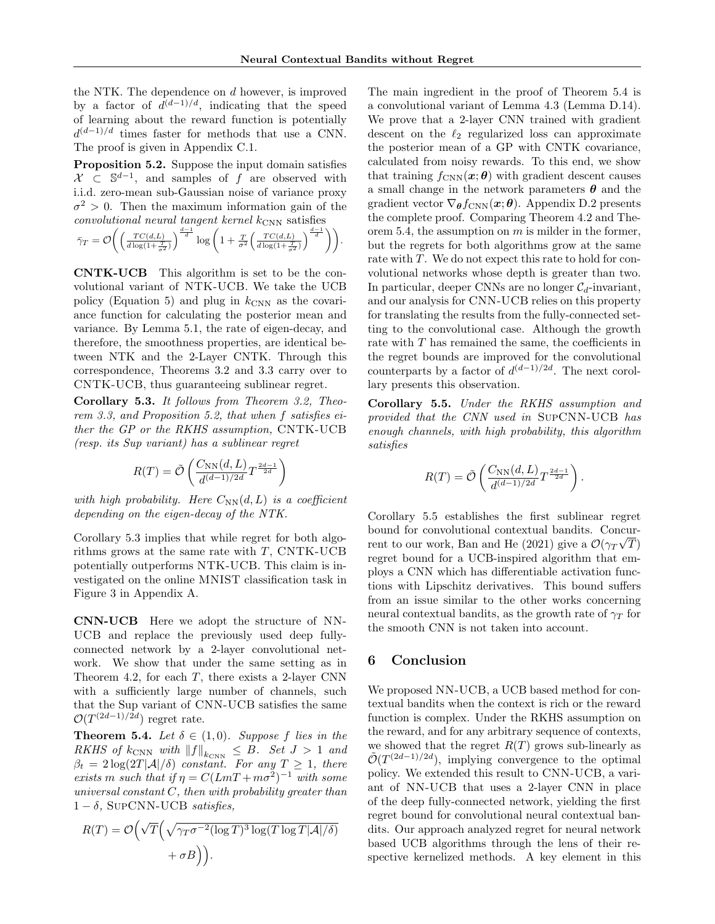the NTK. The dependence on d however, is improved by a factor of  $d^{(d-1)/d}$ , indicating that the speed of learning about the reward function is potentially  $d^{(d-1)/d}$  times faster for methods that use a CNN. The proof is given in Appendix C.1.

Proposition 5.2. Suppose the input domain satisfies  $\mathcal{X} \subset \mathbb{S}^{d-1}$ , and samples of f are observed with i.i.d. zero-mean sub-Gaussian noise of variance proxy  $\sigma^2 > 0$ . Then the maximum information gain of the  $convolutional$  neural tangent kernel  $k_{\text{CNN}}$  satisfies

$$
\bar{\gamma}_T = \mathcal{O}\bigg(\bigg(\frac{TC(d,L)}{d\log(1+\frac{T}{\sigma^2})}\bigg)^{\frac{d-1}{d}}\log\bigg(1+\frac{T}{\sigma^2}\bigg(\frac{TC(d,L)}{d\log(1+\frac{T}{\sigma^2})}\bigg)^{\frac{d-1}{d}}\bigg)\bigg).
$$

CNTK-UCB This algorithm is set to be the convolutional variant of NTK-UCB. We take the UCB policy (Equation 5) and plug in  $k_{\text{CNN}}$  as the covariance function for calculating the posterior mean and variance. By Lemma 5.1, the rate of eigen-decay, and therefore, the smoothness properties, are identical between NTK and the 2-Layer CNTK. Through this correspondence, Theorems 3.2 and 3.3 carry over to CNTK-UCB, thus guaranteeing sublinear regret.

Corollary 5.3. It follows from Theorem 3.2, Theorem 3.3, and Proposition 5.2, that when f satisfies either the GP or the RKHS assumption, CNTK-UCB (resp. its Sup variant) has a sublinear regret

$$
R(T) = \tilde{\mathcal{O}}\left(\frac{C_{\text{NN}}(d,L)}{d^{(d-1)/2d}}T^{\frac{2d-1}{2d}}\right)
$$

with high probability. Here  $C_{NN}(d, L)$  is a coefficient depending on the eigen-decay of the NTK.

Corollary 5.3 implies that while regret for both algorithms grows at the same rate with  $T$ , CNTK-UCB potentially outperforms NTK-UCB. This claim is investigated on the online MNIST classification task in Figure 3 in Appendix A.

CNN-UCB Here we adopt the structure of NN-UCB and replace the previously used deep fullyconnected network by a 2-layer convolutional network. We show that under the same setting as in Theorem 4.2, for each  $T$ , there exists a 2-layer CNN with a sufficiently large number of channels, such that the Sup variant of CNN-UCB satisfies the same  $\mathcal{O}(T^{(2d-1)/2d})$  regret rate.

**Theorem 5.4.** Let  $\delta \in (1,0)$ . Suppose f lies in the RKHS of  $k_{\text{CNN}}$  with  $||f||_{k_{\text{CNN}}} \leq B$ . Set  $J > 1$  and  $\beta_t = 2 \log(2T|\mathcal{A}|/\delta)$  constant. For any  $T \geq 1$ , there exists m such that if  $\eta = C(LmT + m\sigma^2)^{-1}$  with some universal constant  $C$ , then with probability greater than  $1 - \delta$ , SUPCNN-UCB satisfies,

$$
R(T) = \mathcal{O}\left(\sqrt{T}\left(\sqrt{\gamma_T \sigma^{-2} (\log T)^3 \log(T \log T |\mathcal{A}|/\delta)} + \sigma B\right)\right).
$$

The main ingredient in the proof of Theorem 5.4 is a convolutional variant of Lemma 4.3 (Lemma D.14). We prove that a 2-layer CNN trained with gradient descent on the  $\ell_2$  regularized loss can approximate the posterior mean of a GP with CNTK covariance, calculated from noisy rewards. To this end, we show that training  $f_{\text{CNN}}(\boldsymbol{x}; \boldsymbol{\theta})$  with gradient descent causes a small change in the network parameters  $\theta$  and the gradient vector  $\nabla_{\theta} f_{\text{CNN}}(x; \theta)$ . Appendix D.2 presents the complete proof. Comparing Theorem 4.2 and Theorem 5.4, the assumption on  $m$  is milder in the former, but the regrets for both algorithms grow at the same rate with T. We do not expect this rate to hold for convolutional networks whose depth is greater than two. In particular, deeper CNNs are no longer  $C_d$ -invariant, and our analysis for CNN-UCB relies on this property for translating the results from the fully-connected setting to the convolutional case. Although the growth rate with  $T$  has remained the same, the coefficients in the regret bounds are improved for the convolutional counterparts by a factor of  $d^{(d-1)/2d}$ . The next corollary presents this observation.

Corollary 5.5. Under the RKHS assumption and provided that the CNN used in SupCNN-UCB has enough channels, with high probability, this algorithm satisfies

$$
R(T) = \tilde{\mathcal{O}}\left(\frac{C_{\text{NN}}(d,L)}{d^{(d-1)/2d}} T^{\frac{2d-1}{2d}}\right).
$$

Corollary 5.5 establishes the first sublinear regret bound for convolutional contextual bandits. Concurrent to our work, Ban and He (2021) give a  $\mathcal{O}(\gamma_T\sqrt{T})$ regret bound for a UCB-inspired algorithm that employs a CNN which has differentiable activation functions with Lipschitz derivatives. This bound suffers from an issue similar to the other works concerning neural contextual bandits, as the growth rate of  $\gamma_T$  for the smooth CNN is not taken into account.

# 6 Conclusion

We proposed NN-UCB, a UCB based method for contextual bandits when the context is rich or the reward function is complex. Under the RKHS assumption on the reward, and for any arbitrary sequence of contexts, we showed that the regret  $R(T)$  grows sub-linearly as  $\tilde{\mathcal{O}}(T^{(2d-1)/2d})$ , implying convergence to the optimal policy. We extended this result to CNN-UCB, a variant of NN-UCB that uses a 2-layer CNN in place of the deep fully-connected network, yielding the first regret bound for convolutional neural contextual bandits. Our approach analyzed regret for neural network based UCB algorithms through the lens of their respective kernelized methods. A key element in this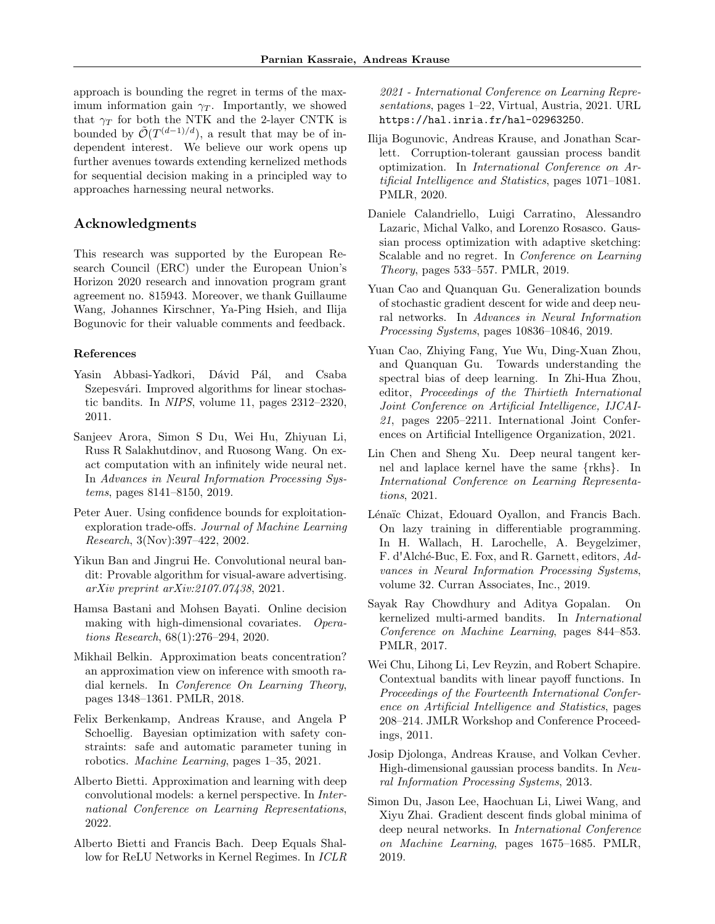approach is bounding the regret in terms of the maximum information gain  $\gamma_T$ . Importantly, we showed that  $\gamma_T$  for both the NTK and the 2-layer CNTK is bounded by  $\tilde{\mathcal{O}}(T^{(d-1)/d})$ , a result that may be of independent interest. We believe our work opens up further avenues towards extending kernelized methods for sequential decision making in a principled way to approaches harnessing neural networks.

# Acknowledgments

This research was supported by the European Research Council (ERC) under the European Union's Horizon 2020 research and innovation program grant agreement no. 815943. Moreover, we thank Guillaume Wang, Johannes Kirschner, Ya-Ping Hsieh, and Ilija Bogunovic for their valuable comments and feedback.

#### References

- Yasin Abbasi-Yadkori, Dávid Pál, and Csaba Szepesvári. Improved algorithms for linear stochastic bandits. In NIPS, volume 11, pages 2312–2320, 2011.
- Sanjeev Arora, Simon S Du, Wei Hu, Zhiyuan Li, Russ R Salakhutdinov, and Ruosong Wang. On exact computation with an infinitely wide neural net. In Advances in Neural Information Processing Systems, pages 8141–8150, 2019.
- Peter Auer. Using confidence bounds for exploitationexploration trade-offs. Journal of Machine Learning Research, 3(Nov):397–422, 2002.
- Yikun Ban and Jingrui He. Convolutional neural bandit: Provable algorithm for visual-aware advertising. arXiv preprint arXiv:2107.07438, 2021.
- Hamsa Bastani and Mohsen Bayati. Online decision making with high-dimensional covariates. Operations Research, 68(1):276–294, 2020.
- Mikhail Belkin. Approximation beats concentration? an approximation view on inference with smooth radial kernels. In Conference On Learning Theory, pages 1348–1361. PMLR, 2018.
- Felix Berkenkamp, Andreas Krause, and Angela P Schoellig. Bayesian optimization with safety constraints: safe and automatic parameter tuning in robotics. Machine Learning, pages 1–35, 2021.
- Alberto Bietti. Approximation and learning with deep convolutional models: a kernel perspective. In International Conference on Learning Representations, 2022.
- Alberto Bietti and Francis Bach. Deep Equals Shallow for ReLU Networks in Kernel Regimes. In ICLR

2021 - International Conference on Learning Representations, pages 1–22, Virtual, Austria, 2021. URL https://hal.inria.fr/hal-02963250.

- Ilija Bogunovic, Andreas Krause, and Jonathan Scarlett. Corruption-tolerant gaussian process bandit optimization. In International Conference on Artificial Intelligence and Statistics, pages 1071–1081. PMLR, 2020.
- Daniele Calandriello, Luigi Carratino, Alessandro Lazaric, Michal Valko, and Lorenzo Rosasco. Gaussian process optimization with adaptive sketching: Scalable and no regret. In Conference on Learning Theory, pages 533–557. PMLR, 2019.
- Yuan Cao and Quanquan Gu. Generalization bounds of stochastic gradient descent for wide and deep neural networks. In Advances in Neural Information Processing Systems, pages 10836–10846, 2019.
- Yuan Cao, Zhiying Fang, Yue Wu, Ding-Xuan Zhou, and Quanquan Gu. Towards understanding the spectral bias of deep learning. In Zhi-Hua Zhou, editor, Proceedings of the Thirtieth International Joint Conference on Artificial Intelligence, IJCAI-21, pages 2205–2211. International Joint Conferences on Artificial Intelligence Organization, 2021.
- Lin Chen and Sheng Xu. Deep neural tangent kernel and laplace kernel have the same {rkhs}. In International Conference on Learning Representations, 2021.
- Lénaïc Chizat, Edouard Oyallon, and Francis Bach. On lazy training in differentiable programming. In H. Wallach, H. Larochelle, A. Beygelzimer, F. d'Alché-Buc, E. Fox, and R. Garnett, editors, Advances in Neural Information Processing Systems, volume 32. Curran Associates, Inc., 2019.
- Sayak Ray Chowdhury and Aditya Gopalan. On kernelized multi-armed bandits. In International Conference on Machine Learning, pages 844–853. PMLR, 2017.
- Wei Chu, Lihong Li, Lev Reyzin, and Robert Schapire. Contextual bandits with linear payoff functions. In Proceedings of the Fourteenth International Conference on Artificial Intelligence and Statistics, pages 208–214. JMLR Workshop and Conference Proceedings, 2011.
- Josip Djolonga, Andreas Krause, and Volkan Cevher. High-dimensional gaussian process bandits. In Neural Information Processing Systems, 2013.
- Simon Du, Jason Lee, Haochuan Li, Liwei Wang, and Xiyu Zhai. Gradient descent finds global minima of deep neural networks. In International Conference on Machine Learning, pages 1675–1685. PMLR, 2019.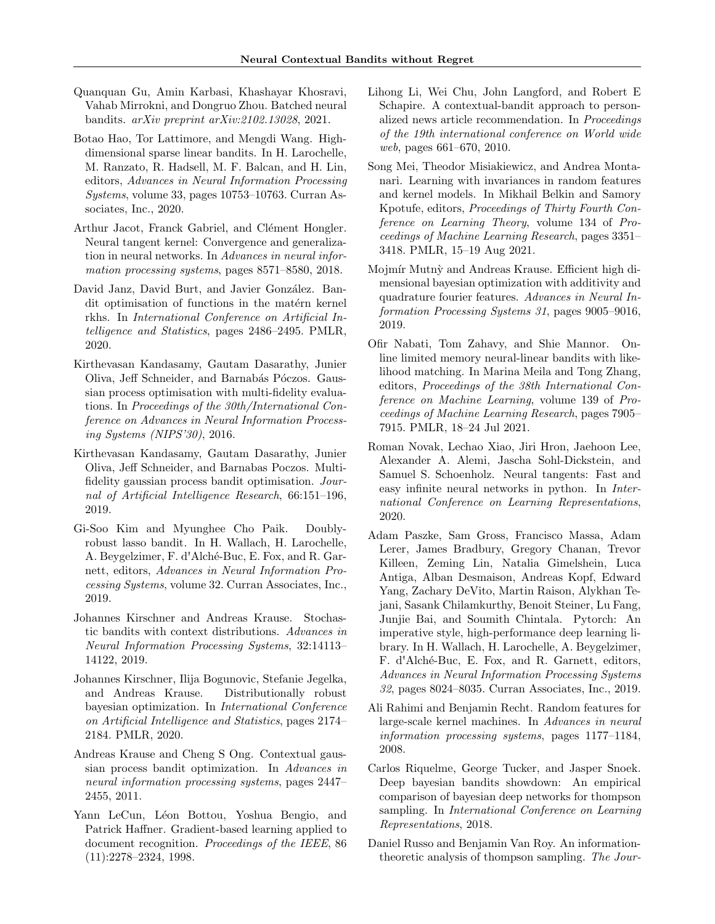- Quanquan Gu, Amin Karbasi, Khashayar Khosravi, Vahab Mirrokni, and Dongruo Zhou. Batched neural bandits. arXiv preprint arXiv:2102.13028, 2021.
- Botao Hao, Tor Lattimore, and Mengdi Wang. Highdimensional sparse linear bandits. In H. Larochelle, M. Ranzato, R. Hadsell, M. F. Balcan, and H. Lin, editors, Advances in Neural Information Processing Systems, volume 33, pages 10753–10763. Curran Associates, Inc., 2020.
- Arthur Jacot, Franck Gabriel, and Clément Hongler. Neural tangent kernel: Convergence and generalization in neural networks. In Advances in neural information processing systems, pages 8571–8580, 2018.
- David Janz, David Burt, and Javier González. Bandit optimisation of functions in the matern kernel rkhs. In International Conference on Artificial Intelligence and Statistics, pages 2486–2495. PMLR, 2020.
- Kirthevasan Kandasamy, Gautam Dasarathy, Junier Oliva, Jeff Schneider, and Barnabás Póczos. Gaussian process optimisation with multi-fidelity evaluations. In Proceedings of the 30th/International Conference on Advances in Neural Information Processing Systems (NIPS'30), 2016.
- Kirthevasan Kandasamy, Gautam Dasarathy, Junier Oliva, Jeff Schneider, and Barnabas Poczos. Multifidelity gaussian process bandit optimisation. Journal of Artificial Intelligence Research, 66:151–196, 2019.
- Gi-Soo Kim and Myunghee Cho Paik. Doublyrobust lasso bandit. In H. Wallach, H. Larochelle, A. Beygelzimer, F. d'Alché-Buc, E. Fox, and R. Garnett, editors, Advances in Neural Information Processing Systems, volume 32. Curran Associates, Inc., 2019.
- Johannes Kirschner and Andreas Krause. Stochastic bandits with context distributions. Advances in Neural Information Processing Systems, 32:14113– 14122, 2019.
- Johannes Kirschner, Ilija Bogunovic, Stefanie Jegelka, and Andreas Krause. Distributionally robust bayesian optimization. In International Conference on Artificial Intelligence and Statistics, pages 2174– 2184. PMLR, 2020.
- Andreas Krause and Cheng S Ong. Contextual gaussian process bandit optimization. In Advances in neural information processing systems, pages 2447– 2455, 2011.
- Yann LeCun, Léon Bottou, Yoshua Bengio, and Patrick Haffner. Gradient-based learning applied to document recognition. Proceedings of the IEEE, 86 (11):2278–2324, 1998.
- Lihong Li, Wei Chu, John Langford, and Robert E Schapire. A contextual-bandit approach to personalized news article recommendation. In Proceedings of the 19th international conference on World wide web, pages 661–670, 2010.
- Song Mei, Theodor Misiakiewicz, and Andrea Montanari. Learning with invariances in random features and kernel models. In Mikhail Belkin and Samory Kpotufe, editors, Proceedings of Thirty Fourth Conference on Learning Theory, volume 134 of Proceedings of Machine Learning Research, pages 3351– 3418. PMLR, 15–19 Aug 2021.
- Mojmír Mutnỳ and Andreas Krause. Efficient high dimensional bayesian optimization with additivity and quadrature fourier features. Advances in Neural Information Processing Systems 31, pages 9005–9016, 2019.
- Ofir Nabati, Tom Zahavy, and Shie Mannor. Online limited memory neural-linear bandits with likelihood matching. In Marina Meila and Tong Zhang, editors, Proceedings of the 38th International Conference on Machine Learning, volume 139 of Proceedings of Machine Learning Research, pages 7905– 7915. PMLR, 18–24 Jul 2021.
- Roman Novak, Lechao Xiao, Jiri Hron, Jaehoon Lee, Alexander A. Alemi, Jascha Sohl-Dickstein, and Samuel S. Schoenholz. Neural tangents: Fast and easy infinite neural networks in python. In *Inter*national Conference on Learning Representations, 2020.
- Adam Paszke, Sam Gross, Francisco Massa, Adam Lerer, James Bradbury, Gregory Chanan, Trevor Killeen, Zeming Lin, Natalia Gimelshein, Luca Antiga, Alban Desmaison, Andreas Kopf, Edward Yang, Zachary DeVito, Martin Raison, Alykhan Tejani, Sasank Chilamkurthy, Benoit Steiner, Lu Fang, Junjie Bai, and Soumith Chintala. Pytorch: An imperative style, high-performance deep learning library. In H. Wallach, H. Larochelle, A. Beygelzimer, F. d'Alché-Buc, E. Fox, and R. Garnett, editors, Advances in Neural Information Processing Systems 32, pages 8024–8035. Curran Associates, Inc., 2019.
- Ali Rahimi and Benjamin Recht. Random features for large-scale kernel machines. In Advances in neural information processing systems, pages 1177–1184, 2008.
- Carlos Riquelme, George Tucker, and Jasper Snoek. Deep bayesian bandits showdown: An empirical comparison of bayesian deep networks for thompson sampling. In International Conference on Learning Representations, 2018.
- Daniel Russo and Benjamin Van Roy. An informationtheoretic analysis of thompson sampling. The Jour-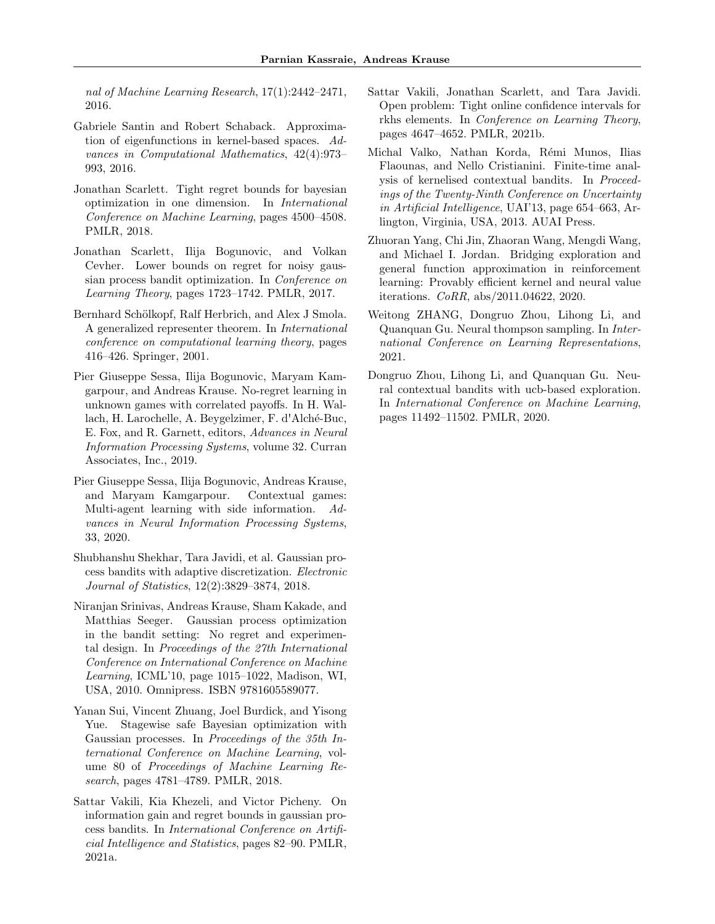nal of Machine Learning Research, 17(1):2442–2471, 2016.

- Gabriele Santin and Robert Schaback. Approximation of eigenfunctions in kernel-based spaces. Advances in Computational Mathematics, 42(4):973– 993, 2016.
- Jonathan Scarlett. Tight regret bounds for bayesian optimization in one dimension. In International Conference on Machine Learning, pages 4500–4508. PMLR, 2018.
- Jonathan Scarlett, Ilija Bogunovic, and Volkan Cevher. Lower bounds on regret for noisy gaussian process bandit optimization. In Conference on Learning Theory, pages 1723–1742. PMLR, 2017.
- Bernhard Schölkopf, Ralf Herbrich, and Alex J Smola. A generalized representer theorem. In International conference on computational learning theory, pages 416–426. Springer, 2001.
- Pier Giuseppe Sessa, Ilija Bogunovic, Maryam Kamgarpour, and Andreas Krause. No-regret learning in unknown games with correlated payoffs. In H. Wallach, H. Larochelle, A. Beygelzimer, F. d'Alché-Buc, E. Fox, and R. Garnett, editors, Advances in Neural Information Processing Systems, volume 32. Curran Associates, Inc., 2019.
- Pier Giuseppe Sessa, Ilija Bogunovic, Andreas Krause, and Maryam Kamgarpour. Contextual games: Multi-agent learning with side information. Advances in Neural Information Processing Systems, 33, 2020.
- Shubhanshu Shekhar, Tara Javidi, et al. Gaussian process bandits with adaptive discretization. Electronic Journal of Statistics, 12(2):3829–3874, 2018.
- Niranjan Srinivas, Andreas Krause, Sham Kakade, and Matthias Seeger. Gaussian process optimization in the bandit setting: No regret and experimental design. In Proceedings of the 27th International Conference on International Conference on Machine Learning, ICML'10, page 1015–1022, Madison, WI, USA, 2010. Omnipress. ISBN 9781605589077.
- Yanan Sui, Vincent Zhuang, Joel Burdick, and Yisong Yue. Stagewise safe Bayesian optimization with Gaussian processes. In Proceedings of the 35th International Conference on Machine Learning, volume 80 of Proceedings of Machine Learning Research, pages 4781–4789. PMLR, 2018.
- Sattar Vakili, Kia Khezeli, and Victor Picheny. On information gain and regret bounds in gaussian process bandits. In International Conference on Artificial Intelligence and Statistics, pages 82–90. PMLR, 2021a.
- Sattar Vakili, Jonathan Scarlett, and Tara Javidi. Open problem: Tight online confidence intervals for rkhs elements. In Conference on Learning Theory, pages 4647–4652. PMLR, 2021b.
- Michal Valko, Nathan Korda, Rémi Munos, Ilias Flaounas, and Nello Cristianini. Finite-time analysis of kernelised contextual bandits. In Proceedings of the Twenty-Ninth Conference on Uncertainty in Artificial Intelligence, UAI'13, page 654–663, Arlington, Virginia, USA, 2013. AUAI Press.
- Zhuoran Yang, Chi Jin, Zhaoran Wang, Mengdi Wang, and Michael I. Jordan. Bridging exploration and general function approximation in reinforcement learning: Provably efficient kernel and neural value iterations. CoRR, abs/2011.04622, 2020.
- Weitong ZHANG, Dongruo Zhou, Lihong Li, and Quanquan Gu. Neural thompson sampling. In International Conference on Learning Representations, 2021.
- Dongruo Zhou, Lihong Li, and Quanquan Gu. Neural contextual bandits with ucb-based exploration. In International Conference on Machine Learning, pages 11492–11502. PMLR, 2020.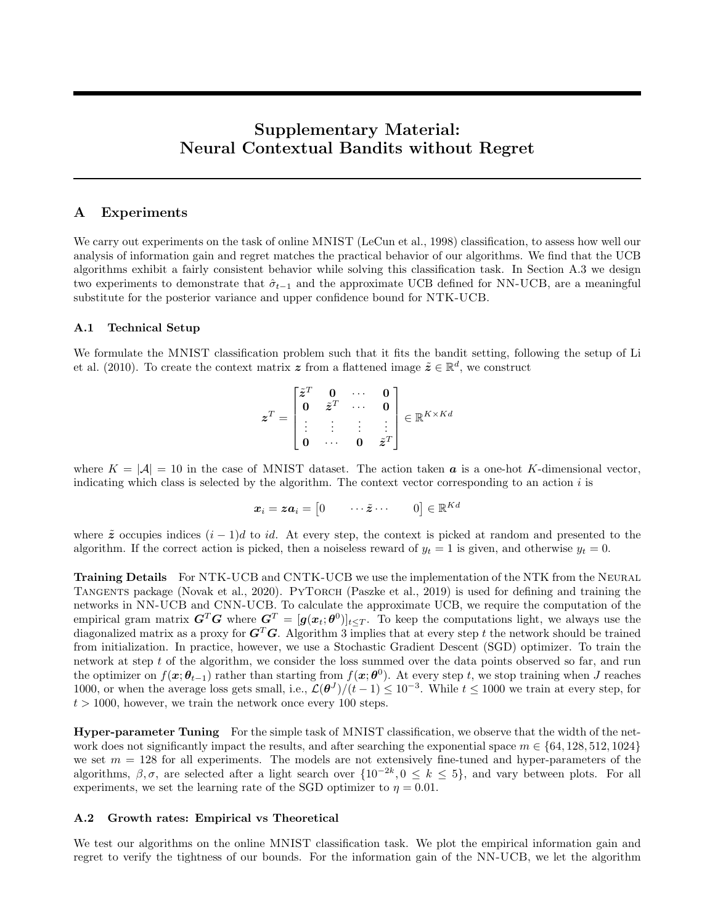# Supplementary Material: Neural Contextual Bandits without Regret

# A Experiments

We carry out experiments on the task of online MNIST (LeCun et al., 1998) classification, to assess how well our analysis of information gain and regret matches the practical behavior of our algorithms. We find that the UCB algorithms exhibit a fairly consistent behavior while solving this classification task. In Section A.3 we design two experiments to demonstrate that  $\hat{\sigma}_{t-1}$  and the approximate UCB defined for NN-UCB, are a meaningful substitute for the posterior variance and upper confidence bound for NTK-UCB.

#### A.1 Technical Setup

We formulate the MNIST classification problem such that it fits the bandit setting, following the setup of Li et al. (2010). To create the context matrix z from a flattened image  $\tilde{\mathbf{z}} \in \mathbb{R}^d$ , we construct

$$
\boldsymbol{z}^T = \begin{bmatrix} \tilde{\boldsymbol{z}}^T & \boldsymbol{0} & \cdots & \boldsymbol{0} \\ \boldsymbol{0} & \tilde{\boldsymbol{z}}^T & \cdots & \boldsymbol{0} \\ \vdots & \vdots & \vdots & \vdots \\ \boldsymbol{0} & \cdots & \boldsymbol{0} & \tilde{\boldsymbol{z}}^T \end{bmatrix} \in \mathbb{R}^{K \times Kd}
$$

where  $K = |\mathcal{A}| = 10$  in the case of MNIST dataset. The action taken **a** is a one-hot K-dimensional vector, indicating which class is selected by the algorithm. The context vector corresponding to an action  $i$  is

$$
\boldsymbol{x}_i = \boldsymbol{z}\boldsymbol{a}_i = \begin{bmatrix} 0 & \cdots \tilde{z} \cdots & 0 \end{bmatrix} \in \mathbb{R}^{Kd}
$$

where  $\tilde{z}$  occupies indices  $(i - 1)d$  to id. At every step, the context is picked at random and presented to the algorithm. If the correct action is picked, then a noiseless reward of  $y_t = 1$  is given, and otherwise  $y_t = 0$ .

Training Details For NTK-UCB and CNTK-UCB we use the implementation of the NTK from the NEURAL TANGENTS package (Novak et al., 2020). PYTORCH (Paszke et al., 2019) is used for defining and training the networks in NN-UCB and CNN-UCB. To calculate the approximate UCB, we require the computation of the empirical gram matrix  $G^T G$  where  $G^T = [g(x_t; \theta^0)]_{t \leq T}$ . To keep the computations light, we always use the diagonalized matrix as a proxy for  $G<sup>T</sup>G$ . Algorithm 3 implies that at every step t the network should be trained from initialization. In practice, however, we use a Stochastic Gradient Descent (SGD) optimizer. To train the network at step  $t$  of the algorithm, we consider the loss summed over the data points observed so far, and run the optimizer on  $f(\mathbf{x}; \theta_{t-1})$  rather than starting from  $f(\mathbf{x}; \theta^0)$ . At every step t, we stop training when J reaches 1000, or when the average loss gets small, i.e.,  $\mathcal{L}(\theta^J)/(t-1) \leq 10^{-3}$ . While  $t \leq 1000$  we train at every step, for  $t > 1000$ , however, we train the network once every 100 steps.

Hyper-parameter Tuning For the simple task of MNIST classification, we observe that the width of the network does not significantly impact the results, and after searching the exponential space  $m \in \{64, 128, 512, 1024\}$ we set  $m = 128$  for all experiments. The models are not extensively fine-tuned and hyper-parameters of the algorithms,  $\beta, \sigma$ , are selected after a light search over  $\{10^{-2k}, 0 \le k \le 5\}$ , and vary between plots. For all experiments, we set the learning rate of the SGD optimizer to  $\eta = 0.01$ .

#### A.2 Growth rates: Empirical vs Theoretical

We test our algorithms on the online MNIST classification task. We plot the empirical information gain and regret to verify the tightness of our bounds. For the information gain of the NN-UCB, we let the algorithm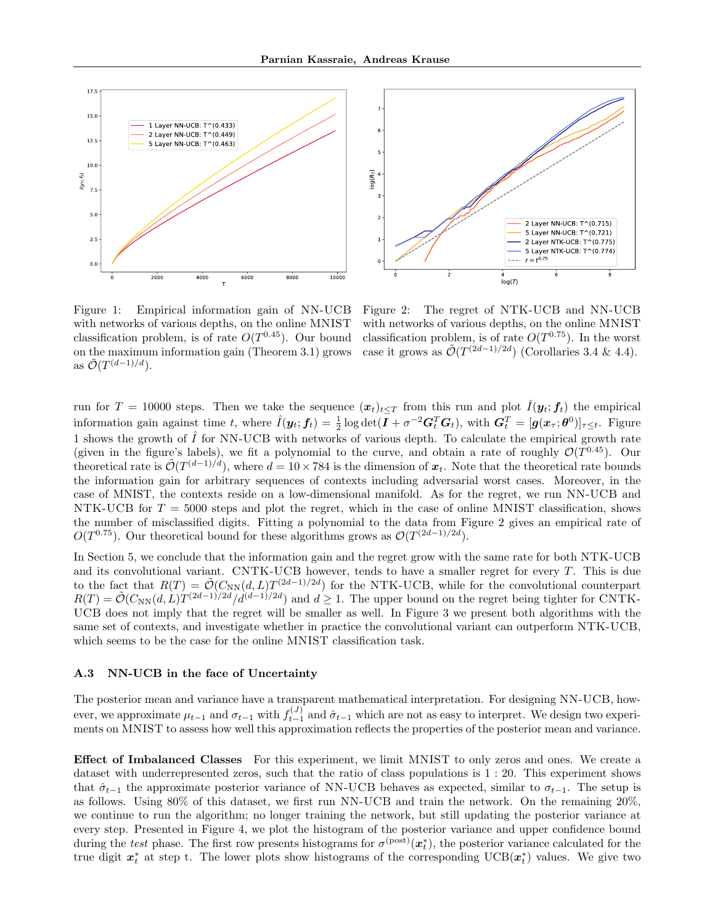



Figure 1: Empirical information gain of NN-UCB with networks of various depths, on the online MNIST classification problem, is of rate  $O(T^{0.45})$ . Our bound on the maximum information gain (Theorem 3.1) grows as  $\tilde{\mathcal{O}}(T^{(d-1)/d}).$ 

Figure 2: The regret of NTK-UCB and NN-UCB with networks of various depths, on the online MNIST classification problem, is of rate  $O(T^{0.75})$ . In the worst case it grows as  $\tilde{\mathcal{O}}(T^{(2d-1)/2d})$  (Corollaries 3.4 & 4.4).

run for  $T = 10000$  steps. Then we take the sequence  $(x_t)_{t\leq T}$  from this run and plot  $\hat{I}(\mathbf{y}_t; \mathbf{f}_t)$  the empirical information gain against time t, where  $\hat{I}(\mathbf{y}_t; \mathbf{f}_t) = \frac{1}{2} \log \det(\bar{\mathbf{I}} + \sigma^{-2} \mathbf{G}_t^T \mathbf{G}_t)$ , with  $\mathbf{G}_t^T = [\mathbf{g}(\mathbf{x}_\tau; \boldsymbol{\theta}^0)]_{\tau \leq t}$ . Figure 1 shows the growth of  $\hat{I}$  for NN-UCB with networks of various depth. To calculate the empirical growth rate (given in the figure's labels), we fit a polynomial to the curve, and obtain a rate of roughly  $\mathcal{O}(T^{0.45})$ . Our theoretical rate is  $\tilde{\mathcal{O}}(T^{(d-1)/d})$ , where  $d = 10 \times 784$  is the dimension of  $x_t$ . Note that the theoretical rate bounds the information gain for arbitrary sequences of contexts including adversarial worst cases. Moreover, in the case of MNIST, the contexts reside on a low-dimensional manifold. As for the regret, we run NN-UCB and NTK-UCB for  $T = 5000$  steps and plot the regret, which in the case of online MNIST classification, shows the number of misclassified digits. Fitting a polynomial to the data from Figure 2 gives an empirical rate of  $O(T^{0.75})$ . Our theoretical bound for these algorithms grows as  $O(T^{(2d-1)/2d})$ .

In Section 5, we conclude that the information gain and the regret grow with the same rate for both NTK-UCB and its convolutional variant. CNTK-UCB however, tends to have a smaller regret for every T. This is due to the fact that  $R(T) = \tilde{\mathcal{O}}(C_{NN}(d,L)T^{(2d-1)/2d})$  for the NTK-UCB, while for the convolutional counterpart  $R(T) = \tilde{\mathcal{O}}(C_{NN}(d,L)T^{(2d-1)/2d}/d^{(d-1)/2d})$  and  $d \geq 1$ . The upper bound on the regret being tighter for CNTK-UCB does not imply that the regret will be smaller as well. In Figure 3 we present both algorithms with the same set of contexts, and investigate whether in practice the convolutional variant can outperform NTK-UCB, which seems to be the case for the online MNIST classification task.

#### A.3 NN-UCB in the face of Uncertainty

The posterior mean and variance have a transparent mathematical interpretation. For designing NN-UCB, however, we approximate  $\mu_{t-1}$  and  $\sigma_{t-1}$  with  $f_{t-1}^{(J)}$  and  $\hat{\sigma}_{t-1}$  which are not as easy to interpret. We design two experiments on MNIST to assess how well this approximation reflects the properties of the posterior mean and variance.

Effect of Imbalanced Classes For this experiment, we limit MNIST to only zeros and ones. We create a dataset with underrepresented zeros, such that the ratio of class populations is 1 : 20. This experiment shows that  $\hat{\sigma}_{t-1}$  the approximate posterior variance of NN-UCB behaves as expected, similar to  $\sigma_{t-1}$ . The setup is as follows. Using 80% of this dataset, we first run NN-UCB and train the network. On the remaining 20%, we continue to run the algorithm; no longer training the network, but still updating the posterior variance at every step. Presented in Figure 4, we plot the histogram of the posterior variance and upper confidence bound during the test phase. The first row presents histograms for  $\sigma^{(post)}(\mathbf{x}_t^*)$ , the posterior variance calculated for the true digit  $x_t^*$  at step t. The lower plots show histograms of the corresponding UCB $(x_t^*)$  values. We give two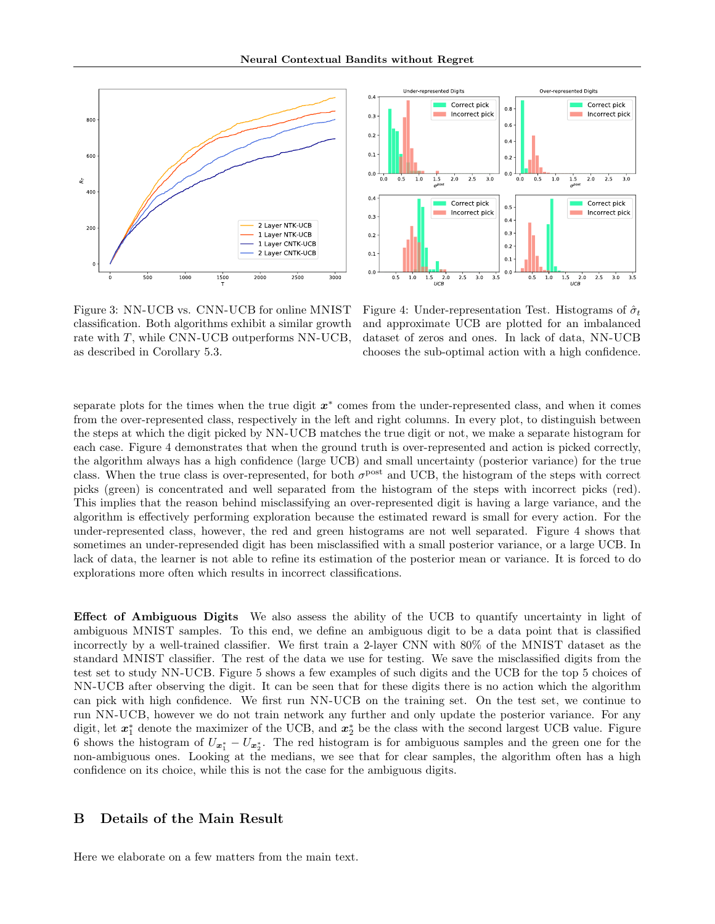



Figure 3: NN-UCB vs. CNN-UCB for online MNIST classification. Both algorithms exhibit a similar growth rate with T, while CNN-UCB outperforms NN-UCB, as described in Corollary 5.3.

Figure 4: Under-representation Test. Histograms of  $\hat{\sigma}_t$ and approximate UCB are plotted for an imbalanced dataset of zeros and ones. In lack of data, NN-UCB chooses the sub-optimal action with a high confidence.

separate plots for the times when the true digit  $x^*$  comes from the under-represented class, and when it comes from the over-represented class, respectively in the left and right columns. In every plot, to distinguish between the steps at which the digit picked by NN-UCB matches the true digit or not, we make a separate histogram for each case. Figure 4 demonstrates that when the ground truth is over-represented and action is picked correctly, the algorithm always has a high confidence (large UCB) and small uncertainty (posterior variance) for the true class. When the true class is over-represented, for both  $\sigma^{post}$  and UCB, the histogram of the steps with correct picks (green) is concentrated and well separated from the histogram of the steps with incorrect picks (red). This implies that the reason behind misclassifying an over-represented digit is having a large variance, and the algorithm is effectively performing exploration because the estimated reward is small for every action. For the under-represented class, however, the red and green histograms are not well separated. Figure 4 shows that sometimes an under-represended digit has been misclassified with a small posterior variance, or a large UCB. In lack of data, the learner is not able to refine its estimation of the posterior mean or variance. It is forced to do explorations more often which results in incorrect classifications.

Effect of Ambiguous Digits We also assess the ability of the UCB to quantify uncertainty in light of ambiguous MNIST samples. To this end, we define an ambiguous digit to be a data point that is classified incorrectly by a well-trained classifier. We first train a 2-layer CNN with 80% of the MNIST dataset as the standard MNIST classifier. The rest of the data we use for testing. We save the misclassified digits from the test set to study NN-UCB. Figure 5 shows a few examples of such digits and the UCB for the top 5 choices of NN-UCB after observing the digit. It can be seen that for these digits there is no action which the algorithm can pick with high confidence. We first run NN-UCB on the training set. On the test set, we continue to run NN-UCB, however we do not train network any further and only update the posterior variance. For any digit, let  $x_1^*$  denote the maximizer of the UCB, and  $x_2^*$  be the class with the second largest UCB value. Figure 6 shows the histogram of  $U_{\bm{x}_1^*} - U_{\bm{x}_2^*}$ . The red histogram is for ambiguous samples and the green one for the non-ambiguous ones. Looking at the medians, we see that for clear samples, the algorithm often has a high confidence on its choice, while this is not the case for the ambiguous digits.

# B Details of the Main Result

Here we elaborate on a few matters from the main text.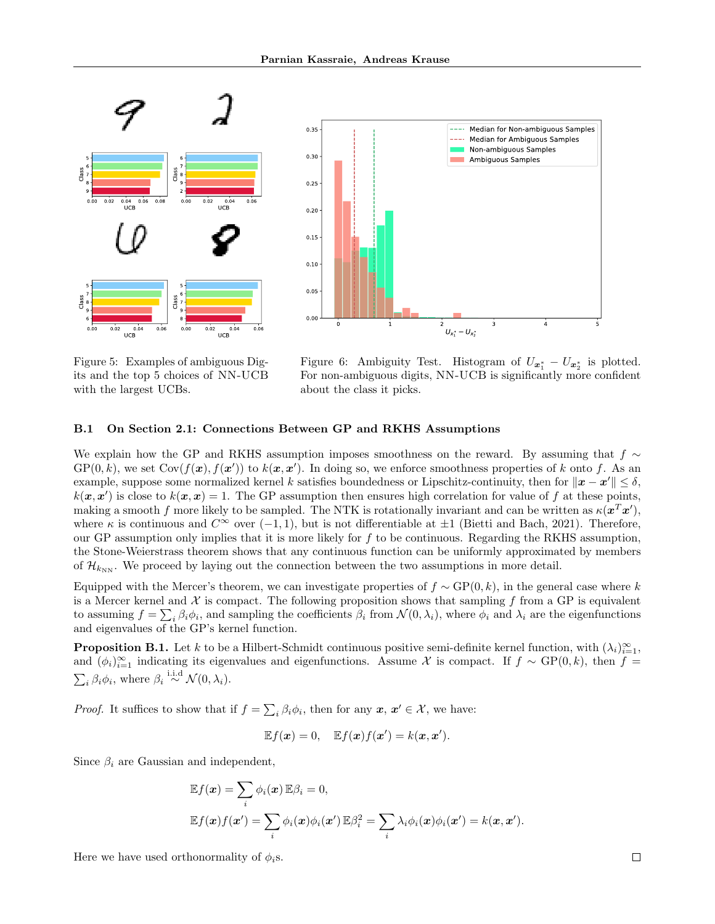



Figure 5: Examples of ambiguous Digits and the top 5 choices of NN-UCB with the largest UCBs.

Figure 6: Ambiguity Test. Histogram of  $U_{\boldsymbol{x}_1^*} - U_{\boldsymbol{x}_2^*}$  is plotted. For non-ambiguous digits, NN-UCB is significantly more confident about the class it picks.

### B.1 On Section 2.1: Connections Between GP and RKHS Assumptions

We explain how the GP and RKHS assumption imposes smoothness on the reward. By assuming that  $f \sim$  $GP(0, k)$ , we set  $Cov(f(\boldsymbol{x}), f(\boldsymbol{x}'))$  to  $k(\boldsymbol{x}, \boldsymbol{x}')$ . In doing so, we enforce smoothness properties of k onto f. As an example, suppose some normalized kernel k satisfies boundedness or Lipschitz-continuity, then for  $\|\bm{x} - \bm{x}'\| \leq \delta$ ,  $k(\mathbf{x}, \mathbf{x}')$  is close to  $k(\mathbf{x}, \mathbf{x}) = 1$ . The GP assumption then ensures high correlation for value of f at these points, making a smooth f more likely to be sampled. The NTK is rotationally invariant and can be written as  $\kappa(\mathbf{x}^T\mathbf{x}')$ , where  $\kappa$  is continuous and  $C^{\infty}$  over  $(-1, 1)$ , but is not differentiable at  $\pm 1$  (Bietti and Bach, 2021). Therefore, our GP assumption only implies that it is more likely for  $f$  to be continuous. Regarding the RKHS assumption, the Stone-Weierstrass theorem shows that any continuous function can be uniformly approximated by members of  $\mathcal{H}_{k_{NN}}$ . We proceed by laying out the connection between the two assumptions in more detail.

Equipped with the Mercer's theorem, we can investigate properties of  $f \sim GP(0, k)$ , in the general case where k is a Mercer kernel and  $\mathcal X$  is compact. The following proposition shows that sampling f from a GP is equivalent to assuming  $f = \sum_i \beta_i \phi_i$ , and sampling the coefficients  $\beta_i$  from  $\mathcal{N}(0, \lambda_i)$ , where  $\phi_i$  and  $\lambda_i$  are the eigenfunctions and eigenvalues of the GP's kernel function.

**Proposition B.1.** Let k to be a Hilbert-Schmidt continuous positive semi-definite kernel function, with  $(\lambda_i)_{i=1}^{\infty}$ , and  $(\phi_i)_{i=1}^{\infty}$  indicating its eigenvalues and eigenfunctions. Assume X is compact. If  $f \sim GP(0, k)$ , then  $f =$  $\sum_i \beta_i \phi_i$ , where  $\beta_i \stackrel{\text{i.i.d}}{\sim} \mathcal{N}(0, \lambda_i)$ .

*Proof.* It suffices to show that if  $f = \sum_i \beta_i \phi_i$ , then for any  $x, x' \in \mathcal{X}$ , we have:

$$
\mathbb{E}f(\boldsymbol{x})=0, \quad \mathbb{E}f(\boldsymbol{x})f(\boldsymbol{x}')=k(\boldsymbol{x},\boldsymbol{x}').
$$

Since  $\beta_i$  are Gaussian and independent,

$$
\mathbb{E}f(\boldsymbol{x}) = \sum_{i} \phi_i(\boldsymbol{x}) \mathbb{E}\beta_i = 0,
$$
  

$$
\mathbb{E}f(\boldsymbol{x})f(\boldsymbol{x}') = \sum_{i} \phi_i(\boldsymbol{x})\phi_i(\boldsymbol{x}') \mathbb{E}\beta_i^2 = \sum_{i} \lambda_i \phi_i(\boldsymbol{x})\phi_i(\boldsymbol{x}') = k(\boldsymbol{x}, \boldsymbol{x}').
$$

Here we have used orthonormality of  $\phi_i$ s.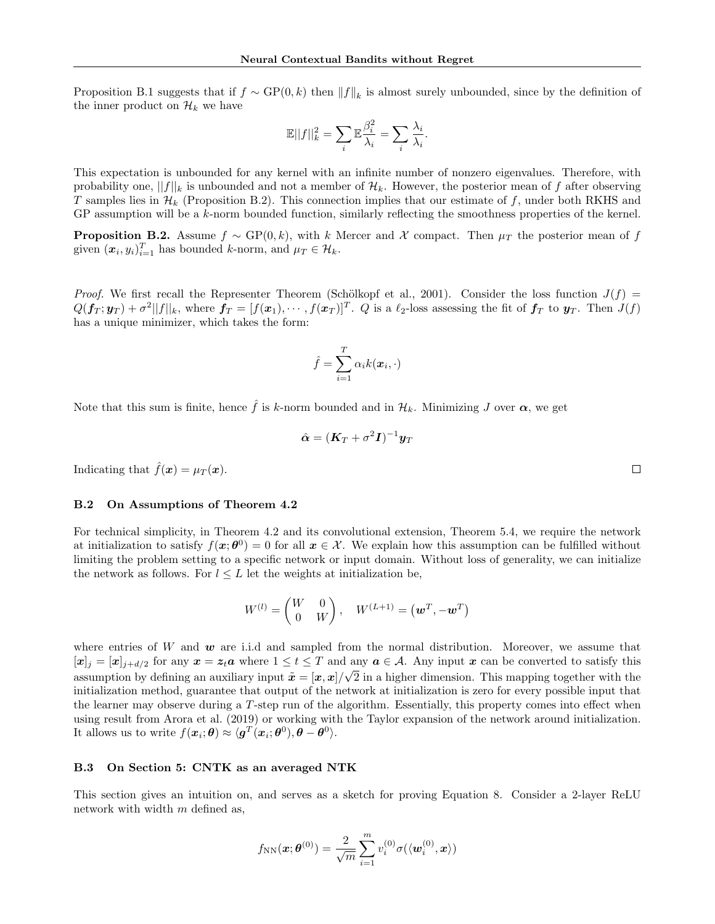Proposition B.1 suggests that if  $f \sim GP(0, k)$  then  $||f||_k$  is almost surely unbounded, since by the definition of the inner product on  $\mathcal{H}_k$  we have

$$
\mathbb{E} ||f||^2_k = \sum_i \mathbb{E} \frac{\beta_i^2}{\lambda_i} = \sum_i \frac{\lambda_i}{\lambda_i}.
$$

This expectation is unbounded for any kernel with an infinite number of nonzero eigenvalues. Therefore, with probability one,  $||f||_k$  is unbounded and not a member of  $\mathcal{H}_k$ . However, the posterior mean of f after observing T samples lies in  $\mathcal{H}_k$  (Proposition B.2). This connection implies that our estimate of f, under both RKHS and GP assumption will be a k-norm bounded function, similarly reflecting the smoothness properties of the kernel.

**Proposition B.2.** Assume  $f \sim GP(0, k)$ , with k Mercer and X compact. Then  $\mu_T$  the posterior mean of f given  $(\boldsymbol{x}_i, y_i)_{i=1}^T$  has bounded k-norm, and  $\mu_T \in \mathcal{H}_k$ .

Proof. We first recall the Representer Theorem (Schölkopf et al., 2001). Consider the loss function  $J(f)$  =  $Q(\bm{f}_T;\bm{y}_T)+\sigma^2||f||_k$ , where  $\bm{f}_T=[f(\bm{x}_1),\cdots,f(\bm{x}_T)]^T$ . Q is a  $\ell_2$ -loss assessing the fit of  $\bm{f}_T$  to  $\bm{y}_T$ . Then  $J(f)$ has a unique minimizer, which takes the form:

$$
\hat{f} = \sum_{i=1}^{T} \alpha_i k(\boldsymbol{x}_i, \cdot)
$$

Note that this sum is finite, hence  $\hat{f}$  is k-norm bounded and in  $\mathcal{H}_k$ . Minimizing J over  $\alpha$ , we get

$$
\hat{\bm{\alpha}} = (\bm{K}_T + \sigma^2\bm{I})^{-1}\bm{y}_T
$$

Indicating that  $\hat{f}(\boldsymbol{x}) = \mu_T(\boldsymbol{x})$ .

#### B.2 On Assumptions of Theorem 4.2

For technical simplicity, in Theorem 4.2 and its convolutional extension, Theorem 5.4, we require the network at initialization to satisfy  $f(x; \theta^0) = 0$  for all  $x \in \mathcal{X}$ . We explain how this assumption can be fulfilled without limiting the problem setting to a specific network or input domain. Without loss of generality, we can initialize the network as follows. For  $l \leq L$  let the weights at initialization be,

$$
W^{(l)} = \begin{pmatrix} W & 0 \\ 0 & W \end{pmatrix}, \quad W^{(L+1)} = (\boldsymbol{w}^T, -\boldsymbol{w}^T)
$$

where entries of W and  $w$  are i.i.d and sampled from the normal distribution. Moreover, we assume that  $[\mathbf{x}]_j = [\mathbf{x}]_{j+d/2}$  for any  $\mathbf{x} = \mathbf{z}_t \mathbf{a}$  where  $1 \le t \le T$  and any  $\mathbf{a} \in \mathcal{A}$ . Any input  $\mathbf{x}$  can be converted to satisfy this assumption by defining an auxiliary input  $\tilde{x} = [x, x]/\sqrt{2}$  in a higher dimension. This mapping together with the initialization method, guarantee that output of the network at initialization is zero for every possible input that the learner may observe during a T-step run of the algorithm. Essentially, this property comes into effect when using result from Arora et al. (2019) or working with the Taylor expansion of the network around initialization. It allows us to write  $f(\boldsymbol{x}_i;\boldsymbol{\theta}) \approx \langle \boldsymbol{g}^T(\boldsymbol{x}_i;\boldsymbol{\theta}^0), \boldsymbol{\theta} - \boldsymbol{\theta}^0 \rangle$ .

#### B.3 On Section 5: CNTK as an averaged NTK

This section gives an intuition on, and serves as a sketch for proving Equation 8. Consider a 2-layer ReLU network with width  $m$  defined as,

$$
f_{\mathrm{NN}}(\boldsymbol{x};\boldsymbol{\theta}^{(0)})=\frac{2}{\sqrt{m}}\sum_{i=1}^{m}v_{i}^{(0)}\sigma(\langle \boldsymbol{w}_{i}^{(0)}, \boldsymbol{x}\rangle)
$$

 $\Box$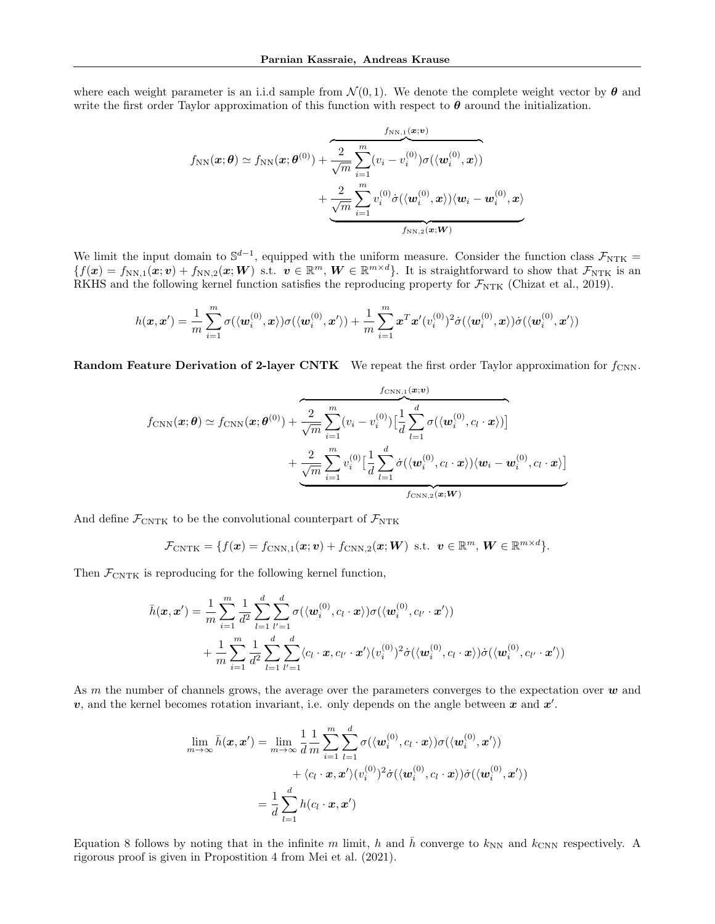where each weight parameter is an i.i.d sample from  $\mathcal{N}(0,1)$ . We denote the complete weight vector by  $\theta$  and write the first order Taylor approximation of this function with respect to  $\theta$  around the initialization.

$$
f_{\mathrm{NN}}(\boldsymbol{x};\boldsymbol{\theta}) \simeq f_{\mathrm{NN}}(\boldsymbol{x};\boldsymbol{\theta}^{(0)}) + \frac{2}{\sqrt{m}} \sum_{i=1}^{m} (v_i - v_i^{(0)}) \sigma(\langle \boldsymbol{w}_i^{(0)}, \boldsymbol{x} \rangle) + \frac{2}{\sqrt{m}} \sum_{i=1}^{m} v_i^{(0)} \dot{\sigma}(\langle \boldsymbol{w}_i^{(0)}, \boldsymbol{x} \rangle) \langle \boldsymbol{w}_i - \boldsymbol{w}_i^{(0)}, \boldsymbol{x} \rangle
$$

We limit the input domain to  $\mathbb{S}^{d-1}$ , equipped with the uniform measure. Consider the function class  $\mathcal{F}_{\text{NTK}} =$  ${f}f(x) = f_{NN,1}(x; v) + f_{NN,2}(x; W)$  s.t.  $v \in \mathbb{R}^m$ ,  $W \in \mathbb{R}^{m \times d}$ . It is straightforward to show that  $\mathcal{F}_{NTK}$  is an RKHS and the following kernel function satisfies the reproducing property for  $\mathcal{F}_{NTK}$  (Chizat et al., 2019).

$$
h(\pmb{x},\pmb{x}')=\frac{1}{m}\sum_{i=1}^{m}\sigma(\langle \pmb{w}_{i}^{(0)},\pmb{x}\rangle)\sigma(\langle \pmb{w}_{i}^{(0)},\pmb{x}'\rangle)+\frac{1}{m}\sum_{i=1}^{m}\pmb{x}^{T}\pmb{x}'(v_{i}^{(0)})^{2}\dot{\sigma}(\langle \pmb{w}_{i}^{(0)},\pmb{x}\rangle)\dot{\sigma}(\langle \pmb{w}_{i}^{(0)},\pmb{x}'\rangle)
$$

**Random Feature Derivation of 2-layer CNTK** We repeat the first order Taylor approximation for  $f_{\text{CNN}}$ .

$$
f_{\text{CNN}}(\boldsymbol{x};\boldsymbol{\theta}) \simeq f_{\text{CNN}}(\boldsymbol{x};\boldsymbol{\theta}^{(0)}) + \overbrace{\sqrt{m}}^2 \sum_{i=1}^m (v_i - v_i^{(0)}) \Big[ \frac{1}{d} \sum_{l=1}^d \sigma(\langle \boldsymbol{w}_i^{(0)}, c_l \cdot \boldsymbol{x} \rangle) \Big] + \underbrace{\frac{2}{\sqrt{m}} \sum_{i=1}^m v_i^{(0)} \Big[ \frac{1}{d} \sum_{l=1}^d \dot{\sigma}(\langle \boldsymbol{w}_i^{(0)}, c_l \cdot \boldsymbol{x} \rangle) \langle \boldsymbol{w}_i - \boldsymbol{w}_i^{(0)}, c_l \cdot \boldsymbol{x} \rangle \Big]}_{f_{\text{CNN},2}(\boldsymbol{x};\boldsymbol{W})}
$$

And define  $\mathcal{F}_{\text{CNTK}}$  to be the convolutional counterpart of  $\mathcal{F}_{\text{NTK}}$ 

$$
\mathcal{F}_{\text{CNTK}} = \{f(\boldsymbol{x}) = f_{\text{CNN},1}(\boldsymbol{x}; \boldsymbol{v}) + f_{\text{CNN},2}(\boldsymbol{x}; \boldsymbol{W}) \text{ s.t. } \boldsymbol{v} \in \mathbb{R}^m, \boldsymbol{W} \in \mathbb{R}^{m \times d}\}.
$$

Then  $\mathcal{F}_{\text{CNTK}}$  is reproducing for the following kernel function,

$$
\bar{h}(\mathbf{x}, \mathbf{x}') = \frac{1}{m} \sum_{i=1}^{m} \frac{1}{d^2} \sum_{l=1}^{d} \sum_{l'=1}^{d} \sigma(\langle \mathbf{w}_i^{(0)}, c_l \cdot \mathbf{x} \rangle) \sigma(\langle \mathbf{w}_i^{(0)}, c_{l'} \cdot \mathbf{x}' \rangle) \n+ \frac{1}{m} \sum_{i=1}^{m} \frac{1}{d^2} \sum_{l=1}^{d} \sum_{l'=1}^{d} \langle c_l \cdot \mathbf{x}, c_{l'} \cdot \mathbf{x}' \rangle (v_i^{(0)})^2 \dot{\sigma}(\langle \mathbf{w}_i^{(0)}, c_l \cdot \mathbf{x} \rangle) \dot{\sigma}(\langle \mathbf{w}_i^{(0)}, c_{l'} \cdot \mathbf{x}' \rangle)
$$

As m the number of channels grows, the average over the parameters converges to the expectation over  $w$  and v, and the kernel becomes rotation invariant, i.e. only depends on the angle between x and  $x'$ .

$$
\lim_{m \to \infty} \bar{h}(\boldsymbol{x}, \boldsymbol{x}') = \lim_{m \to \infty} \frac{1}{d} \frac{1}{m} \sum_{i=1}^{m} \sum_{l=1}^{d} \sigma(\langle \boldsymbol{w}_i^{(0)}, c_l \cdot \boldsymbol{x} \rangle) \sigma(\langle \boldsymbol{w}_i^{(0)}, \boldsymbol{x}' \rangle) \n+ \langle c_l \cdot \boldsymbol{x}, \boldsymbol{x}' \rangle (v_i^{(0)})^2 \dot{\sigma}(\langle \boldsymbol{w}_i^{(0)}, c_l \cdot \boldsymbol{x} \rangle) \dot{\sigma}(\langle \boldsymbol{w}_i^{(0)}, \boldsymbol{x}' \rangle) \n= \frac{1}{d} \sum_{l=1}^{d} h(c_l \cdot \boldsymbol{x}, \boldsymbol{x}')
$$

Equation 8 follows by noting that in the infinite m limit, h and h converge to  $k_{NN}$  and  $k_{CNN}$  respectively. A rigorous proof is given in Propostition 4 from Mei et al. (2021).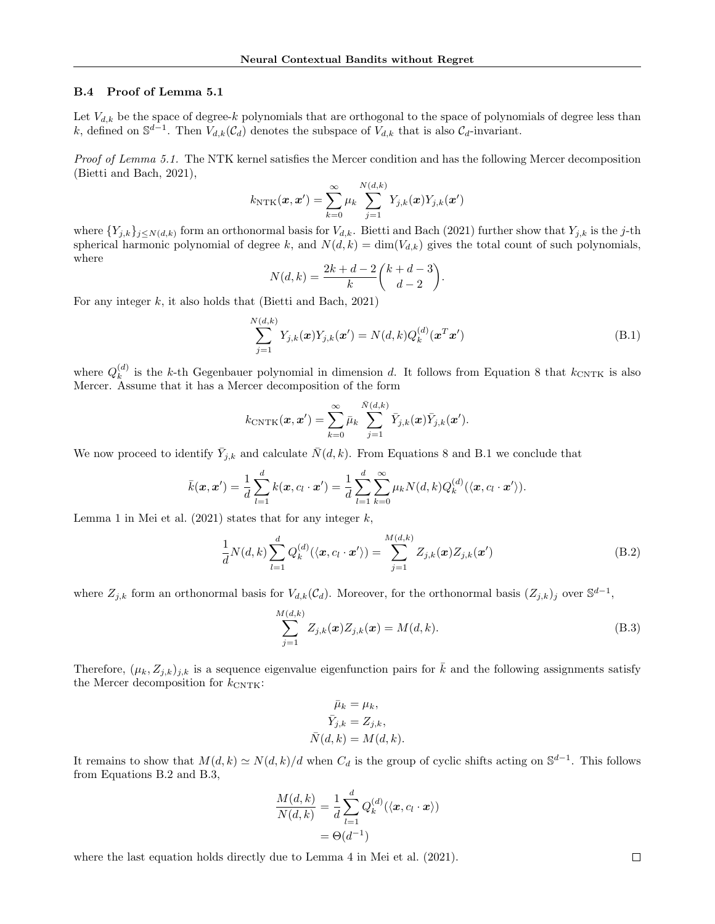#### B.4 Proof of Lemma 5.1

Let  $V_{d,k}$  be the space of degree-k polynomials that are orthogonal to the space of polynomials of degree less than k, defined on  $\mathbb{S}^{d-1}$ . Then  $V_{d,k}(\mathcal{C}_d)$  denotes the subspace of  $V_{d,k}$  that is also  $\mathcal{C}_d$ -invariant.

Proof of Lemma 5.1. The NTK kernel satisfies the Mercer condition and has the following Mercer decomposition (Bietti and Bach, 2021),

$$
k_{\text{NTK}}(\boldsymbol{x}, \boldsymbol{x}') = \sum_{k=0}^{\infty} \mu_k \sum_{j=1}^{N(d,k)} Y_{j,k}(\boldsymbol{x}) Y_{j,k}(\boldsymbol{x}')
$$

where  $\{Y_{j,k}\}_{j\leq N(d,k)}$  form an orthonormal basis for  $V_{d,k}$ . Bietti and Bach (2021) further show that  $Y_{j,k}$  is the j-th spherical harmonic polynomial of degree k, and  $N(d, k) = \dim(V_{d,k})$  gives the total count of such polynomials, where

$$
N(d,k) = \frac{2k + d - 2}{k} {k + d - 3 \choose d - 2}.
$$

For any integer  $k$ , it also holds that (Bietti and Bach, 2021)

$$
\sum_{j=1}^{N(d,k)} Y_{j,k}(\boldsymbol{x}) Y_{j,k}(\boldsymbol{x}') = N(d,k) Q_k^{(d)}(\boldsymbol{x}^T \boldsymbol{x}')
$$
\n(B.1)

where  $Q_k^{(d)}$  $\binom{a}{k}$  is the k-th Gegenbauer polynomial in dimension d. It follows from Equation 8 that  $k_{\text{CNTK}}$  is also Mercer. Assume that it has a Mercer decomposition of the form

$$
k_{\text{CNTK}}(\boldsymbol{x}, \boldsymbol{x}') = \sum_{k=0}^{\infty} \bar{\mu}_k \sum_{j=1}^{\bar{N}(d,k)} \bar{Y}_{j,k}(\boldsymbol{x}) \bar{Y}_{j,k}(\boldsymbol{x}').
$$

We now proceed to identify  $\bar{Y}_{j,k}$  and calculate  $\bar{N}(d, k)$ . From Equations 8 and B.1 we conclude that

$$
\bar{k}(\mathbf{x}, \mathbf{x}') = \frac{1}{d} \sum_{l=1}^{d} k(\mathbf{x}, c_l \cdot \mathbf{x}') = \frac{1}{d} \sum_{l=1}^{d} \sum_{k=0}^{\infty} \mu_k N(d, k) Q_k^{(d)}(\langle \mathbf{x}, c_l \cdot \mathbf{x}' \rangle).
$$

Lemma 1 in Mei et al.  $(2021)$  states that for any integer k,

$$
\frac{1}{d}N(d,k)\sum_{l=1}^{d}Q_{k}^{(d)}(\langle \mathbf{x},c_{l}\cdot\mathbf{x}'\rangle)=\sum_{j=1}^{M(d,k)}Z_{j,k}(\mathbf{x})Z_{j,k}(\mathbf{x}')
$$
(B.2)

where  $Z_{j,k}$  form an orthonormal basis for  $V_{d,k}(\mathcal{C}_d)$ . Moreover, for the orthonormal basis  $(Z_{j,k})_j$  over  $\mathbb{S}^{d-1}$ ,

$$
\sum_{j=1}^{M(d,k)} Z_{j,k}(x) Z_{j,k}(x) = M(d,k).
$$
\n(B.3)

Therefore,  $(\mu_k, Z_{j,k})_{j,k}$  is a sequence eigenvalue eigenfunction pairs for  $\bar{k}$  and the following assignments satisfy the Mercer decomposition for  $k_{\text{CNTK}}$ :

$$
\bar{\mu}_k = \mu_k,
$$
  
\n
$$
\bar{Y}_{j,k} = Z_{j,k},
$$
  
\n
$$
\bar{N}(d,k) = M(d,k).
$$

It remains to show that  $M(d,k) \simeq N(d,k)/d$  when  $C_d$  is the group of cyclic shifts acting on  $\mathbb{S}^{d-1}$ . This follows from Equations B.2 and B.3,

$$
\frac{M(d,k)}{N(d,k)} = \frac{1}{d} \sum_{l=1}^{d} Q_k^{(d)}(\langle \mathbf{x}, c_l \cdot \mathbf{x} \rangle)
$$

$$
= \Theta(d^{-1})
$$

where the last equation holds directly due to Lemma 4 in Mei et al. (2021).

 $\Box$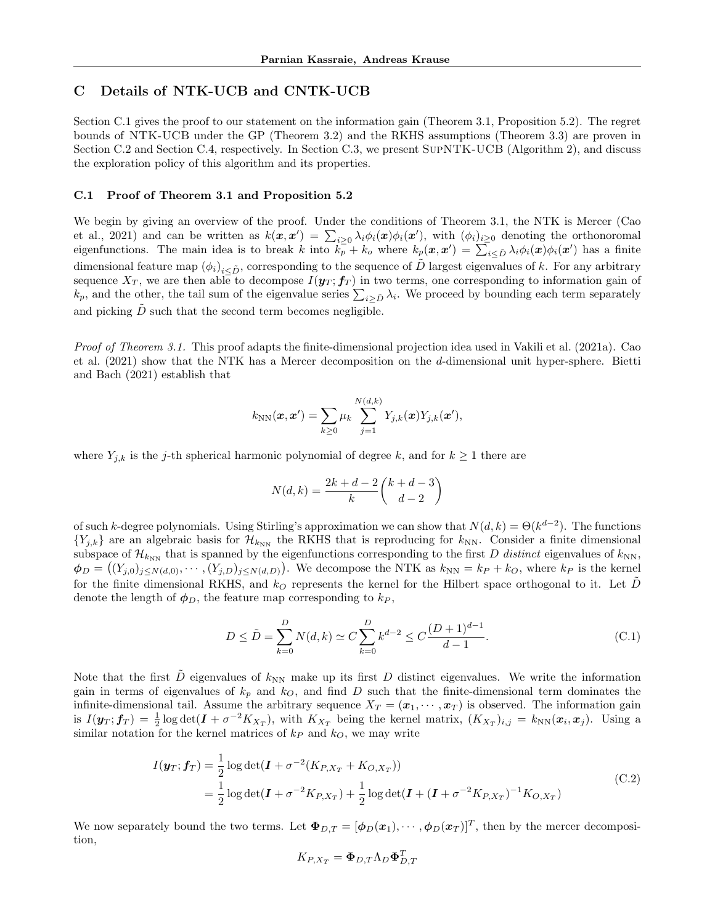# C Details of NTK-UCB and CNTK-UCB

Section C.1 gives the proof to our statement on the information gain (Theorem 3.1, Proposition 5.2). The regret bounds of NTK-UCB under the GP (Theorem 3.2) and the RKHS assumptions (Theorem 3.3) are proven in Section C.2 and Section C.4, respectively. In Section C.3, we present SupNTK-UCB (Algorithm 2), and discuss the exploration policy of this algorithm and its properties.

#### C.1 Proof of Theorem 3.1 and Proposition 5.2

We begin by giving an overview of the proof. Under the conditions of Theorem 3.1, the NTK is Mercer (Cao et al., 2021) and can be written as  $k(x, x') = \sum_{i \geq 0} \lambda_i \phi_i(x) \phi_i(x')$ , with  $(\phi_i)_{i \geq 0}$  denoting the orthonoromal eigenfunctions. The main idea is to break k into  $k_p^{\dagger} + k_o$  where  $k_p(x, x') = \sum_{i \leq \tilde{D}} \lambda_i \phi_i(x) \phi_i(x')$  has a finite dimensional feature map  $(\phi_i)_{i\leq \tilde{D}}$ , corresponding to the sequence of  $\tilde{D}$  largest eigenvalues of k. For any arbitrary sequence  $X_T$ , we are then able to decompose  $I(\mathbf{y}_T; \mathbf{f}_T)$  in two terms, one corresponding to information gain of  $k_p$ , and the other, the tail sum of the eigenvalue series  $\sum_{i\geq \tilde{D}}\lambda_i$ . We proceed by bounding each term separately and picking  $D$  such that the second term becomes negligible.

Proof of Theorem 3.1. This proof adapts the finite-dimensional projection idea used in Vakili et al. (2021a). Cao et al. (2021) show that the NTK has a Mercer decomposition on the d-dimensional unit hyper-sphere. Bietti and Bach (2021) establish that

$$
k_{\text{NN}}(\boldsymbol{x}, \boldsymbol{x}') = \sum_{k \geq 0} \mu_k \sum_{j=1}^{N(d,k)} Y_{j,k}(\boldsymbol{x}) Y_{j,k}(\boldsymbol{x}'),
$$

where  $Y_{j,k}$  is the j-th spherical harmonic polynomial of degree k, and for  $k \geq 1$  there are

$$
N(d,k) = \frac{2k + d - 2}{k} {k + d - 3 \choose d - 2}
$$

of such k-degree polynomials. Using Stirling's approximation we can show that  $N(d, k) = \Theta(k^{d-2})$ . The functions  ${Y_{j,k}}$  are an algebraic basis for  $\mathcal{H}_{k_{\text{NN}}}$  the RKHS that is reproducing for  $k_{\text{NN}}$ . Consider a finite dimensional subspace of  $\mathcal{H}_{k_{NN}}$  that is spanned by the eigenfunctions corresponding to the first D distinct eigenvalues of  $k_{NN}$ ,  $\phi_D = ((Y_{j,0})_{j \leq N(d,0)}, \cdots, (Y_{j,D})_{j \leq N(d,D)})$ . We decompose the NTK as  $k_{NN} = k_P + k_O$ , where  $k_P$  is the kernel for the finite dimensional RKHS, and  $k_Q$  represents the kernel for the Hilbert space orthogonal to it. Let  $\tilde{D}$ denote the length of  $\phi_D$ , the feature map corresponding to  $k_P$ ,

$$
D \le \tilde{D} = \sum_{k=0}^{D} N(d, k) \simeq C \sum_{k=0}^{D} k^{d-2} \le C \frac{(D+1)^{d-1}}{d-1}.
$$
 (C.1)

Note that the first  $\tilde{D}$  eigenvalues of  $k_{NN}$  make up its first D distinct eigenvalues. We write the information gain in terms of eigenvalues of  $k_p$  and  $k_Q$ , and find D such that the finite-dimensional term dominates the infinite-dimensional tail. Assume the arbitrary sequence  $X_T = (\mathbf{x}_1, \dots, \mathbf{x}_T)$  is observed. The information gain is  $I(\mathbf{y}_T; \mathbf{f}_T) = \frac{1}{2} \log \det(\mathbf{I} + \sigma^{-2} K_{X_T})$ , with  $K_{X_T}$  being the kernel matrix,  $(K_{X_T})_{i,j} = k_{NN}(\mathbf{x}_i, \mathbf{x}_j)$ . Using a similar notation for the kernel matrices of  $k_P$  and  $k_O$ , we may write

$$
I(\mathbf{y}_T; \mathbf{f}_T) = \frac{1}{2} \log \det(\mathbf{I} + \sigma^{-2} (K_{P,X_T} + K_{O,X_T}))
$$
  
=  $\frac{1}{2} \log \det(\mathbf{I} + \sigma^{-2} K_{P,X_T}) + \frac{1}{2} \log \det(\mathbf{I} + (\mathbf{I} + \sigma^{-2} K_{P,X_T})^{-1} K_{O,X_T})$  (C.2)

We now separately bound the two terms. Let  $\Phi_{D,T} = [\phi_D(\mathbf{x}_1), \cdots, \phi_D(\mathbf{x}_T)]^T$ , then by the mercer decomposition,

$$
K_{P,X_T} = \mathbf{\Phi}_{D,T} \Lambda_D \mathbf{\Phi}_{D,T}^T
$$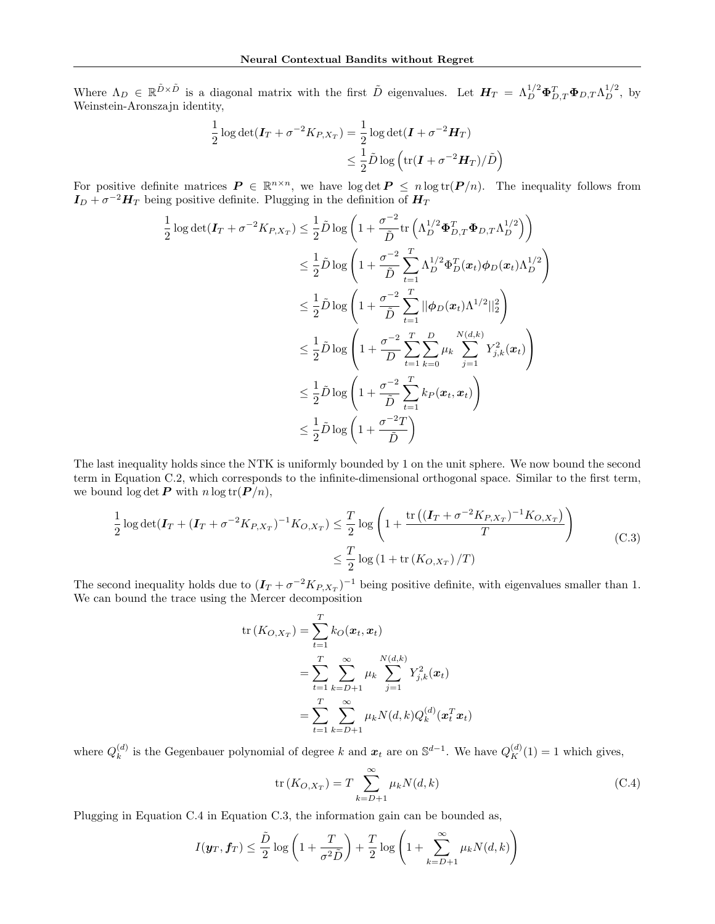Where  $\Lambda_D \in \mathbb{R}^{\tilde{D}\times \tilde{D}}$  is a diagonal matrix with the first  $\tilde{D}$  eigenvalues. Let  $H_T = \Lambda_D^{1/2} \Phi_{D,T}^T \Phi_{D,T} \Lambda_D^{1/2}$ , by Weinstein-Aronszajn identity,

$$
\frac{1}{2}\log\det(\mathbf{I}_T + \sigma^{-2}K_{P,X_T}) = \frac{1}{2}\log\det(\mathbf{I} + \sigma^{-2}\mathbf{H}_T)
$$
  

$$
\leq \frac{1}{2}\tilde{D}\log\left(\text{tr}(\mathbf{I} + \sigma^{-2}\mathbf{H}_T)/\tilde{D}\right)
$$

For positive definite matrices  $P \in \mathbb{R}^{n \times n}$ , we have  $\log \det P \leq n \log \text{tr}(P/n)$ . The inequality follows from  $I_D + \sigma^{-2} H_T$  being positive definite. Plugging in the definition of  $H_T$ 

$$
\frac{1}{2}\log\det(\mathbf{I}_T + \sigma^{-2}K_{P,X_T}) \leq \frac{1}{2}\tilde{D}\log\left(1 + \frac{\sigma^{-2}}{\tilde{D}}\text{tr}\left(\Lambda_D^{1/2}\Phi_{D,T}^T\Phi_{D,T}\Lambda_D^{1/2}\right)\right)
$$
\n
$$
\leq \frac{1}{2}\tilde{D}\log\left(1 + \frac{\sigma^{-2}}{\tilde{D}}\sum_{t=1}^T\Lambda_D^{1/2}\Phi_D^T(\boldsymbol{x}_t)\phi_D(\boldsymbol{x}_t)\Lambda_D^{1/2}\right)
$$
\n
$$
\leq \frac{1}{2}\tilde{D}\log\left(1 + \frac{\sigma^{-2}}{\tilde{D}}\sum_{t=1}^T||\phi_D(\boldsymbol{x}_t)\Lambda^{1/2}||_2^2\right)
$$
\n
$$
\leq \frac{1}{2}\tilde{D}\log\left(1 + \frac{\sigma^{-2}}{D}\sum_{t=1}^T\sum_{k=0}^D\mu_k\sum_{j=1}^{N(d,k)}Y_{j,k}^2(\boldsymbol{x}_t)\right)
$$
\n
$$
\leq \frac{1}{2}\tilde{D}\log\left(1 + \frac{\sigma^{-2}}{\tilde{D}}\sum_{t=1}^T k_P(\boldsymbol{x}_t,\boldsymbol{x}_t)\right)
$$
\n
$$
\leq \frac{1}{2}\tilde{D}\log\left(1 + \frac{\sigma^{-2}T}{\tilde{D}}\right)
$$

The last inequality holds since the NTK is uniformly bounded by 1 on the unit sphere. We now bound the second term in Equation C.2, which corresponds to the infinite-dimensional orthogonal space. Similar to the first term, we bound  $\log \det P$  with  $n \log tr(P/n)$ ,

$$
\frac{1}{2}\log\det(\mathbf{I}_T + (\mathbf{I}_T + \sigma^{-2}K_{P,X_T})^{-1}K_{O,X_T}) \le \frac{T}{2}\log\left(1 + \frac{\text{tr}\left((\mathbf{I}_T + \sigma^{-2}K_{P,X_T})^{-1}K_{O,X_T}\right)}{T}\right)
$$
\n
$$
\le \frac{T}{2}\log\left(1 + \text{tr}\left(K_{O,X_T}\right)/T\right)
$$
\n(C.3)

The second inequality holds due to  $(I_T + \sigma^{-2} K_{P,X_T})^{-1}$  being positive definite, with eigenvalues smaller than 1. We can bound the trace using the Mercer decomposition

$$
\text{tr}(K_{O,X_T}) = \sum_{t=1}^T k_O(\boldsymbol{x}_t, \boldsymbol{x}_t)
$$
\n
$$
= \sum_{t=1}^T \sum_{k=D+1}^\infty \mu_k \sum_{j=1}^{N(d,k)} Y_{j,k}^2(\boldsymbol{x}_t)
$$
\n
$$
= \sum_{t=1}^T \sum_{k=D+1}^\infty \mu_k N(d,k) Q_k^{(d)}(\boldsymbol{x}_t^T \boldsymbol{x}_t)
$$

where  $Q_k^{(d)}$  $\kappa_k^{(d)}$  is the Gegenbauer polynomial of degree k and  $x_t$  are on  $\mathbb{S}^{d-1}$ . We have  $Q_K^{(d)}(1) = 1$  which gives,

$$
\operatorname{tr}\left(K_{O,X_T}\right) = T \sum_{k=D+1}^{\infty} \mu_k N(d,k) \tag{C.4}
$$

Plugging in Equation C.4 in Equation C.3, the information gain can be bounded as,

$$
I(\boldsymbol{y}_T, \boldsymbol{f}_T) \le \frac{\tilde{D}}{2} \log \left( 1 + \frac{T}{\sigma^2 \tilde{D}} \right) + \frac{T}{2} \log \left( 1 + \sum_{k=D+1}^{\infty} \mu_k N(d, k) \right)
$$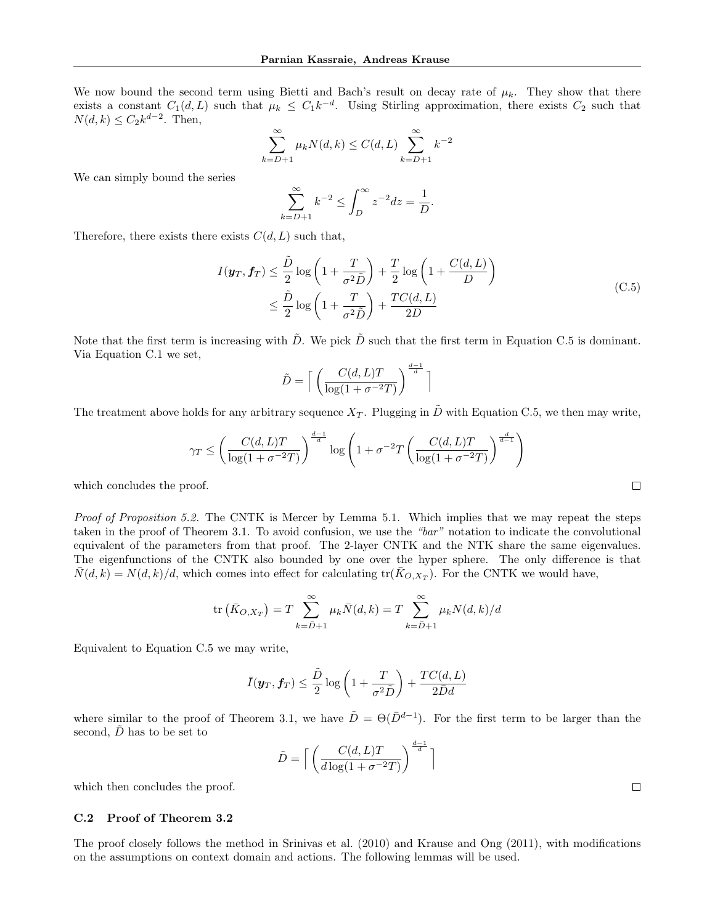We now bound the second term using Bietti and Bach's result on decay rate of  $\mu_k$ . They show that there exists a constant  $C_1(d,L)$  such that  $\mu_k \leq C_1 k^{-d}$ . Using Stirling approximation, there exists  $C_2$  such that  $N(d, k) \leq C_2 k^{d-2}$ . Then,

$$
\sum_{k=D+1}^{\infty} \mu_k N(d, k) \le C(d, L) \sum_{k=D+1}^{\infty} k^{-2}
$$

We can simply bound the series

$$
\sum_{k=D+1}^{\infty} k^{-2} \le \int_{D}^{\infty} z^{-2} dz = \frac{1}{D}.
$$

Therefore, there exists there exists  $C(d, L)$  such that,

$$
I(\mathbf{y}_T, \mathbf{f}_T) \leq \frac{\tilde{D}}{2} \log \left( 1 + \frac{T}{\sigma^2 \tilde{D}} \right) + \frac{T}{2} \log \left( 1 + \frac{C(d, L)}{D} \right)
$$
  

$$
\leq \frac{\tilde{D}}{2} \log \left( 1 + \frac{T}{\sigma^2 \tilde{D}} \right) + \frac{TC(d, L)}{2D}
$$
 (C.5)

Note that the first term is increasing with  $\tilde{D}$ . We pick  $\tilde{D}$  such that the first term in Equation C.5 is dominant. Via Equation C.1 we set,

$$
\tilde{D} = \left\lceil \left( \frac{C(d, L)T}{\log(1 + \sigma^{-2}T)} \right)^{\frac{d-1}{d}} \right\rceil
$$

The treatment above holds for any arbitrary sequence  $X_T$ . Plugging in D with Equation C.5, we then may write,

$$
\gamma_T \le \left(\frac{C(d, L)T}{\log(1 + \sigma^{-2}T)}\right)^{\frac{d-1}{d}} \log\left(1 + \sigma^{-2}T\left(\frac{C(d, L)T}{\log(1 + \sigma^{-2}T)}\right)^{\frac{d}{d-1}}\right)
$$

which concludes the proof.

Proof of Proposition 5.2. The CNTK is Mercer by Lemma 5.1. Which implies that we may repeat the steps taken in the proof of Theorem 3.1. To avoid confusion, we use the "bar" notation to indicate the convolutional equivalent of the parameters from that proof. The 2-layer CNTK and the NTK share the same eigenvalues. The eigenfunctions of the CNTK also bounded by one over the hyper sphere. The only difference is that  $\overline{N}(d, k) = N(d, k)/d$ , which comes into effect for calculating  $tr(\overline{K}_{O, X_T})$ . For the CNTK we would have,

$$
\text{tr}\left(\bar{K}_{O,X_T}\right) = T \sum_{k=\bar{D}+1}^{\infty} \mu_k \bar{N}(d,k) = T \sum_{k=\bar{D}+1}^{\infty} \mu_k N(d,k)/d
$$

Equivalent to Equation C.5 we may write,

$$
\bar{I}(\boldsymbol{y}_T, \boldsymbol{f}_T) \leq \frac{\tilde{D}}{2} \log \left( 1 + \frac{T}{\sigma^2 \tilde{D}} \right) + \frac{TC(d, L)}{2\bar{D}d}
$$

where similar to the proof of Theorem 3.1, we have  $\tilde{D} = \Theta(\bar{D}^{d-1})$ . For the first term to be larger than the second,  $\ddot{D}$  has to be set to

$$
\tilde{D} = \left\lceil \left( \frac{C(d, L)T}{d \log(1 + \sigma^{-2}T)} \right)^{\frac{d-1}{d}} \right\rceil
$$

which then concludes the proof.

### C.2 Proof of Theorem 3.2

The proof closely follows the method in Srinivas et al. (2010) and Krause and Ong (2011), with modifications on the assumptions on context domain and actions. The following lemmas will be used.

 $\Box$ 

 $\Box$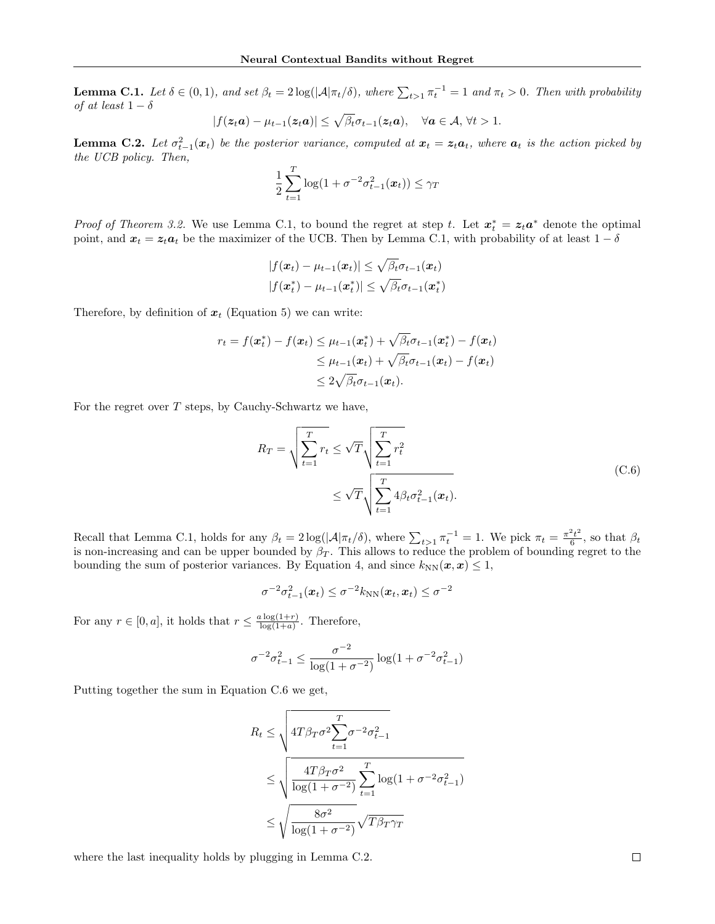**Lemma C.1.** Let  $\delta \in (0,1)$ , and set  $\beta_t = 2\log(|\mathcal{A}|\pi_t/\delta)$ , where  $\sum_{t>1} \pi_t^{-1} = 1$  and  $\pi_t > 0$ . Then with probability of at least  $1 - \delta$ 

$$
|f(\boldsymbol{z}_t \boldsymbol{a}) - \mu_{t-1}(\boldsymbol{z}_t \boldsymbol{a})| \leq \sqrt{\beta_t} \sigma_{t-1}(\boldsymbol{z}_t \boldsymbol{a}), \quad \forall \boldsymbol{a} \in \mathcal{A}, \forall t > 1.
$$

**Lemma C.2.** Let  $\sigma_{t-1}^2(x_t)$  be the posterior variance, computed at  $x_t = z_t a_t$ , where  $a_t$  is the action picked by the UCB policy. Then,

$$
\frac{1}{2}\sum_{t=1}^T \log(1+\sigma^{-2}\sigma_{t-1}^2(\boldsymbol{x}_t)) \leq \gamma_T
$$

*Proof of Theorem 3.2.* We use Lemma C.1, to bound the regret at step t. Let  $x_t^* = z_t a^*$  denote the optimal point, and  $x_t = z_t a_t$  be the maximizer of the UCB. Then by Lemma C.1, with probability of at least  $1 - \delta$ 

$$
|f(\boldsymbol{x}_t) - \mu_{t-1}(\boldsymbol{x}_t)| \leq \sqrt{\beta_t} \sigma_{t-1}(\boldsymbol{x}_t)
$$
  

$$
|f(\boldsymbol{x}_t^*) - \mu_{t-1}(\boldsymbol{x}_t^*)| \leq \sqrt{\beta_t} \sigma_{t-1}(\boldsymbol{x}_t^*)
$$

Therefore, by definition of  $x_t$  (Equation 5) we can write:

$$
r_t = f(\boldsymbol{x}_t^*) - f(\boldsymbol{x}_t) \leq \mu_{t-1}(\boldsymbol{x}_t^*) + \sqrt{\beta_t} \sigma_{t-1}(\boldsymbol{x}_t^*) - f(\boldsymbol{x}_t)
$$
  
\n
$$
\leq \mu_{t-1}(\boldsymbol{x}_t) + \sqrt{\beta_t} \sigma_{t-1}(\boldsymbol{x}_t) - f(\boldsymbol{x}_t)
$$
  
\n
$$
\leq 2\sqrt{\beta_t} \sigma_{t-1}(\boldsymbol{x}_t).
$$

For the regret over  $T$  steps, by Cauchy-Schwartz we have,

$$
R_T = \sqrt{\sum_{t=1}^T r_t} \le \sqrt{T} \sqrt{\sum_{t=1}^T r_t^2}
$$
  

$$
\le \sqrt{T} \sqrt{\sum_{t=1}^T 4\beta_t \sigma_{t-1}^2(\boldsymbol{x}_t)}.
$$
 (C.6)

Recall that Lemma C.1, holds for any  $\beta_t = 2\log(|\mathcal{A}|\pi_t/\delta)$ , where  $\sum_{t>1} \pi_t^{-1} = 1$ . We pick  $\pi_t = \frac{\pi^2 t^2}{6}$  $\frac{e_t}{6}$ , so that  $\beta_t$ is non-increasing and can be upper bounded by  $\beta_T$ . This allows to reduce the problem of bounding regret to the bounding the sum of posterior variances. By Equation 4, and since  $k_{NN}(x, x) \leq 1$ ,

$$
\sigma^{-2}\sigma_{t-1}^2(\boldsymbol{x}_t) \leq \sigma^{-2}k_{\text{NN}}(\boldsymbol{x}_t,\boldsymbol{x}_t) \leq \sigma^{-2}
$$

For any  $r \in [0, a]$ , it holds that  $r \leq \frac{a \log(1+r)}{\log(1+a)}$  $\frac{\log(1+r)}{\log(1+a)}$ . Therefore,

$$
\sigma^{-2} \sigma_{t-1}^2 \le \frac{\sigma^{-2}}{\log(1 + \sigma^{-2})} \log(1 + \sigma^{-2} \sigma_{t-1}^2)
$$

Putting together the sum in Equation C.6 we get,

$$
R_t \le \sqrt{4T\beta_T\sigma^2 \sum_{t=1}^T \sigma^{-2} \sigma_{t-1}^2}
$$
  

$$
\le \sqrt{\frac{4T\beta_T\sigma^2}{\log(1+\sigma^{-2})} \sum_{t=1}^T \log(1+\sigma^{-2} \sigma_{t-1}^2)}
$$
  

$$
\le \sqrt{\frac{8\sigma^2}{\log(1+\sigma^{-2})}} \sqrt{T\beta_T\gamma_T}
$$

where the last inequality holds by plugging in Lemma C.2.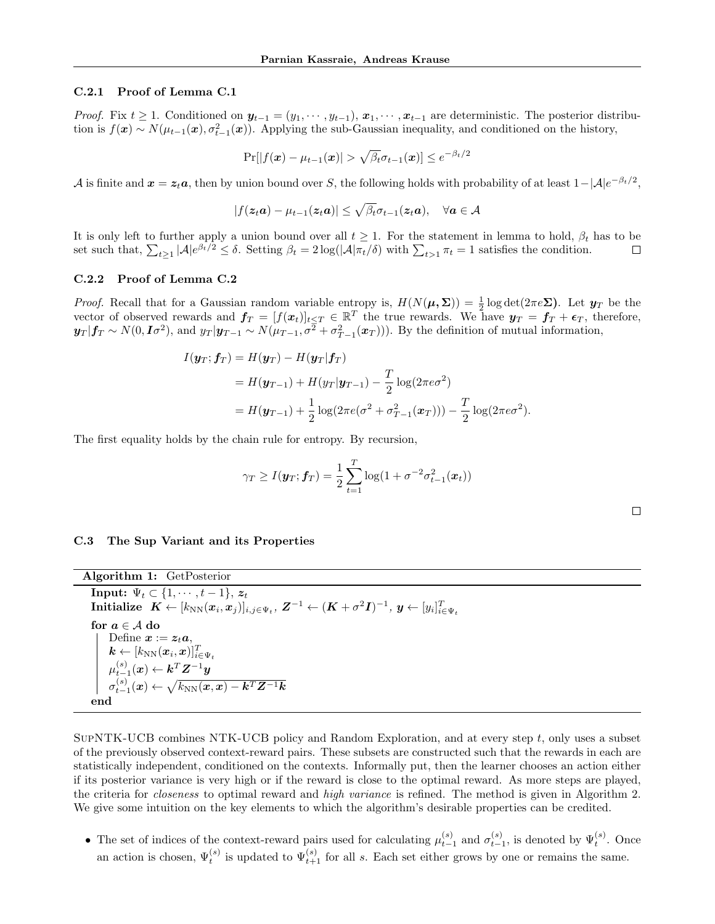#### C.2.1 Proof of Lemma C.1

*Proof.* Fix  $t \geq 1$ . Conditioned on  $y_{t-1} = (y_1, \dots, y_{t-1}), x_1, \dots, x_{t-1}$  are deterministic. The posterior distribution is  $f(\mathbf{x}) \sim N(\mu_{t-1}(\mathbf{x}), \sigma_{t-1}^2(\mathbf{x}))$ . Applying the sub-Gaussian inequality, and conditioned on the history,

$$
\Pr[|f(\boldsymbol{x}) - \mu_{t-1}(\boldsymbol{x})| > \sqrt{\beta_t} \sigma_{t-1}(\boldsymbol{x})] \le e^{-\beta_t/2}
$$

A is finite and  $x = z_t a$ , then by union bound over S, the following holds with probability of at least  $1 - |\mathcal{A}|e^{-\beta_t/2}$ ,

$$
|f(\boldsymbol{z}_t \boldsymbol{a}) - \mu_{t-1}(\boldsymbol{z}_t \boldsymbol{a})| \leq \sqrt{\beta_t} \sigma_{t-1}(\boldsymbol{z}_t \boldsymbol{a}), \quad \forall \boldsymbol{a} \in \mathcal{A}
$$

It is only left to further apply a union bound over all  $t \geq 1$ . For the statement in lemma to hold,  $\beta_t$  has to be set such that,  $\sum_{t\geq 1} |\mathcal{A}| e^{\beta_t/2} \leq \delta$ . Setting  $\beta_t = 2\log(|\mathcal{A}|\pi_t/\delta)$  with  $\sum_{t>1} \pi_t = 1$  satisfies the condition.  $\Box$ 

#### C.2.2 Proof of Lemma C.2

*Proof.* Recall that for a Gaussian random variable entropy is,  $H(N(\mu, \Sigma)) = \frac{1}{2} \log \det(2 \pi e \Sigma)$ . Let  $y_T$  be the vector of observed rewards and  $f_T = [f(x_t)]_{t \le T} \in \mathbb{R}^T$  the true rewards. We have  $y_T = f_T + \epsilon_T$ , therefore,  $y_T | f_T \sim N(0, I\sigma^2)$ , and  $y_T | y_{T-1} \sim N(\mu_{T-1}, \sigma^2 + \sigma^2_{T-1}(x_T))$ ). By the definition of mutual information,

$$
I(\mathbf{y}_T; \mathbf{f}_T) = H(\mathbf{y}_T) - H(\mathbf{y}_T | \mathbf{f}_T)
$$
  
=  $H(\mathbf{y}_{T-1}) + H(\mathbf{y}_T | \mathbf{y}_{T-1}) - \frac{T}{2} \log(2\pi e \sigma^2)$   
=  $H(\mathbf{y}_{T-1}) + \frac{1}{2} \log(2\pi e (\sigma^2 + \sigma_{T-1}^2(\mathbf{x}_T))) - \frac{T}{2} \log(2\pi e \sigma^2).$ 

The first equality holds by the chain rule for entropy. By recursion,

$$
\gamma_T \ge I(\boldsymbol{y}_T; \boldsymbol{f}_T) = \frac{1}{2} \sum_{t=1}^T \log(1 + \sigma^{-2} \sigma_{t-1}^2(\boldsymbol{x}_t))
$$

#### C.3 The Sup Variant and its Properties

| Algorithm 1: GetPosterior                                                                                                                         |
|---------------------------------------------------------------------------------------------------------------------------------------------------|
| Input: $\Psi_t \subset \{1, \cdots, t-1\}, z_t$                                                                                                   |
| Initialize $K \leftarrow [k_{NN}(x_i, x_j)]_{i,j \in \Psi_t}$ , $Z^{-1} \leftarrow (K + \sigma^2 I)^{-1}$ , $y \leftarrow [y_i]_{i \in \Psi_t}^T$ |
| for $a \in A$ do                                                                                                                                  |
| Define $x := z_t a$ ,                                                                                                                             |
| $\mathbf{k} \leftarrow [k_{\text{NN}}(\boldsymbol{x}_i, \boldsymbol{x})]_{i \in \Psi_1}^T$                                                        |
| $\mu_{t-1}^{(s)}(\boldsymbol{x}) \leftarrow \boldsymbol{k}^T \boldsymbol{Z}^{-1} \boldsymbol{y}$                                                  |
| $\sigma_{t-1}^{(s)}(x) \leftarrow \sqrt{k_{\text{NN}}(x,x) - k^T Z^{-1} k}$                                                                       |
| end                                                                                                                                               |

 $SUPNTK-UCB$  combines NTK-UCB policy and Random Exploration, and at every step  $t$ , only uses a subset of the previously observed context-reward pairs. These subsets are constructed such that the rewards in each are statistically independent, conditioned on the contexts. Informally put, then the learner chooses an action either if its posterior variance is very high or if the reward is close to the optimal reward. As more steps are played, the criteria for *closeness* to optimal reward and *high variance* is refined. The method is given in Algorithm 2. We give some intuition on the key elements to which the algorithm's desirable properties can be credited.

• The set of indices of the context-reward pairs used for calculating  $\mu_{t-1}^{(s)}$  and  $\sigma_{t-1}^{(s)}$ , is denoted by  $\Psi_t^{(s)}$ . Once an action is chosen,  $\Psi_t^{(s)}$  is updated to  $\Psi_{t+1}^{(s)}$  for all s. Each set either grows by one or remains the same.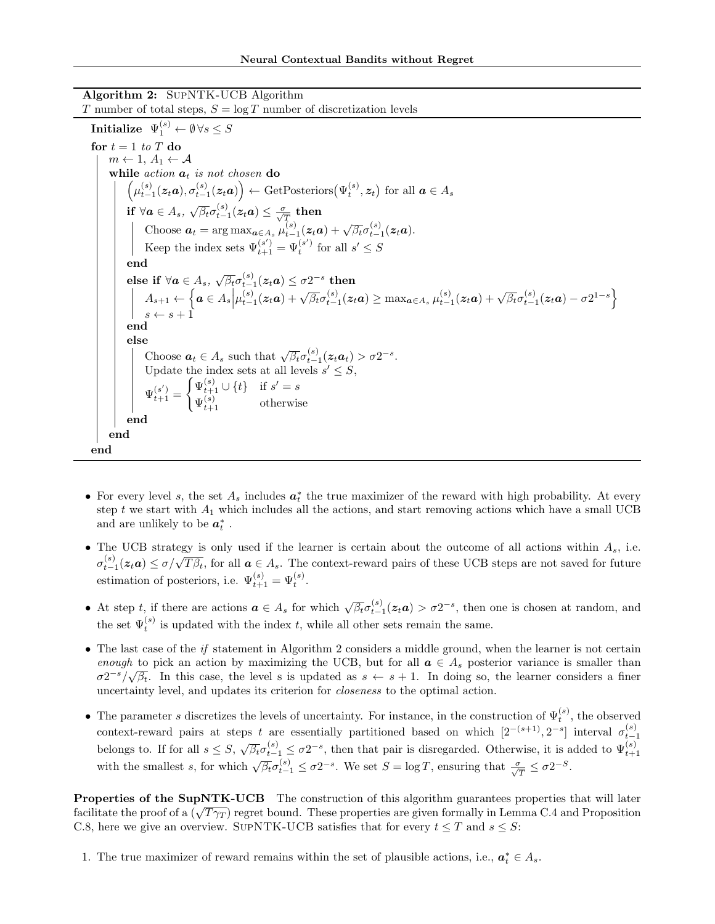Algorithm 2: SupNTK-UCB Algorithm

T number of total steps,  $S = \log T$  number of discretization levels  $\textbf{Initialize} \;\; \Psi_1^{(s)} \leftarrow \emptyset \, \forall s \leq S$ for  $t = 1$  to T do  $m \leftarrow 1, A_1 \leftarrow A$ while  $action \ a_t$  is not chosen do  $\left(\mu_{t-1}^{(s)}(z_t a), \sigma_{t-1}^{(s)}(z_t a)\right) \leftarrow \text{GetPosteriors}(\Psi_t^{(s)}, z_t)$  for all  $a \in A_s$ if  $\forall a \in A_s$ ,  $\sqrt{\beta_t} \sigma_{t-1}^{(s)}(z_t a) \leq \frac{\sigma}{\sqrt{T}}$  then Choose  $\mathbf{a}_t = \arg \max_{\mathbf{a} \in A_s} \mu_{t-1}^{(s)}(z_t \mathbf{a}) + \sqrt{\beta_t} \sigma_{t-1}^{(s)}(z_t \mathbf{a}).$ Keep the index sets  $\Psi_{t+1}^{(s')} = \Psi_t^{(s')}$  for all  $s' \leq S$ end  $\text{else if }\forall\bm{a}\in A_{s},\ \sqrt{\beta_{t}}\sigma_{t-1}^{(s)}(\bm{z}_{t}\bm{a})\leq\sigma2^{-s}\,\,\text{then}$  $A_{s+1} \leftarrow \left\{ a \in A_s \middle| \mu_{t-1}^{(s)}(z_t a) + \sqrt{\beta_t} \sigma_{t-1}^{(s)}(z_t a) \ge \max_{a \in A_s} \mu_{t-1}^{(s)}(z_t a) + \sqrt{\beta_t} \sigma_{t-1}^{(s)}(z_t a) - \sigma 2^{1-s} \right\}$  $s \leftarrow s + 1$ end else Choose  $a_t \in A_s$  such that  $\sqrt{\beta_t} \sigma_{t-1}^{(s)}(z_t a_t) > \sigma 2^{-s}$ . Update the index sets at all levels  $s' \leq S$ ,  $\Psi_{t+1}^{(s')} =$  $\int \Psi_{t+1}^{(s)} \cup \{t\}$  if  $s' = s$  $\Psi_{t+1}^{(s)}$  otherwise end end end

- For every level s, the set  $A_s$  includes  $a_t^*$  the true maximizer of the reward with high probability. At every step t we start with  $A_1$  which includes all the actions, and start removing actions which have a small UCB and are unlikely to be  $a_t^*$  .
- The UCB strategy is only used if the learner is certain about the outcome of all actions within  $A_s$ , i.e. The OCB strategy is only used if the realiter is certain about the outcome of an actions within  $\pi s$ , i.e.<br> $\sigma_{t-1}^{(s)}(z_t a) \leq \sigma/\sqrt{T\beta_t}$ , for all  $a \in A_s$ . The context-reward pairs of these UCB steps are not saved for fu estimation of posteriors, i.e.  $\Psi_{t+1}^{(s)} = \Psi_t^{(s)}$ .
- At step t, if there are actions  $a \in A_s$  for which  $\sqrt{\beta_t} \sigma_{t-1}^{(s)}(z_t a) > \sigma 2^{-s}$ , then one is chosen at random, and the set  $\Psi_t^{(s)}$  is updated with the index t, while all other sets remain the same.
- The last case of the *if* statement in Algorithm 2 considers a middle ground, when the learner is not certain enough to pick an action by maximizing the UCB, but for all  $a \in A_s$  posterior variance is smaller than  $\sigma 2^{-s}/\sqrt{\beta_t}$ . In this case, the level s is updated as  $s \leftarrow s + 1$ . In doing so, the learner considers a finer uncertainty level, and updates its criterion for closeness to the optimal action.
- The parameter s discretizes the levels of uncertainty. For instance, in the construction of  $\Psi_t^{(s)}$ , the observed context-reward pairs at steps t are essentially partitioned based on which  $[2^{-(s+1)}, 2^{-s}]$  interval  $\sigma_{t-1}^{(s)}$ belongs to. If for all  $s \leq S$ ,  $\sqrt{\beta_t} \sigma_{t-1}^{(s)} \leq \sigma 2^{-s}$ , then that pair is disregarded. Otherwise, it is added to  $\Psi_{t+1}^{(s)}$ with the smallest s, for which  $\sqrt{\beta_t} \sigma_{t-1}^{(s)} \leq \sigma 2^{-s}$ . We set  $S = \log T$ , ensuring that  $\frac{\sigma}{\sqrt{T}} \leq \sigma 2^{-S}$ .

Properties of the SupNTK-UCB The construction of this algorithm guarantees properties that will later **Froperties of the Supin IR-OCB** The construction of this algorithm guarantees properties that will later facilitate the proof of a  $(\sqrt{T\gamma_T})$  regret bound. These properties are given formally in Lemma C.4 and Proposition C.8, here we give an overview. SUPNTK-UCB satisfies that for every  $t \leq T$  and  $s \leq S$ :

1. The true maximizer of reward remains within the set of plausible actions, i.e.,  $a_t^* \in A_s$ .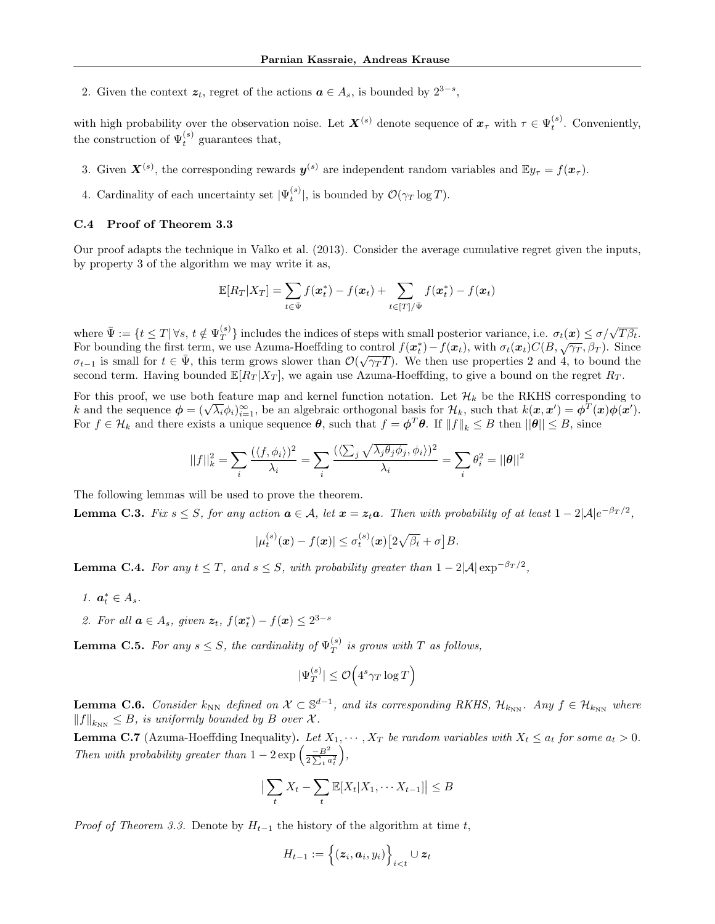2. Given the context  $z_t$ , regret of the actions  $a \in A_s$ , is bounded by  $2^{3-s}$ ,

with high probability over the observation noise. Let  $\mathbf{X}^{(s)}$  denote sequence of  $\mathbf{x}_{\tau}$  with  $\tau \in \Psi_t^{(s)}$ . Conveniently, the construction of  $\Psi_t^{(s)}$  guarantees that,

- 3. Given  $X^{(s)}$ , the corresponding rewards  $y^{(s)}$  are independent random variables and  $\mathbb{E}y_{\tau} = f(x_{\tau}).$
- 4. Cardinality of each uncertainty set  $|\Psi_t^{(s)}|$ , is bounded by  $\mathcal{O}(\gamma_T \log T)$ .

## C.4 Proof of Theorem 3.3

Our proof adapts the technique in Valko et al. (2013). Consider the average cumulative regret given the inputs, by property 3 of the algorithm we may write it as,

$$
\mathbb{E}[R_T|X_T] = \sum_{t \in \bar{\Psi}} f(\mathbf{x}_t^*) - f(\mathbf{x}_t) + \sum_{t \in [T]/\bar{\Psi}} f(\mathbf{x}_t^*) - f(\mathbf{x}_t)
$$

where  $\bar{\Psi} := \{ t \leq T | \forall s, t \notin \Psi_T^{(s)} \}$  $\{\frac{f(s)}{T}\}\$ includes the indices of steps with small posterior variance, i.e.  $\sigma_t(\bm{x}) \leq \sigma/\sqrt{T\beta_t}$ . For bounding the first term, we use Azuma-Hoeffding to control  $f(x_t^*) - f(x_t)$ , with  $\sigma_t(x_t)C(B, \sqrt{\gamma_T}, \beta_T)$ . Since  $\sigma_{t-1}$  is small for  $t \in \bar{\Psi}$ , this term grows slower than  $\mathcal{O}(\sqrt{\gamma_T T})$ . We then use properties 2 and 4, to bound the second term. Having bounded  $\mathbb{E}[R_T | X_T]$ , we again use Azuma-Hoeffding, to give a bound on the regret  $R_T$ .

For this proof, we use both feature map and kernel function notation. Let  $\mathcal{H}_k$  be the RKHS corresponding to For this proof, we use both feature map and kernel function notation. Let  $\mathcal{H}_k$  be the KKHS corresponding to  $k$  and the sequence  $\phi = (\sqrt{\lambda_i} \phi_i)_{i=1}^{\infty}$ , be an algebraic orthogonal basis for  $\mathcal{H}_k$ , such that  $k$ For  $f \in \mathcal{H}_k$  and there exists a unique sequence  $\boldsymbol{\theta}$ , such that  $f = \boldsymbol{\phi}^T \boldsymbol{\theta}$ . If  $||f||_k \leq B$  then  $||\boldsymbol{\theta}|| \leq B$ , since

$$
||f||_k^2 = \sum_i \frac{(\langle f, \phi_i \rangle)^2}{\lambda_i} = \sum_i \frac{(\langle \sum_j \sqrt{\lambda_j \theta_j \phi_j}, \phi_i \rangle)^2}{\lambda_i} = \sum_i \theta_i^2 = ||\theta||^2
$$

The following lemmas will be used to prove the theorem.

**Lemma C.3.** Fix  $s \leq S$ , for any action  $a \in A$ , let  $x = z_t a$ . Then with probability of at least  $1 - 2|\mathcal{A}|e^{-\beta_T/2}$ ,

$$
|\mu_t^{(s)}(\boldsymbol{x}) - f(\boldsymbol{x})| \leq \sigma_t^{(s)}(\boldsymbol{x}) \big[ 2\sqrt{\beta_t} + \sigma \big] B.
$$

**Lemma C.4.** For any  $t \leq T$ , and  $s \leq S$ , with probability greater than  $1 - 2|\mathcal{A}| \exp^{-\beta_T/2}$ ,

- 1.  $a_t^* \in A_s$ .
- 2. For all  $\mathbf{a} \in A_s$ , given  $\mathbf{z}_t$ ,  $f(\mathbf{x}_t^*) f(\mathbf{x}) \leq 2^{3-s}$

**Lemma C.5.** For any  $s \leq S$ , the cardinality of  $\Psi_T^{(s)}$  $T^{(s)}$  is grows with T as follows,

$$
|\Psi_T^{(s)}| \leq \mathcal{O}\Big(4^s \gamma_T \log T\Big)
$$

**Lemma C.6.** Consider  $k_{NN}$  defined on  $X \subset \mathbb{S}^{d-1}$ , and its corresponding RKHS,  $\mathcal{H}_{k_{NN}}$ . Any  $f \in \mathcal{H}_{k_{NN}}$  where  $||f||_{k_{NN}} \leq B$ , is uniformly bounded by B over X.

**Lemma C.7** (Azuma-Hoeffding Inequality). Let  $X_1, \dots, X_T$  be random variables with  $X_t \le a_t$  for some  $a_t > 0$ . Then with probability greater than  $1 - 2 \exp \left( \frac{-B^2}{2 \sum_t a_t^2} \right)$ ,

$$
\left|\sum_{t} X_{t} - \sum_{t} \mathbb{E}[X_{t} | X_{1}, \cdots X_{t-1}]\right| \leq B
$$

*Proof of Theorem 3.3.* Denote by  $H_{t-1}$  the history of the algorithm at time t,

$$
H_{t-1} := \left\{ (\boldsymbol{z}_i, \boldsymbol{a}_i, y_i) \right\}_{i < t} \cup \boldsymbol{z}_t
$$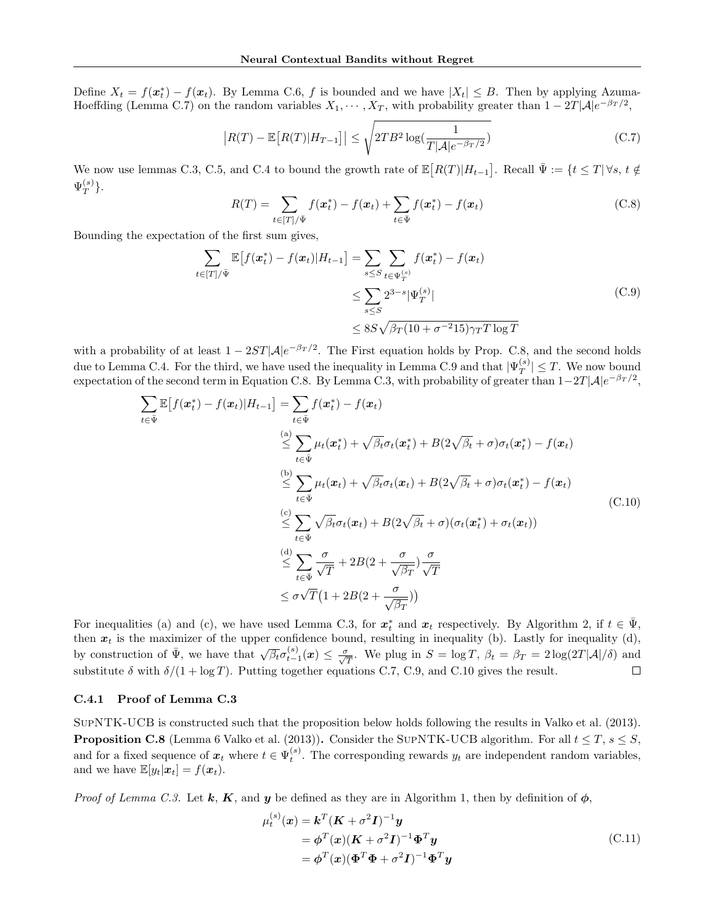Define  $X_t = f(x_t^*) - f(x_t)$ . By Lemma C.6, f is bounded and we have  $|X_t| \leq B$ . Then by applying Azuma-Hoeffding (Lemma C.7) on the random variables  $X_1, \dots, X_T$ , with probability greater than  $1 - 2T|\mathcal{A}|e^{-\beta_T/2}$ ,

$$
\left| R(T) - \mathbb{E}\left[ R(T) | H_{T-1} \right] \right| \le \sqrt{2TB^2 \log(\frac{1}{T|\mathcal{A}|e^{-\beta_T/2}})}\tag{C.7}
$$

We now use lemmas C.3, C.5, and C.4 to bound the growth rate of  $\mathbb{E}[R(T)|H_{t-1}]$ . Recall  $\bar{\Psi} := \{t \leq T | \forall s, t \notin I\}$  $\Psi^{(s)}_T$  $_{T}^{(s)}\}.$ 

$$
R(T) = \sum_{t \in [T]/\bar{\Psi}} f(\mathbf{x}_t^*) - f(\mathbf{x}_t) + \sum_{t \in \bar{\Psi}} f(\mathbf{x}_t^*) - f(\mathbf{x}_t)
$$
(C.8)

Bounding the expectation of the first sum gives,

$$
\sum_{t \in [T]/\bar{\Psi}} \mathbb{E}\left[f(\boldsymbol{x}_t^*) - f(\boldsymbol{x}_t)|H_{t-1}\right] = \sum_{s \le S} \sum_{t \in \Psi_T^{(s)}} f(\boldsymbol{x}_t^*) - f(\boldsymbol{x}_t)
$$
\n
$$
\le \sum_{s \le S} 2^{3-s} |\Psi_T^{(s)}|
$$
\n
$$
\le 8S\sqrt{\beta_T(10 + \sigma^{-2}15)\gamma_T T \log T}
$$
\n(C.9)

with a probability of at least  $1-2ST|\mathcal{A}|e^{-\beta_T/2}$ . The First equation holds by Prop. C.8, and the second holds due to Lemma C.4. For the third, we have used the inequality in Lemma C.9 and that  $|\Psi_T^{(s)}\rangle$  $\left|\frac{S}{T}\right| \leq T$ . We now bound expectation of the second term in Equation C.8. By Lemma C.3, with probability of greater than  $1-2T|\mathcal{A}|e^{-\beta_T/2}$ ,

$$
\sum_{t \in \Psi} \mathbb{E}[f(\mathbf{x}_t^*) - f(\mathbf{x}_t)|H_{t-1}] = \sum_{t \in \Psi} f(\mathbf{x}_t^*) - f(\mathbf{x}_t)
$$
\n
$$
\stackrel{(a)}{\leq} \sum_{t \in \Psi} \mu_t(\mathbf{x}_t^*) + \sqrt{\beta_t} \sigma_t(\mathbf{x}_t^*) + B(2\sqrt{\beta_t} + \sigma) \sigma_t(\mathbf{x}_t^*) - f(\mathbf{x}_t)
$$
\n
$$
\stackrel{(b)}{\leq} \sum_{t \in \Psi} \mu_t(\mathbf{x}_t) + \sqrt{\beta_t} \sigma_t(\mathbf{x}_t) + B(2\sqrt{\beta_t} + \sigma) \sigma_t(\mathbf{x}_t^*) - f(\mathbf{x}_t)
$$
\n
$$
\stackrel{(c)}{\leq} \sum_{t \in \Psi} \sqrt{\beta_t} \sigma_t(\mathbf{x}_t) + B(2\sqrt{\beta_t} + \sigma) (\sigma_t(\mathbf{x}_t^*) + \sigma_t(\mathbf{x}_t))
$$
\n
$$
\stackrel{(d)}{\leq} \sum_{t \in \Psi} \frac{\sigma}{\sqrt{T}} + 2B(2 + \frac{\sigma}{\sqrt{\beta_T}}) \frac{\sigma}{\sqrt{T}}
$$
\n
$$
\leq \sigma \sqrt{T} (1 + 2B(2 + \frac{\sigma}{\sqrt{\beta_T}}))
$$
\n(11)

For inequalities (a) and (c), we have used Lemma C.3, for  $x_t^*$  and  $x_t$  respectively. By Algorithm 2, if  $t \in \bar{\Psi}$ , then  $x_t$  is the maximizer of the upper confidence bound, resulting in inequality (b). Lastly for inequality (d), by construction of  $\bar{\Psi}$ , we have that  $\sqrt{\beta_t} \sigma_{t-1}^{(s)}(x) \leq \frac{\sigma}{\sqrt{T}}$ . We plug in  $S = \log T$ ,  $\beta_t = \beta_T = 2 \log(2T|\mathcal{A}|/\delta)$  and substitute  $\delta$  with  $\delta/(1 + \log T)$ . Putting together equations C.7, C.9, and C.10 gives the result.  $\Box$ 

### C.4.1 Proof of Lemma C.3

SupNTK-UCB is constructed such that the proposition below holds following the results in Valko et al. (2013). **Proposition C.8** (Lemma 6 Valko et al. (2013)). Consider the SUPNTK-UCB algorithm. For all  $t \leq T$ ,  $s \leq S$ , and for a fixed sequence of  $x_t$  where  $t \in \Psi_t^{(s)}$ . The corresponding rewards  $y_t$  are independent random variables, and we have  $\mathbb{E}[y_t|\boldsymbol{x}_t] = f(\boldsymbol{x}_t)$ .

Proof of Lemma C.3. Let k, K, and y be defined as they are in Algorithm 1, then by definition of  $\phi$ ,

$$
\mu_t^{(s)}(\mathbf{x}) = \mathbf{k}^T (\mathbf{K} + \sigma^2 \mathbf{I})^{-1} \mathbf{y}
$$
  
=  $\boldsymbol{\phi}^T(\mathbf{x}) (\mathbf{K} + \sigma^2 \mathbf{I})^{-1} \boldsymbol{\Phi}^T \mathbf{y}$   
=  $\boldsymbol{\phi}^T(\mathbf{x}) (\boldsymbol{\Phi}^T \boldsymbol{\Phi} + \sigma^2 \mathbf{I})^{-1} \boldsymbol{\Phi}^T \mathbf{y}$  (C.11)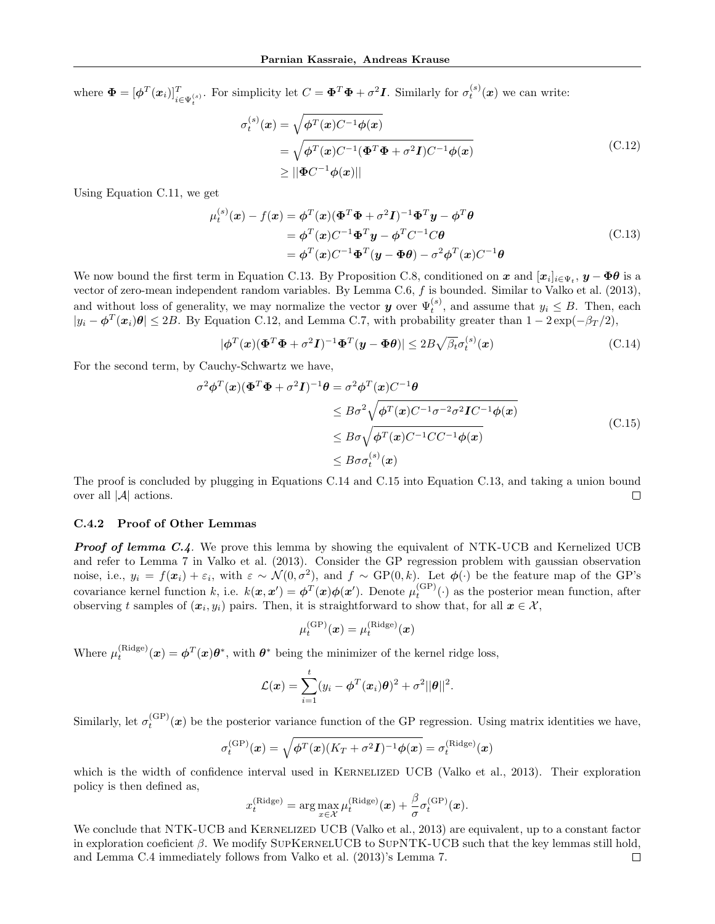where  $\mathbf{\Phi} = [\boldsymbol{\phi}^T(\boldsymbol{x}_i)]_{i \in \Psi_t^{(s)}}^T$ . For simplicity let  $C = \boldsymbol{\Phi}^T \boldsymbol{\Phi} + \sigma^2 \boldsymbol{I}$ . Similarly for  $\sigma_t^{(s)}(\boldsymbol{x})$  we can write:

$$
\sigma_t^{(s)}(\mathbf{x}) = \sqrt{\phi^T(\mathbf{x})C^{-1}\phi(\mathbf{x})}
$$
  
=  $\sqrt{\phi^T(\mathbf{x})C^{-1}(\mathbf{\Phi}^T\mathbf{\Phi} + \sigma^2\mathbf{I})C^{-1}\phi(\mathbf{x})}$   
 $\ge ||\mathbf{\Phi}C^{-1}\phi(\mathbf{x})||$  (C.12)

Using Equation C.11, we get

$$
\mu_t^{(s)}(\mathbf{x}) - f(\mathbf{x}) = \phi^T(\mathbf{x}) (\mathbf{\Phi}^T \mathbf{\Phi} + \sigma^2 \mathbf{I})^{-1} \mathbf{\Phi}^T \mathbf{y} - \phi^T \theta
$$
  
= 
$$
\phi^T(\mathbf{x}) C^{-1} \mathbf{\Phi}^T \mathbf{y} - \phi^T C^{-1} C \theta
$$
  
= 
$$
\phi^T(\mathbf{x}) C^{-1} \mathbf{\Phi}^T (\mathbf{y} - \mathbf{\Phi} \theta) - \sigma^2 \phi^T(\mathbf{x}) C^{-1} \theta
$$
(C.13)

We now bound the first term in Equation C.13. By Proposition C.8, conditioned on x and  $[x_i]_{i\in\Psi_t}$ ,  $y-\Phi\theta$  is a vector of zero-mean independent random variables. By Lemma C.6, f is bounded. Similar to Valko et al. (2013), and without loss of generality, we may normalize the vector **y** over  $\Psi_t^{(s)}$ , and assume that  $y_i \leq B$ . Then, each  $|y_i - \phi^T(x_i)\theta| \le 2B$ . By Equation C.12, and Lemma C.7, with probability greater than  $1 - 2\exp(-\beta_T/2)$ ,

$$
|\boldsymbol{\phi}^T(\boldsymbol{x})(\boldsymbol{\Phi}^T\boldsymbol{\Phi} + \sigma^2\boldsymbol{I})^{-1}\boldsymbol{\Phi}^T(\boldsymbol{y} - \boldsymbol{\Phi}\boldsymbol{\theta})| \le 2B\sqrt{\beta_t}\sigma_t^{(s)}(\boldsymbol{x})
$$
\n(C.14)

For the second term, by Cauchy-Schwartz we have,

$$
\sigma^2 \phi^T(\mathbf{x}) (\Phi^T \Phi + \sigma^2 \mathbf{I})^{-1} \theta = \sigma^2 \phi^T(\mathbf{x}) C^{-1} \theta
$$
  
\n
$$
\leq B \sigma^2 \sqrt{\phi^T(\mathbf{x}) C^{-1} \sigma^{-2} \sigma^2 \mathbf{I} C^{-1} \phi(\mathbf{x})}
$$
  
\n
$$
\leq B \sigma \sqrt{\phi^T(\mathbf{x}) C^{-1} C C^{-1} \phi(\mathbf{x})}
$$
  
\n
$$
\leq B \sigma \sigma_t^{(s)}(\mathbf{x})
$$
\n(C.15)

The proof is concluded by plugging in Equations C.14 and C.15 into Equation C.13, and taking a union bound over all |A| actions.  $\Box$ 

### C.4.2 Proof of Other Lemmas

**Proof of lemma C.4.** We prove this lemma by showing the equivalent of NTK-UCB and Kernelized UCB and refer to Lemma 7 in Valko et al. (2013). Consider the GP regression problem with gaussian observation noise, i.e.,  $y_i = f(x_i) + \varepsilon_i$ , with  $\varepsilon \sim \mathcal{N}(0, \sigma^2)$ , and  $f \sim GP(0, k)$ . Let  $\phi(\cdot)$  be the feature map of the GP's covariance kernel function k, i.e.  $k(x, x') = \phi^T(x)\phi(x')$ . Denote  $\mu_t^{\text{(GP)}}(\cdot)$  as the posterior mean function, after observing t samples of  $(x_i, y_i)$  pairs. Then, it is straightforward to show that, for all  $x \in \mathcal{X}$ ,

$$
\mu_t^{\rm (GP)}(\boldsymbol{x}) = \mu_t^{\rm (Ridge)}(\boldsymbol{x})
$$

Where  $\mu_t^{(\text{Ridge})}(\boldsymbol{x}) = \boldsymbol{\phi}^T(\boldsymbol{x})\boldsymbol{\theta}^*$ , with  $\boldsymbol{\theta}^*$  being the minimizer of the kernel ridge loss,

$$
\mathcal{L}(\boldsymbol{x}) = \sum_{i=1}^t (y_i - \boldsymbol{\phi}^T(\boldsymbol{x}_i)\boldsymbol{\theta})^2 + \sigma^2 ||\boldsymbol{\theta}||^2.
$$

Similarly, let  $\sigma_t^{(\text{GP})}(\boldsymbol{x})$  be the posterior variance function of the GP regression. Using matrix identities we have,

$$
\sigma_t^{\rm (GP)}(\boldsymbol{x}) = \sqrt{\boldsymbol{\phi}^T(\boldsymbol{x}) (K_T + \sigma^2 \boldsymbol{I})^{-1} \boldsymbol{\phi}(\boldsymbol{x})} = \sigma_t^{\rm (Ridge)}(\boldsymbol{x})
$$

which is the width of confidence interval used in KERNELIZED UCB (Valko et al., 2013). Their exploration policy is then defined as,

$$
x_t^{\text{(Ridge)}} = \arg\max_{x \in \mathcal{X}} \mu_t^{\text{(Ridge)}}(\boldsymbol{x}) + \frac{\beta}{\sigma} \sigma_t^{\text{(GP)}}(\boldsymbol{x}).
$$

We conclude that NTK-UCB and KERNELIZED UCB (Valko et al., 2013) are equivalent, up to a constant factor in exploration coeficient  $\beta$ . We modify SUPKERNELUCB to SUPNTK-UCB such that the key lemmas still hold, and Lemma C.4 immediately follows from Valko et al. (2013)'s Lemma 7. $\Box$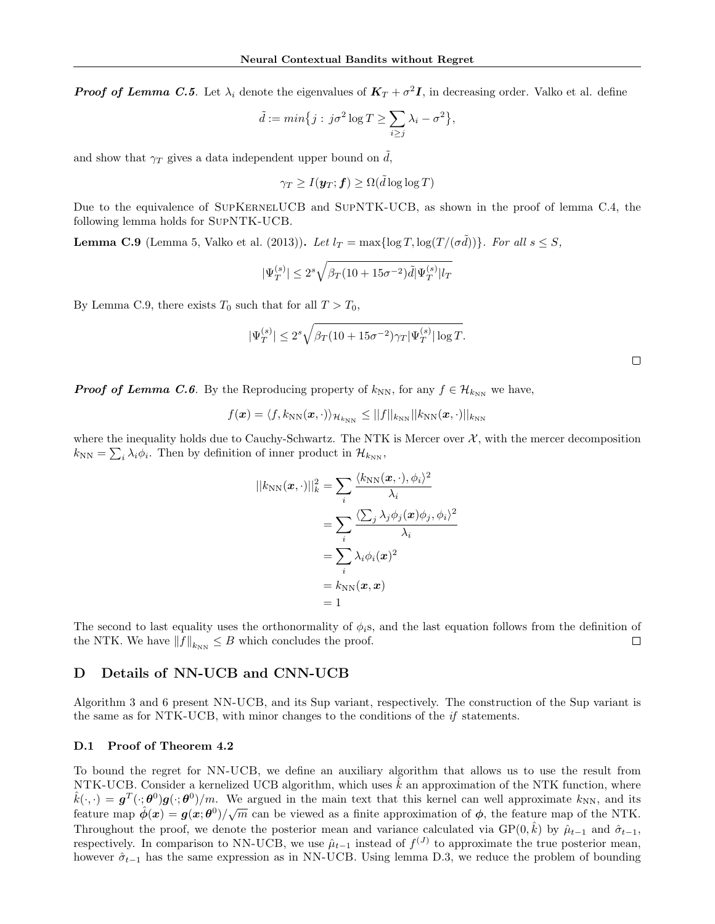**Proof of Lemma C.5.** Let  $\lambda_i$  denote the eigenvalues of  $K_T + \sigma^2 I$ , in decreasing order. Valko et al. define

$$
\tilde{d} := \min\big\{j : \, j\sigma^2 \log T \ge \sum_{i \ge j} \lambda_i - \sigma^2 \big\},\,
$$

and show that  $\gamma_T$  gives a data independent upper bound on  $\tilde{d}$ ,

$$
\gamma_T \geq I(\boldsymbol{y}_T; \boldsymbol{f}) \geq \Omega(\tilde{d} \log \log T)
$$

Due to the equivalence of SUPKERNELUCB and SUPNTK-UCB, as shown in the proof of lemma C.4, the following lemma holds for SupNTK-UCB.

**Lemma C.9** (Lemma 5, Valko et al. (2013)). Let  $l_T = \max\{\log T, \log(T/(\sigma \tilde{d}))\}$ . For all  $s \leq S$ ,

$$
|\Psi_T^{(s)}| \le 2^s \sqrt{\beta_T (10+15\sigma^{-2})} \tilde{d} |\Psi_T^{(s)}| l_T
$$

By Lemma C.9, there exists  $T_0$  such that for all  $T > T_0$ ,

$$
|\Psi_T^{(s)}| \le 2^s \sqrt{\beta_T (10 + 15\sigma^{-2})\gamma_T |\Psi_T^{(s)}| \log T}.
$$

**Proof of Lemma C.6.** By the Reproducing property of  $k_{NN}$ , for any  $f \in \mathcal{H}_{k_{NN}}$  we have,

$$
f(\boldsymbol{x}) = \langle f, k_{\text{NN}}(\boldsymbol{x}, \cdot) \rangle_{\mathcal{H}_{k_{\text{NN}}}} \le ||f||_{k_{\text{NN}}} ||k_{\text{NN}}(\boldsymbol{x}, \cdot)||_{k_{\text{NN}}}
$$

where the inequality holds due to Cauchy-Schwartz. The NTK is Mercer over  $\mathcal{X}$ , with the mercer decomposition  $k_{NN} = \sum_i \lambda_i \phi_i$ . Then by definition of inner product in  $\mathcal{H}_{k_{NN}}$ ,

$$
||k_{NN}(\boldsymbol{x}, \cdot)||_k^2 = \sum_i \frac{\langle k_{NN}(\boldsymbol{x}, \cdot), \phi_i \rangle^2}{\lambda_i}
$$
  
= 
$$
\sum_i \frac{\langle \sum_j \lambda_j \phi_j(\boldsymbol{x}) \phi_j, \phi_i \rangle^2}{\lambda_i}
$$
  
= 
$$
\sum_i \lambda_i \phi_i(\boldsymbol{x})^2
$$
  
= 
$$
k_{NN}(\boldsymbol{x}, \boldsymbol{x})
$$
  
= 1

The second to last equality uses the orthonormality of  $\phi_i$ s, and the last equation follows from the definition of the NTK. We have  $||f||_{k_{NN}} \leq B$  which concludes the proof.  $\Box$ 

### D Details of NN-UCB and CNN-UCB

Algorithm 3 and 6 present NN-UCB, and its Sup variant, respectively. The construction of the Sup variant is the same as for NTK-UCB, with minor changes to the conditions of the  $if$  statements.

#### D.1 Proof of Theorem 4.2

To bound the regret for NN-UCB, we define an auxiliary algorithm that allows us to use the result from NTK-UCB. Consider a kernelized UCB algorithm, which uses  $\hat{k}$  an approximation of the NTK function, where  $\hat{k}(\cdot, \cdot) = \boldsymbol{g}^T(\cdot; \boldsymbol{\theta}^0) \boldsymbol{g}(\cdot; \boldsymbol{\theta}^0)/m$ . We argued in the main text that this kernel can well approximate  $k_{NN}$ , and its feature map  $\hat{\phi}(x) = g(x; \theta^0)/\sqrt{m}$  can be viewed as a finite approximation of  $\phi$ , the feature map of the NTK. Throughout the proof, we denote the posterior mean and variance calculated via  $GP(0, \hat{k})$  by  $\hat{\mu}_{t-1}$  and  $\hat{\sigma}_{t-1}$ , respectively. In comparison to NN-UCB, we use  $\hat{\mu}_{t-1}$  instead of  $f^{(J)}$  to approximate the true posterior mean, however  $\hat{\sigma}_{t-1}$  has the same expression as in NN-UCB. Using lemma D.3, we reduce the problem of bounding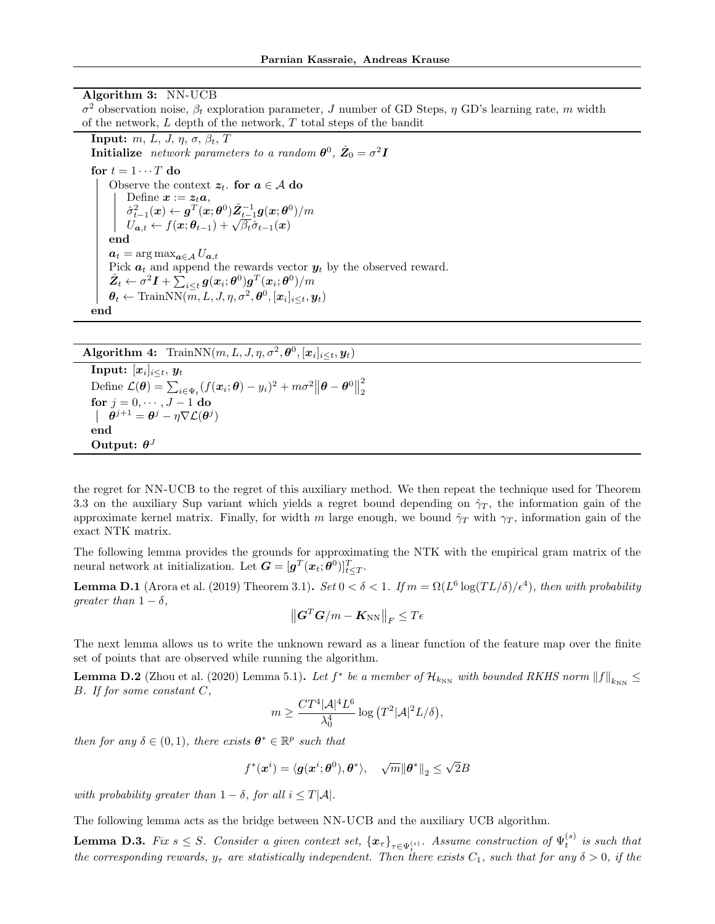### Algorithm 3: NN-UCB

 $σ<sup>2</sup>$  observation noise,  $β<sub>t</sub>$  exploration parameter, J number of GD Steps,  $η$  GD's learning rate, m width of the network, L depth of the network, T total steps of the bandit

**Input:**  $m, L, J, \eta, \sigma, \beta_t, T$ **Initialize** network parameters to a random  $\boldsymbol{\theta}^0$ ,  $\hat{Z}_0 = \sigma^2 \boldsymbol{I}$ 

for  $t = 1 \cdots T$  do Observe the context  $z_t$ . for  $a \in \mathcal{A}$  do Define  $\boldsymbol{x} := \boldsymbol{z}_t \boldsymbol{a}$ ,  $\begin{array}{l} \hat{\sigma}_{t-1}^2(\bm{x}) \leftarrow \bm{g}^T(\bm{x}; \bm{\theta}^0) \hat{\mathbf{Z}}_{t-1}^{-1} \bm{g}(\bm{x}; \bm{\theta}^0)/m \ U_{\bm{a},t} \leftarrow f(\bm{x}; \bm{\theta}_{t-1}) + \sqrt{\beta_t} \hat{\sigma}_{t-1}(\bm{x}) \end{array}$ end  $a_t = \arg \max_{a \in \mathcal{A}} U_{a,t}$ Pick  $a_t$  and append the rewards vector  $y_t$  by the observed reward.  $\hat{\mathbf{Z}}_t \leftarrow \sigma^2 \boldsymbol{I} + \sum_{i \leq t} \boldsymbol{g}(\boldsymbol{x}_i; \boldsymbol{\theta}^0) \boldsymbol{g}^T(\boldsymbol{x}_i; \boldsymbol{\theta}^0) / m$  $\boldsymbol{\theta}_t \leftarrow \text{TrainNN}(\overset{-}{m}, L, J, \eta, \sigma^2, \boldsymbol{\theta}^0, [\boldsymbol{x}_i]_{i \leq t}, \boldsymbol{y}_t)$ end

**Algorithm 4:** TrainNN(m, L, J,  $\eta$ ,  $\sigma^2$ ,  $\theta^0$ ,  $[\boldsymbol{x}_i]_{i \le t}$ ,  $\boldsymbol{y}_t$ )

 $\textbf{Input:} \; [\bm{x}_i]_{i \leq t}, \, \bm{y}_t$ Define  $\mathcal{L}(\theta) = \sum_{i \in \Psi_t} (f(\boldsymbol{x}_i; \theta) - y_i)^2 + m\sigma^2 ||\boldsymbol{\theta} - \boldsymbol{\theta}^0||$ 2 2 for  $j = 0, \dots, J-1$  do  $\boldsymbol{\theta}^{j+1} = \boldsymbol{\theta}^{j} - \eta \nabla \mathcal{L}(\boldsymbol{\theta}^{j})$ end Output:  $\theta^J$ 

the regret for NN-UCB to the regret of this auxiliary method. We then repeat the technique used for Theorem 3.3 on the auxiliary Sup variant which yields a regret bound depending on  $\hat{\gamma}_T$ , the information gain of the approximate kernel matrix. Finally, for width m large enough, we bound  $\hat{\gamma}_T$  with  $\gamma_T$ , information gain of the exact NTK matrix.

The following lemma provides the grounds for approximating the NTK with the empirical gram matrix of the neural network at initialization. Let  $\mathbf{G} = [\mathbf{g}^T(\bm{x}_t; \boldsymbol{\theta}^0)]_{t \leq T}^T$ .

**Lemma D.1** (Arora et al. (2019) Theorem 3.1). Set  $0 < \delta < 1$ . If  $m = \Omega(L^6 \log(TL/\delta)/\epsilon^4)$ , then with probability greater than  $1 - \delta$ ,

$$
\left\| \boldsymbol{G}^T \boldsymbol{G} / m - \boldsymbol{K}_{\text{NN}} \right\|_F \leq T \epsilon
$$

The next lemma allows us to write the unknown reward as a linear function of the feature map over the finite set of points that are observed while running the algorithm.

**Lemma D.2** (Zhou et al. (2020) Lemma 5.1). Let  $f^*$  be a member of  $\mathcal{H}_{k_{NN}}$  with bounded RKHS norm  $||f||_{k_{NN}} \le$ B. If for some constant C,

$$
m \ge \frac{CT^4|\mathcal{A}|^4 L^6}{\lambda_0^4} \log (T^2|\mathcal{A}|^2 L/\delta),
$$

then for any  $\delta \in (0,1)$ , there exists  $\boldsymbol{\theta}^* \in \mathbb{R}^p$  such that

$$
f^*(\boldsymbol{x}^i) = \langle \boldsymbol{g}(\boldsymbol{x}^i; \boldsymbol{\theta}^0), \boldsymbol{\theta}^* \rangle, \quad \sqrt{m} {\| \boldsymbol{\theta}^* \|}_2 \leq \sqrt{2} B
$$

with probability greater than  $1 - \delta$ , for all  $i \leq T|\mathcal{A}|$ .

The following lemma acts as the bridge between NN-UCB and the auxiliary UCB algorithm.

**Lemma D.3.** Fix  $s \leq S$ . Consider a given context set,  $\{x_\tau\}_{\tau \in \Psi_t^{(s)}}$ . Assume construction of  $\Psi_t^{(s)}$  is such that the corresponding rewards,  $y_{\tau}$  are statistically independent. Then there exists  $C_1$ , such that for any  $\delta > 0$ , if the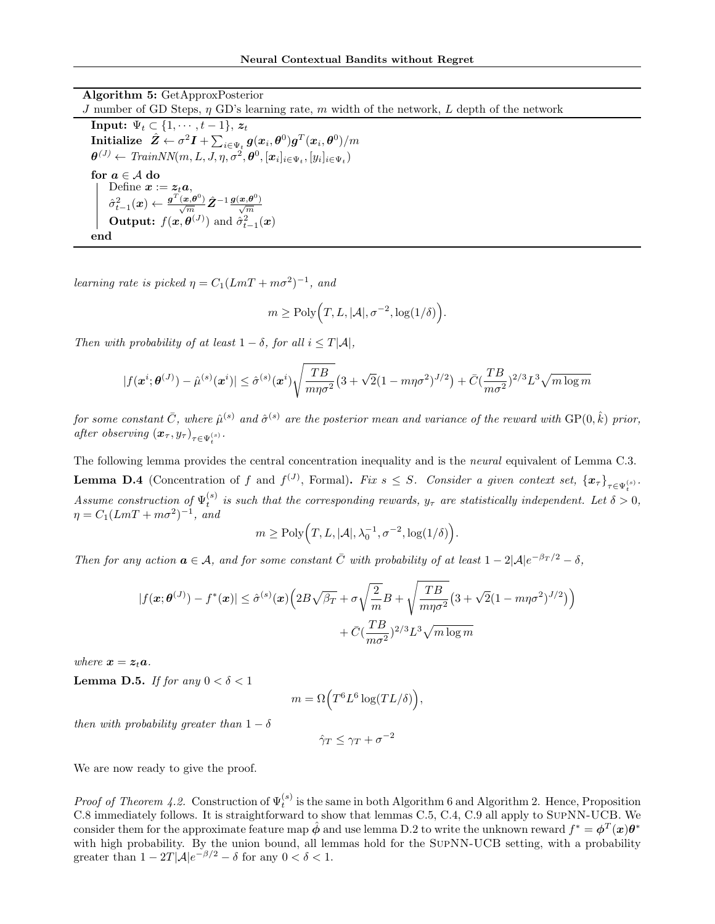Algorithm 5: GetApproxPosterior J number of GD Steps,  $\eta$  GD's learning rate, m width of the network, L depth of the network **Input:**  $\Psi_t \subset \{1, \cdots, t-1\}, z_t$  $\textbf{Initialize} \;\; \hat{\pmb{Z}} \leftarrow \sigma^2 \pmb{I} + \sum_{i \in \Psi_t} \pmb{g}(\pmb{x}_i, \pmb{\theta}^0) \pmb{g}^T(\pmb{x}_i, \pmb{\theta}^0) / m$  $\boldsymbol{\theta}^{(J)} \leftarrow \textit{TrainNN}(m, L, J, \eta, \sigma^2, \boldsymbol{\theta}^0, [\boldsymbol{x}_i]_{i \in \Psi_t}, [y_i]_{i \in \Psi_t})$ for  $a \in A$  do Define  $\boldsymbol{x} := \boldsymbol{z}_t \boldsymbol{a}$ ,  $\hat{\sigma}_{t-1}^2(\bm{x}) \leftarrow \frac{\bm{g}^T(\bm{x}, \bm{\theta}^0)}{\sqrt{m}} \hat{\mathbf{Z}}^{-1} \frac{\bm{g}(\bm{x}, \bm{\theta}^0)}{\sqrt{m}}$ **Output:**  $f(\mathbf{x}, \boldsymbol{\theta}^{(J)})$  and  $\hat{\sigma}_{t-1}^2(\mathbf{x})$ end

learning rate is picked  $\eta = C_1 (LmT + m\sigma^2)^{-1}$ , and

$$
m \geq \text{Poly}\Bigl(T, L, |\mathcal{A}|, \sigma^{-2}, \log(1/\delta)\Bigr).
$$

Then with probability of at least  $1 - \delta$ , for all  $i \leq T|\mathcal{A}|$ ,

$$
|f(\mathbf{x}^{i};\boldsymbol{\theta}^{(J)}) - \hat{\mu}^{(s)}(\mathbf{x}^{i})| \leq \hat{\sigma}^{(s)}(\mathbf{x}^{i}) \sqrt{\frac{TB}{m\eta\sigma^{2}}}\left(3 + \sqrt{2}(1 - m\eta\sigma^{2})^{J/2}\right) + \bar{C}(\frac{TB}{m\sigma^{2}})^{2/3}L^{3}\sqrt{m\log m}
$$

for some constant  $\bar{C}$ , where  $\hat{\mu}^{(s)}$  and  $\hat{\sigma}^{(s)}$  are the posterior mean and variance of the reward with  $\text{GP}(0, \hat{k})$  prior, after observing  $(x_\tau, y_\tau)_{\tau \in \Psi_t^{(s)}}$ .

The following lemma provides the central concentration inequality and is the neural equivalent of Lemma C.3. **Lemma D.4** (Concentration of f and  $f^{(J)}$ , Formal). Fix  $s \leq S$ . Consider a given context set,  $\{x_\tau\}_{\tau \in \Psi_{\tau}^{(s)}}$ . Assume construction of  $\Psi_t^{(s)}$  is such that the corresponding rewards,  $y_\tau$  are statistically independent. Let  $\delta > 0$ ,  $\eta = C_1 (LmT + m\sigma^2)^{-1}$ , and

$$
m \ge \text{Poly}\Big(T, L, |\mathcal{A}|, \lambda_0^{-1}, \sigma^{-2}, \log(1/\delta)\Big).
$$

Then for any action  $a \in \mathcal{A}$ , and for some constant  $\overline{C}$  with probability of at least  $1 - 2|\mathcal{A}|e^{-\beta_T/2} - \delta$ ,

$$
|f(\mathbf{x};\boldsymbol{\theta}^{(J)}) - f^*(\mathbf{x})| \leq \hat{\sigma}^{(s)}(\mathbf{x}) \Big( 2B\sqrt{\beta_T} + \sigma \sqrt{\frac{2}{m}} B + \sqrt{\frac{TB}{m\eta \sigma^2}} \Big( 3 + \sqrt{2}(1 - m\eta \sigma^2)^{J/2} \Big) \Big) + \bar{C} \left( \frac{TB}{m\sigma^2} \right)^{2/3} L^3 \sqrt{m \log m}
$$

where  $x = z_t a$ .

**Lemma D.5.** If for any  $0 < \delta < 1$ 

$$
m = \Omega\Big(T^6 L^6 \log(T L/\delta)\Big),\,
$$

then with probability greater than  $1 - \delta$ 

$$
\hat{\gamma}_T \le \gamma_T + \sigma^{-2}
$$

We are now ready to give the proof.

*Proof of Theorem 4.2.* Construction of  $\Psi_t^{(s)}$  is the same in both Algorithm 6 and Algorithm 2. Hence, Proposition C.8 immediately follows. It is straightforward to show that lemmas C.5, C.4, C.9 all apply to SupNN-UCB. We consider them for the approximate feature map  $\hat{\phi}$  and use lemma D.2 to write the unknown reward  $f^* = \phi^T(x)\theta^*$ with high probability. By the union bound, all lemmas hold for the SUPNN-UCB setting, with a probability greater than  $1 - 2T|\mathcal{A}|e^{-\beta/2} - \delta$  for any  $0 < \delta < 1$ .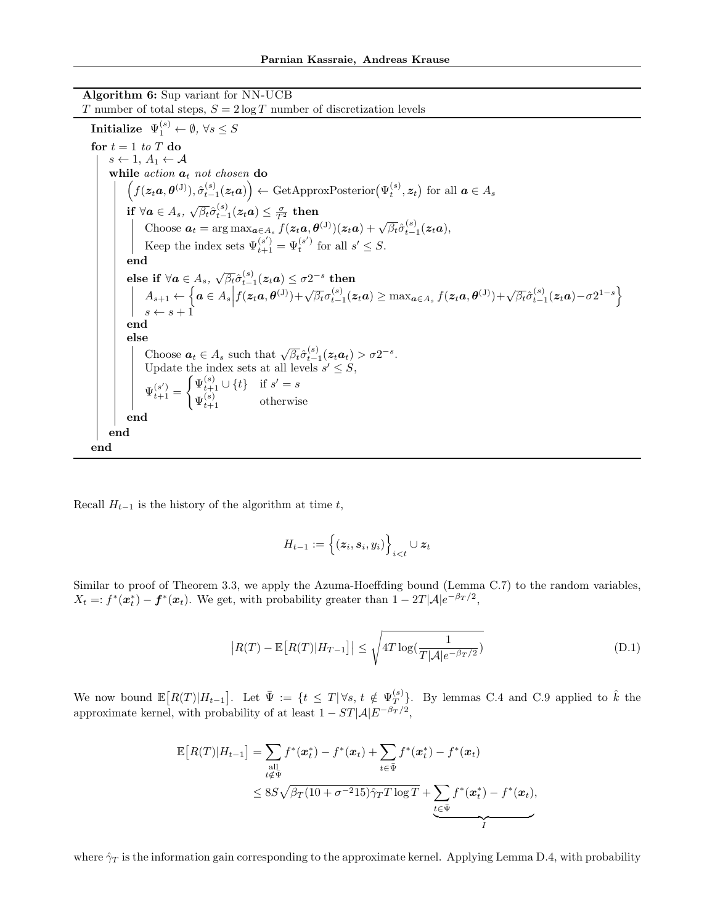Algorithm 6: Sup variant for NN-UCB

T number of total steps,  $S = 2 \log T$  number of discretization levels  $\textbf{Initialize} \;\; \Psi_1^{(s)} \leftarrow \emptyset, \, \forall s \leq S$ for  $t = 1$  to  $T$  do  $s \leftarrow 1, A_1 \leftarrow A$ while  $action \ a_t \ not \ chosen \ do$  $(f(z_t a, \theta^{(J)}), \hat{\sigma}_{t-1}^{(s)}(z_t a)) \leftarrow \text{GetApproxPosterior}(\Psi_t^{(s)}, z_t)$  for all  $a \in A_s$ if  $\forall a \in A_s$ ,  $\sqrt{\beta_t} \hat{\sigma}_{t-1}^{(s)}(z_t a) \leq \frac{\sigma}{T^2}$  then Choose  $a_t = \arg \max_{a \in A_s} f(z_t a, \theta^{(J)})(z_t a) + \sqrt{\beta_t} \hat{\sigma}_{t-1}^{(s)}(z_t a),$ Keep the index sets  $\Psi_{t+1}^{(s')} = \Psi_t^{(s')}$  for all  $s' \leq S$ . end  $\text{else if }\forall \pmb{a}\in A_{s},\ \sqrt{\beta_{t}}\hat{\sigma}_{t-1}^{\left(s\right)}(\pmb{z}_{t}\pmb{a})\leq\sigma2^{-s}\text{ then}$  $A_{s+1} \leftarrow \left\{ \boldsymbol{a} \in A_s \middle| f(z_t \boldsymbol{a}, \boldsymbol{\theta}^{(J)}) + \sqrt{\beta_t} \sigma_{t-1}^{(s)}(z_t \boldsymbol{a}) \ge \max_{\boldsymbol{a} \in A_s} f(z_t \boldsymbol{a}, \boldsymbol{\theta}^{(J)}) + \sqrt{\beta_t} \hat{\sigma}_{t-1}^{(s)}(z_t \boldsymbol{a}) - \sigma 2^{1-s} \right\}$  $s \leftarrow s + 1$ end else Choose  $a_t \in A_s$  such that  $\sqrt{\beta_t} \hat{\sigma}_{t-1}^{(s)}(z_t a_t) > \sigma 2^{-s}$ . Update the index sets at all levels  $s' \leq S$ ,  $\Psi_{t+1}^{(s')} =$  $\int \Psi_{t+1}^{(s)} \cup \{t\}$  if  $s' = s$  $\Psi_{t+1}^{(s)}$  otherwise end end end

Recall  $H_{t-1}$  is the history of the algorithm at time t,

$$
H_{t-1} := \left\{(\boldsymbol{z}_i, \boldsymbol{s}_i, y_i)\right\}_{i < t} \cup \boldsymbol{z}_t
$$

Similar to proof of Theorem 3.3, we apply the Azuma-Hoeffding bound (Lemma C.7) to the random variables,  $X_t =: f^*(\boldsymbol{x}_t^*) - \boldsymbol{f}^*(\boldsymbol{x}_t)$ . We get, with probability greater than  $1 - 2T|\mathcal{A}|e^{-\beta_T/2}$ ,

$$
\left| R(T) - \mathbb{E}\left[ R(T) | H_{T-1} \right] \right| \le \sqrt{4T \log\left( \frac{1}{T |\mathcal{A}| e^{-\beta_T/2}} \right)} \tag{D.1}
$$

We now bound  $\mathbb{E}[R(T)|H_{t-1}]$ . Let  $\bar{\Psi} := \{t \leq T | \forall s, t \notin \Psi_T^{(s)}\}$  $_{T}^{(s)}$ . By lemmas C.4 and C.9 applied to  $\hat{k}$  the approximate kernel, with probability of at least  $1 - ST|\mathcal{A}|E^{-\beta_T/2}$ ,

$$
\mathbb{E}\big[R(T)|H_{t-1}\big] = \sum_{\substack{\text{all} \\ t \notin \Psi}} f^*(\mathbf{x}_t^*) - f^*(\mathbf{x}_t) + \sum_{t \in \Psi} f^*(\mathbf{x}_t^*) - f^*(\mathbf{x}_t)
$$
\n
$$
\leq 8S\sqrt{\beta_T(10 + \sigma^{-2}15)}\hat{\gamma}_T T \log T + \sum_{t \in \Psi} f^*(\mathbf{x}_t^*) - f^*(\mathbf{x}_t),
$$

where  $\hat{\gamma}_T$  is the information gain corresponding to the approximate kernel. Applying Lemma D.4, with probability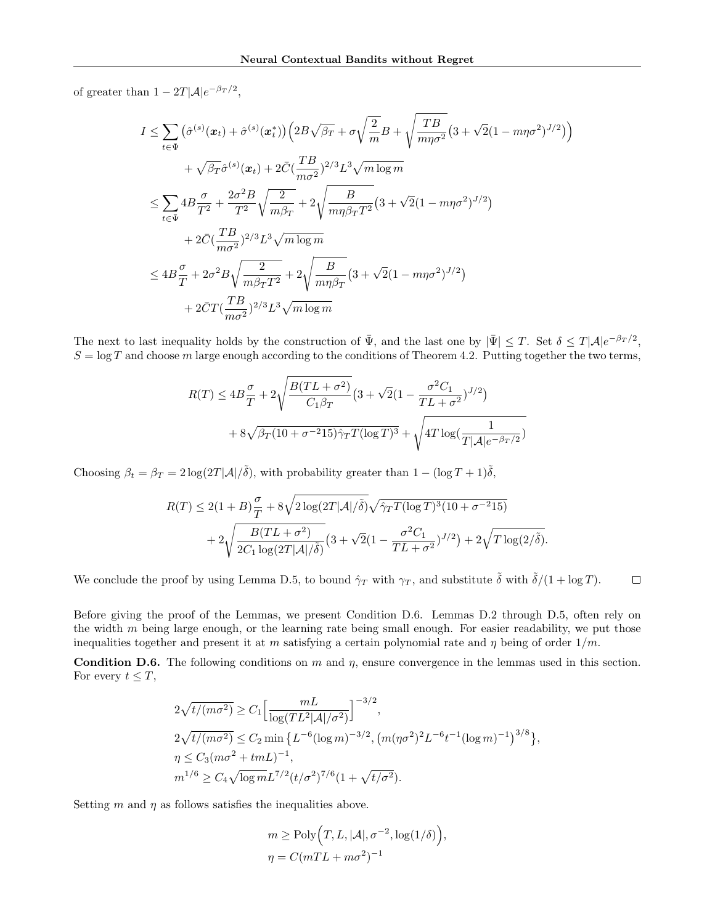of greater than  $1 - 2T|\mathcal{A}|e^{-\beta_T/2}$ ,

$$
I \leq \sum_{t \in \bar{\Psi}} (\hat{\sigma}^{(s)}(\boldsymbol{x}_{t}) + \hat{\sigma}^{(s)}(\boldsymbol{x}_{t})) \left( 2B\sqrt{\beta_{T}} + \sigma\sqrt{\frac{2}{m}}B + \sqrt{\frac{TB}{m\eta\sigma^{2}}} (3 + \sqrt{2}(1 - m\eta\sigma^{2})^{J/2}) \right) + \sqrt{\beta_{T}}\hat{\sigma}^{(s)}(\boldsymbol{x}_{t}) + 2\bar{C}(\frac{TB}{m\sigma^{2}})^{2/3}L^{3}\sqrt{m\log m} \n\leq \sum_{t \in \bar{\Psi}} 4B\frac{\sigma}{T^{2}} + \frac{2\sigma^{2}B}{T^{2}}\sqrt{\frac{2}{m\beta_{T}}} + 2\sqrt{\frac{B}{m\eta\beta_{T}T^{2}}} (3 + \sqrt{2}(1 - m\eta\sigma^{2})^{J/2}) + 2\bar{C}(\frac{TB}{m\sigma^{2}})^{2/3}L^{3}\sqrt{m\log m} \n\leq 4B\frac{\sigma}{T} + 2\sigma^{2}B\sqrt{\frac{2}{m\beta_{T}T^{2}}} + 2\sqrt{\frac{B}{m\eta\beta_{T}}} (3 + \sqrt{2}(1 - m\eta\sigma^{2})^{J/2}) + 2\bar{C}T(\frac{TB}{m\sigma^{2}})^{2/3}L^{3}\sqrt{m\log m}
$$

The next to last inequality holds by the construction of  $\bar{\Psi}$ , and the last one by  $|\bar{\Psi}| \leq T$ . Set  $\delta \leq T |\mathcal{A}| e^{-\beta_T/2}$ ,  $S = \log T$  and choose m large enough according to the conditions of Theorem 4.2. Putting together the two terms,

$$
R(T) \le 4B\frac{\sigma}{T} + 2\sqrt{\frac{B(TL + \sigma^2)}{C_1\beta_T}} \left(3 + \sqrt{2}(1 - \frac{\sigma^2 C_1}{TL + \sigma^2})^{J/2}\right) + 8\sqrt{\beta_T(10 + \sigma^{-2}15)\hat{\gamma}_T T(\log T)^3} + \sqrt{4T\log(\frac{1}{T|\mathcal{A}|e^{-\beta_T/2}})}
$$

Choosing  $\beta_t = \beta_T = 2 \log(2T|\mathcal{A}|/\tilde{\delta})$ , with probability greater than  $1 - (\log T + 1)\tilde{\delta}$ ,

$$
R(T) \le 2(1+B)\frac{\sigma}{T} + 8\sqrt{2\log(2T|\mathcal{A}|/\tilde{\delta})}\sqrt{\hat{\gamma}_TT(\log T)^3(10+\sigma^{-2}15)} + 2\sqrt{\frac{B(TL+\sigma^2)}{2C_1\log(2T|\mathcal{A}|/\tilde{\delta})}}(3+\sqrt{2}(1-\frac{\sigma^2C_1}{TL+\sigma^2})^{J/2}) + 2\sqrt{T\log(2/\tilde{\delta})}.
$$

We conclude the proof by using Lemma D.5, to bound  $\hat{\gamma}_T$  with  $\gamma_T$ , and substitute  $\tilde{\delta}$  with  $\tilde{\delta}/(1 + \log T)$ .  $\Box$ 

Before giving the proof of the Lemmas, we present Condition D.6. Lemmas D.2 through D.5, often rely on the width  $m$  being large enough, or the learning rate being small enough. For easier readability, we put those inequalities together and present it at m satisfying a certain polynomial rate and  $\eta$  being of order  $1/m$ .

**Condition D.6.** The following conditions on m and  $\eta$ , ensure convergence in the lemmas used in this section. For every  $t \leq T$ ,

$$
2\sqrt{t/(m\sigma^2)} \ge C_1 \Big[\frac{mL}{\log(TL^2|\mathcal{A}|/\sigma^2)}\Big]^{-3/2},
$$
  
\n
$$
2\sqrt{t/(m\sigma^2)} \le C_2 \min \left\{L^{-6}(\log m)^{-3/2}, \left(m(\eta\sigma^2)^2L^{-6}t^{-1}(\log m)^{-1}\right)^{3/8}\right\},
$$
  
\n
$$
\eta \le C_3(m\sigma^2 + t mL)^{-1},
$$
  
\n
$$
m^{1/6} \ge C_4 \sqrt{\log m}L^{7/2}(t/\sigma^2)^{7/6}(1+\sqrt{t/\sigma^2}).
$$

Setting  $m$  and  $\eta$  as follows satisfies the inequalities above.

 $m \geq \text{Poly}\left(T, L, |\mathcal{A}|, \sigma^{-2}, \log(1/\delta)\right),$  $\eta = C(mTL + m\sigma^2)^{-1}$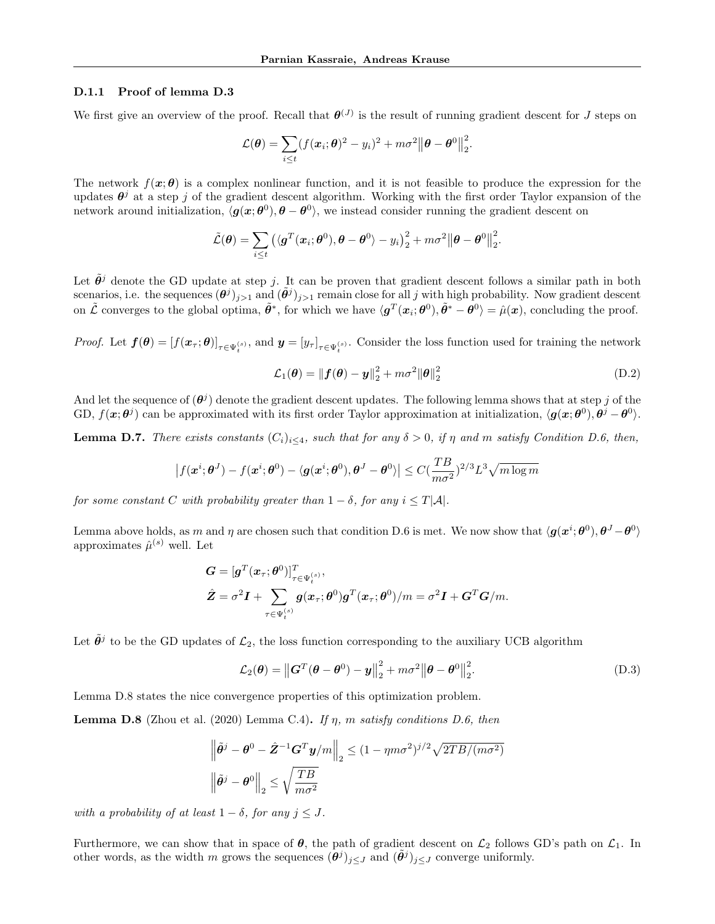#### D.1.1 Proof of lemma D.3

We first give an overview of the proof. Recall that  $\theta^{(J)}$  is the result of running gradient descent for J steps on

$$
\mathcal{L}(\boldsymbol{\theta}) = \sum_{i \leq t} (f(\boldsymbol{x}_i; \boldsymbol{\theta})^2 - y_i)^2 + m\sigma^2 ||\boldsymbol{\theta} - \boldsymbol{\theta}^0||_2^2.
$$

The network  $f(\mathbf{x}; \theta)$  is a complex nonlinear function, and it is not feasible to produce the expression for the updates  $\theta^j$  at a step j of the gradient descent algorithm. Working with the first order Taylor expansion of the network around initialization,  $\langle g(x; \theta^0), \theta - \theta^0 \rangle$ , we instead consider running the gradient descent on

$$
\tilde{\mathcal{L}}(\boldsymbol{\theta}) = \sum_{i \leq t} \left( \langle \boldsymbol{g}^T(\boldsymbol{x}_i; \boldsymbol{\theta}^0), \boldsymbol{\theta} - \boldsymbol{\theta}^0 \rangle - y_i \right)_2^2 + m\sigma^2 \|\boldsymbol{\theta} - \boldsymbol{\theta}^0\|_2^2.
$$

Let  $\tilde{\theta}^j$  denote the GD update at step j. It can be proven that gradient descent follows a similar path in both scenarios, i.e. the sequences  $(\theta^j)_{j>1}$  and  $(\tilde{\theta}^j)_{j>1}$  remain close for all j with high probability. Now gradient descent on  $\tilde{\mathcal{L}}$  converges to the global optima,  $\tilde{\theta}^*$ , for which we have  $\langle \boldsymbol{g}^T(\boldsymbol{x}_i;\boldsymbol{\theta}^0), \tilde{\theta}^* - \boldsymbol{\theta}^0 \rangle = \hat{\mu}(\boldsymbol{x})$ , concluding the proof.

Proof. Let  $f(\theta) = [f(x_\tau;\theta)]_{\tau \in \Psi_t^{(s)}}$ , and  $y = [y_\tau]_{\tau \in \Psi_t^{(s)}}$ . Consider the loss function used for training the network

$$
\mathcal{L}_1(\boldsymbol{\theta}) = ||\boldsymbol{f}(\boldsymbol{\theta}) - \boldsymbol{y}||_2^2 + m\sigma^2 ||\boldsymbol{\theta}||_2^2
$$
 (D.2)

And let the sequence of  $(\theta^j)$  denote the gradient descent updates. The following lemma shows that at step j of the GD,  $f(\mathbf{x}; \theta^j)$  can be approximated with its first order Taylor approximation at initialization,  $\langle \mathbf{g}(\mathbf{x}; \theta^0), \theta^j - \theta^0 \rangle$ .

**Lemma D.7.** There exists constants  $(C_i)_{i\leq 4}$ , such that for any  $\delta > 0$ , if  $\eta$  and  $m$  satisfy Condition D.6, then,

$$
\left|f(\boldsymbol{x}^{i};\boldsymbol{\theta}^{J})-f(\boldsymbol{x}^{i};\boldsymbol{\theta}^{0})-\langle\boldsymbol{g}(\boldsymbol{x}^{i};\boldsymbol{\theta}^{0}),\boldsymbol{\theta}^{J}-\boldsymbol{\theta}^{0}\rangle\right|\leq C(\frac{TB}{m\sigma^{2}})^{2/3}L^{3}\sqrt{m\log m}
$$

for some constant C with probability greater than  $1 - \delta$ , for any  $i \leq T|\mathcal{A}|$ .

Lemma above holds, as m and  $\eta$  are chosen such that condition D.6 is met. We now show that  $\langle g(x^i;\theta^0), \theta^J-\theta^0 \rangle$ approximates  $\hat{\mu}^{(s)}$  well. Let

$$
G = [gT(x\tau; \theta0)]T\tau \in \Psi_t^{(s)},\n
$$
\hat{Z} = \sigma^2 I + \sum_{\tau \in \Psi_t^{(s)}} g(x_{\tau}; \theta^0) gT(x_{\tau}; \theta^0)/m = \sigma^2 I + GTG/m.
$$
$$

Let  $\tilde{\theta}^j$  to be the GD updates of  $\mathcal{L}_2$ , the loss function corresponding to the auxiliary UCB algorithm

$$
\mathcal{L}_2(\boldsymbol{\theta}) = \left\| \boldsymbol{G}^T(\boldsymbol{\theta} - \boldsymbol{\theta}^0) - \boldsymbol{y} \right\|_2^2 + m\sigma^2 \left\| \boldsymbol{\theta} - \boldsymbol{\theta}^0 \right\|_2^2.
$$
 (D.3)

Lemma D.8 states the nice convergence properties of this optimization problem.

**Lemma D.8** (Zhou et al. (2020) Lemma C.4). If  $\eta$ , m satisfy conditions D.6, then

$$
\left\|\tilde{\theta}^{j} - \theta^{0} - \hat{\mathbf{Z}}^{-1} \mathbf{G}^{T} \mathbf{y}/m\right\|_{2} \leq (1 - \eta m \sigma^{2})^{j/2} \sqrt{2TB/(m\sigma^{2})}
$$

$$
\left\|\tilde{\theta}^{j} - \theta^{0}\right\|_{2} \leq \sqrt{\frac{TB}{m\sigma^{2}}}
$$

with a probability of at least  $1 - \delta$ , for any  $j \leq J$ .

Furthermore, we can show that in space of  $\theta$ , the path of gradient descent on  $\mathcal{L}_2$  follows GD's path on  $\mathcal{L}_1$ . In other words, as the width m grows the sequences  $(\theta^j)_{j\leq J}$  and  $(\tilde{\theta}^j)_{j\leq J}$  converge uniformly.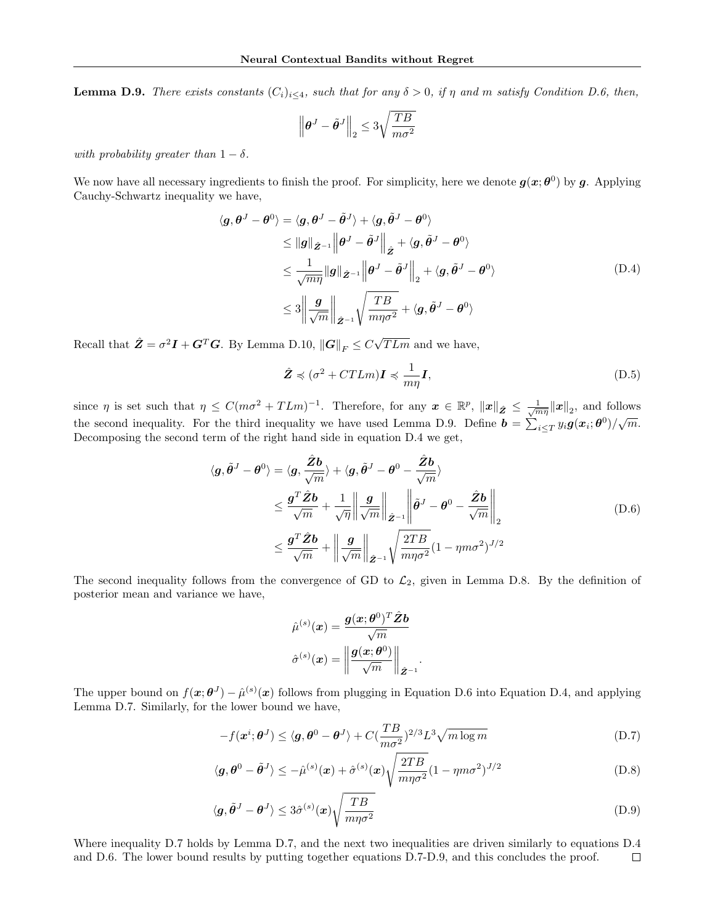**Lemma D.9.** There exists constants  $(C_i)_{i\leq 4}$ , such that for any  $\delta > 0$ , if  $\eta$  and  $m$  satisfy Condition D.6, then,

$$
\left\|\boldsymbol{\theta}^{J}-\tilde{\boldsymbol{\theta}}^{J}\right\|_{2} \leq 3\sqrt{\frac{TB}{m\sigma^2}}
$$

with probability greater than  $1 - \delta$ .

We now have all necessary ingredients to finish the proof. For simplicity, here we denote  $g(x; \theta^0)$  by g. Applying Cauchy-Schwartz inequality we have,

$$
\langle g, \theta^{J} - \theta^{0} \rangle = \langle g, \theta^{J} - \tilde{\theta}^{J} \rangle + \langle g, \tilde{\theta}^{J} - \theta^{0} \rangle
$$
  
\n
$$
\leq ||g||_{\tilde{Z}^{-1}} ||\theta^{J} - \tilde{\theta}^{J}||_{\tilde{Z}} + \langle g, \tilde{\theta}^{J} - \theta^{0} \rangle
$$
  
\n
$$
\leq \frac{1}{\sqrt{m\eta}} ||g||_{\tilde{Z}^{-1}} ||\theta^{J} - \tilde{\theta}^{J}||_{2} + \langle g, \tilde{\theta}^{J} - \theta^{0} \rangle
$$
  
\n
$$
\leq 3 ||\frac{g}{\sqrt{m}}||_{\tilde{Z}^{-1}} \sqrt{\frac{TB}{m\eta\sigma^{2}}} + \langle g, \tilde{\theta}^{J} - \theta^{0} \rangle
$$
 (D.4)

Recall that  $\hat{\mathbf{Z}} = \sigma^2 \mathbf{I} + \mathbf{G}^T \mathbf{G}$ . By Lemma D.10,  $\|\mathbf{G}\|_F \le C \sqrt{\sigma^2 + \sigma^2}$  $TLm$  and we have,

$$
\hat{\mathbf{Z}} \preccurlyeq (\sigma^2 + CTLm)\mathbf{I} \preccurlyeq \frac{1}{m\eta}\mathbf{I},\tag{D.5}
$$

since  $\eta$  is set such that  $\eta \leq C(m\sigma^2 + T L m)^{-1}$ . Therefore, for any  $\mathbf{x} \in \mathbb{R}^p$ ,  $\|\mathbf{x}\|_{2} \leq \frac{1}{\sqrt{m\eta}} \|\mathbf{x}\|_{2}$ , and follows the second inequality. For the third inequality we have used Lemma D.9. Define  $\mathbf{b} = \sum_{i \leq T} y_i \mathbf{g}(\mathbf{x}_i; \boldsymbol{\theta}^0)/\sqrt{m}$ . Decomposing the second term of the right hand side in equation D.4 we get,

$$
\langle g, \tilde{\theta}^{J} - \theta^{0} \rangle = \langle g, \frac{\hat{Z}b}{\sqrt{m}} \rangle + \langle g, \tilde{\theta}^{J} - \theta^{0} - \frac{\hat{Z}b}{\sqrt{m}} \rangle
$$
  

$$
\leq \frac{g^{T} \hat{Z}b}{\sqrt{m}} + \frac{1}{\sqrt{\eta}} \left\| \frac{g}{\sqrt{m}} \right\|_{\hat{Z}^{-1}} \left\| \tilde{\theta}^{J} - \theta^{0} - \frac{\hat{Z}b}{\sqrt{m}} \right\|_{2}
$$
  

$$
\leq \frac{g^{T} \hat{Z}b}{\sqrt{m}} + \left\| \frac{g}{\sqrt{m}} \right\|_{\hat{Z}^{-1}} \sqrt{\frac{2TB}{m\eta\sigma^{2}}} (1 - \eta m\sigma^{2})^{J/2}
$$
 (D.6)

The second inequality follows from the convergence of GD to  $\mathcal{L}_2$ , given in Lemma D.8. By the definition of posterior mean and variance we have,

$$
\hat{\mu}^{(s)}(\boldsymbol{x}) = \frac{\boldsymbol{g}(\boldsymbol{x};\boldsymbol{\theta}^0)^T\hat{\boldsymbol{Z}}\boldsymbol{b}}{\sqrt{m}}\\ \hat{\sigma}^{(s)}(\boldsymbol{x}) = \left\|\frac{\boldsymbol{g}(\boldsymbol{x};\boldsymbol{\theta}^0)}{\sqrt{m}}\right\|_{\hat{\boldsymbol{Z}}^{-1}}.
$$

The upper bound on  $f(x;\theta^J) - \hat{\mu}^{(s)}(x)$  follows from plugging in Equation D.6 into Equation D.4, and applying Lemma D.7. Similarly, for the lower bound we have,

$$
-f(\boldsymbol{x}^{i};\boldsymbol{\theta}^{J}) \leq \langle \boldsymbol{g}, \boldsymbol{\theta}^{0} - \boldsymbol{\theta}^{J} \rangle + C(\frac{TB}{m\sigma^2})^{2/3} L^3 \sqrt{m \log m}
$$
(D.7)

$$
\langle \mathbf{g}, \boldsymbol{\theta}^0 - \tilde{\boldsymbol{\theta}}^J \rangle \le -\hat{\mu}^{(s)}(\mathbf{x}) + \hat{\sigma}^{(s)}(\mathbf{x}) \sqrt{\frac{2TB}{m\eta \sigma^2}} (1 - \eta m \sigma^2)^{J/2}
$$
(D.8)

$$
\langle \mathbf{g}, \tilde{\boldsymbol{\theta}}^J - \boldsymbol{\theta}^J \rangle \le 3\hat{\sigma}^{(s)}(\mathbf{x}) \sqrt{\frac{TB}{m\eta \sigma^2}} \tag{D.9}
$$

Where inequality D.7 holds by Lemma D.7, and the next two inequalities are driven similarly to equations D.4 and D.6. The lower bound results by putting together equations D.7-D.9, and this concludes the proof. $\Box$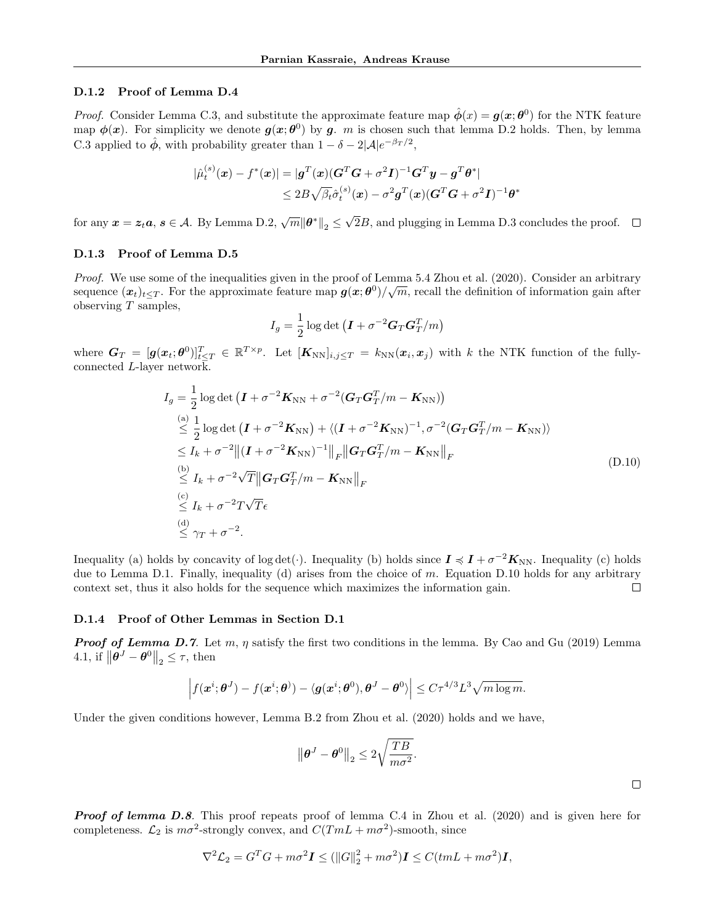#### D.1.2 Proof of Lemma D.4

*Proof.* Consider Lemma C.3, and substitute the approximate feature map  $\hat{\phi}(x) = g(x; \theta^0)$  for the NTK feature map  $\phi(x)$ . For simplicity we denote  $g(x;\theta^0)$  by g. m is chosen such that lemma D.2 holds. Then, by lemma C.3 applied to  $\hat{\phi}$ , with probability greater than  $1 - \delta - 2|\mathcal{A}|e^{-\beta_T/2}$ ,

$$
|\hat{\mu}_t^{(s)}(\boldsymbol{x}) - f^*(\boldsymbol{x})| = |\boldsymbol{g}^T(\boldsymbol{x}) (\boldsymbol{G}^T \boldsymbol{G} + \sigma^2 \boldsymbol{I})^{-1} \boldsymbol{G}^T \boldsymbol{y} - \boldsymbol{g}^T \boldsymbol{\theta}^*|
$$
  

$$
\leq 2B \sqrt{\beta_t} \hat{\sigma}_t^{(s)}(\boldsymbol{x}) - \sigma^2 \boldsymbol{g}^T(\boldsymbol{x}) (\boldsymbol{G}^T \boldsymbol{G} + \sigma^2 \boldsymbol{I})^{-1} \boldsymbol{\theta}^*
$$

for any  $x = z_t a$ ,  $s \in \mathcal{A}$ . By Lemma D.2,  $\sqrt{m} {\|\theta^*\|}_2 \le \sqrt{m}$ 2B, and plugging in Lemma D.3 concludes the proof.

#### D.1.3 Proof of Lemma D.5

*Proof.* We use some of the inequalities given in the proof of Lemma 5.4 Zhou et al. (2020). Consider an arbitrary sequence  $(x_t)_{t\leq T}$ . For the approximate feature map  $g(x;\theta^0)/\sqrt{m}$ , recall the definition of information gain after observing  $T$  samples,

$$
I_g = \frac{1}{2}\log \det \left( \boldsymbol{I} + \sigma^{-2}\boldsymbol{G}_T\boldsymbol{G}_T^T/m \right)
$$

where  $G_T = [g(x_t; \theta^0)]_{t \leq T}^T \in \mathbb{R}^{T \times p}$ . Let  $[K_{NN}]_{i,j \leq T} = k_{NN}(x_i, x_j)$  with k the NTK function of the fullyconnected L-layer network.

$$
I_g = \frac{1}{2} \log \det \left( \mathbf{I} + \sigma^{-2} \mathbf{K}_{\text{NN}} + \sigma^{-2} (\mathbf{G}_T \mathbf{G}_T^T / m - \mathbf{K}_{\text{NN}}) \right)
$$
  
\n
$$
\stackrel{(a)}{\leq} \frac{1}{2} \log \det \left( \mathbf{I} + \sigma^{-2} \mathbf{K}_{\text{NN}} \right) + \langle (\mathbf{I} + \sigma^{-2} \mathbf{K}_{\text{NN}})^{-1}, \sigma^{-2} (\mathbf{G}_T \mathbf{G}_T^T / m - \mathbf{K}_{\text{NN}}) \rangle
$$
  
\n
$$
\leq I_k + \sigma^{-2} || (\mathbf{I} + \sigma^{-2} \mathbf{K}_{\text{NN}})^{-1} ||_F || \mathbf{G}_T \mathbf{G}_T^T / m - \mathbf{K}_{\text{NN}} ||_F
$$
  
\n
$$
\stackrel{(b)}{\leq} I_k + \sigma^{-2} \sqrt{T} || \mathbf{G}_T \mathbf{G}_T^T / m - \mathbf{K}_{\text{NN}} ||_F
$$
  
\n
$$
\stackrel{(c)}{\leq} I_k + \sigma^{-2} T \sqrt{T} \epsilon
$$
  
\n
$$
\stackrel{(d)}{\leq} \gamma_T + \sigma^{-2}.
$$
 (4)

Inequality (a) holds by concavity of log det(·). Inequality (b) holds since  $I \preccurlyeq I + \sigma^{-2}K_{NN}$ . Inequality (c) holds due to Lemma D.1. Finally, inequality (d) arises from the choice of  $m$ . Equation D.10 holds for any arbitrary context set, thus it also holds for the sequence which maximizes the information gain.  $\Box$ 

#### D.1.4 Proof of Other Lemmas in Section D.1

**Proof of Lemma D.7.** Let  $m, \eta$  satisfy the first two conditions in the lemma. By Cao and Gu (2019) Lemma 4.1, if  $\|\boldsymbol{\theta}^J - \boldsymbol{\theta}^0\|_2 \leq \tau$ , then

$$
\left|f(\boldsymbol{x}^{i};\boldsymbol{\theta}^{J})-f(\boldsymbol{x}^{i};\boldsymbol{\theta}^{j})-\langle\boldsymbol{g}(\boldsymbol{x}^{i};\boldsymbol{\theta}^{0}),\boldsymbol{\theta}^{J}-\boldsymbol{\theta}^{0}\rangle\right|\leq C\tau^{4/3}L^{3}\sqrt{m\log m}.
$$

Under the given conditions however, Lemma B.2 from Zhou et al. (2020) holds and we have,

$$
\left\|\boldsymbol{\theta}^{J}-\boldsymbol{\theta}^{0}\right\|_{2} \leq 2\sqrt{\frac{TB}{m\sigma^2}}.
$$

**Proof of lemma D.8.** This proof repeats proof of lemma C.4 in Zhou et al. (2020) and is given here for completeness.  $\mathcal{L}_2$  is  $m\sigma^2$ -strongly convex, and  $C(TML + m\sigma^2)$ -smooth, since

$$
\nabla^2 \mathcal{L}_2 = G^T G + m\sigma^2 \mathbf{I} \le (\|G\|_2^2 + m\sigma^2) \mathbf{I} \le C(tmL + m\sigma^2) \mathbf{I},
$$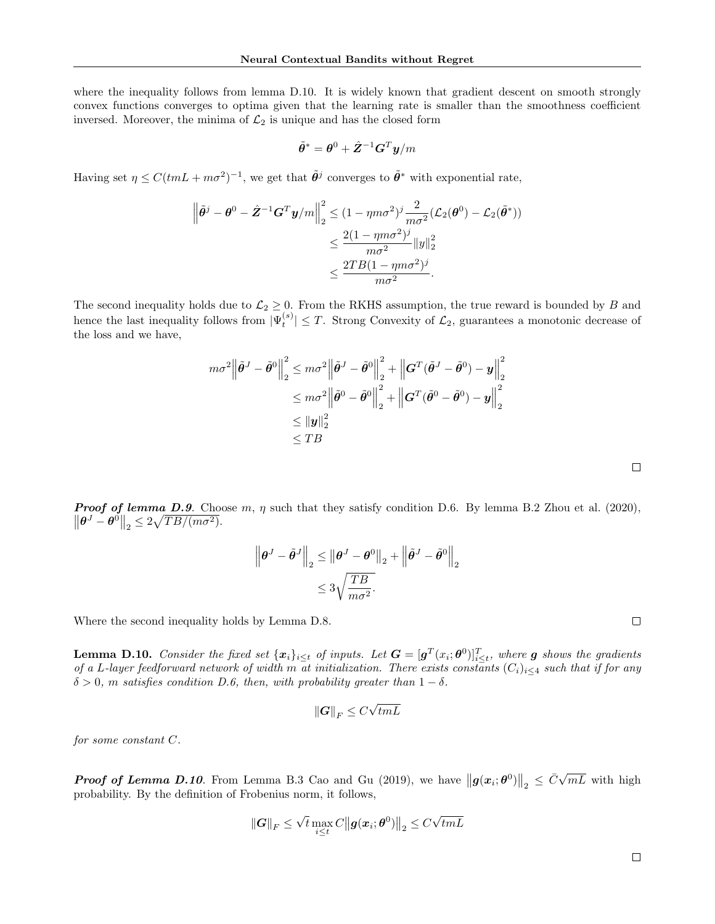where the inequality follows from lemma D.10. It is widely known that gradient descent on smooth strongly convex functions converges to optima given that the learning rate is smaller than the smoothness coefficient inversed. Moreover, the minima of  $\mathcal{L}_2$  is unique and has the closed form

$$
\tilde{\bm{\theta}}^* = \bm{\theta}^0 + \hat{\bm{Z}}^{-1}\bm{G}^T\bm{y}/m
$$

Having set  $\eta \leq C (tmL + m\sigma^2)^{-1}$ , we get that  $\tilde{\theta}^j$  converges to  $\tilde{\theta}^*$  with exponential rate,

$$
\left\|\tilde{\theta}^{j} - \theta^{0} - \hat{Z}^{-1}G^{T}\mathbf{y}/m\right\|_{2}^{2} \leq (1 - \eta m\sigma^{2})^{j} \frac{2}{m\sigma^{2}} (\mathcal{L}_{2}(\theta^{0}) - \mathcal{L}_{2}(\tilde{\theta}^{*}))
$$

$$
\leq \frac{2(1 - \eta m\sigma^{2})^{j}}{m\sigma^{2}} \|y\|_{2}^{2}
$$

$$
\leq \frac{2TB(1 - \eta m\sigma^{2})^{j}}{m\sigma^{2}}.
$$

The second inequality holds due to  $\mathcal{L}_2 \geq 0$ . From the RKHS assumption, the true reward is bounded by B and hence the last inequality follows from  $|\Psi_t^{(s)}| \leq T$ . Strong Convexity of  $\mathcal{L}_2$ , guarantees a monotonic decrease of the loss and we have,

$$
m\sigma^2 \left\| \tilde{\boldsymbol{\theta}}^J - \tilde{\boldsymbol{\theta}}^0 \right\|_2^2 \le m\sigma^2 \left\| \tilde{\boldsymbol{\theta}}^J - \tilde{\boldsymbol{\theta}}^0 \right\|_2^2 + \left\| \boldsymbol{G}^T (\tilde{\boldsymbol{\theta}}^J - \tilde{\boldsymbol{\theta}}^0) - \boldsymbol{y} \right\|_2^2
$$
  

$$
\le m\sigma^2 \left\| \tilde{\boldsymbol{\theta}}^0 - \tilde{\boldsymbol{\theta}}^0 \right\|_2^2 + \left\| \boldsymbol{G}^T (\tilde{\boldsymbol{\theta}}^0 - \tilde{\boldsymbol{\theta}}^0) - \boldsymbol{y} \right\|_2^2
$$
  

$$
\le \left\| \boldsymbol{y} \right\|_2^2
$$
  

$$
\le TB
$$

**Proof of lemma D.9.** Choose m,  $\eta$  such that they satisfy condition D.6. By lemma B.2 Zhou et al. (2020),  $\left\|\boldsymbol{\theta}^{J}-\boldsymbol{\theta}^{0}\right\|_{2} \leq 2\sqrt{TB/(m\sigma^{2})}.$ 

$$
\left\|\boldsymbol{\theta}^{J}-\tilde{\boldsymbol{\theta}}^{J}\right\|_{2} \leq \left\|\boldsymbol{\theta}^{J}-\boldsymbol{\theta}^{0}\right\|_{2}+\left\|\tilde{\boldsymbol{\theta}}^{J}-\tilde{\boldsymbol{\theta}}^{0}\right\|_{2}
$$

$$
\leq 3\sqrt{\frac{TB}{m\sigma^{2}}}.
$$

Where the second inequality holds by Lemma D.8.

**Lemma D.10.** Consider the fixed set  $\{x_i\}_{i\leq t}$  of inputs. Let  $G = [g^T(x_i;\theta^0)]_{i\leq t}^T$ , where  $g$  shows the gradients of a L-layer feedforward network of width m at initialization. There exists constants  $(C_i)_{i\leq 4}$  such that if for any  $\delta > 0$ , m satisfies condition D.6, then, with probability greater than  $1 - \delta$ .

$$
\left\|\bm{G}\right\|_F \leq C \sqrt{tmL}
$$

for some constant C.

**Proof of Lemma D.10.** From Lemma B.3 Cao and Gu (2019), we have  $||g(x_i;\theta^0)||_2 \leq \bar{C}\sqrt{2\pi}$  $mL$  with high probability. By the definition of Frobenius norm, it follows,

$$
\left\|\bm{G}\right\|_F \leq \sqrt{t} \max_{i \leq t} C \left\|\bm{g}(\bm{x}_i;\bm{\theta}^0)\right\|_2 \leq C \sqrt{tmL}
$$

 $\Box$ 

$$
\Box
$$

 $\Box$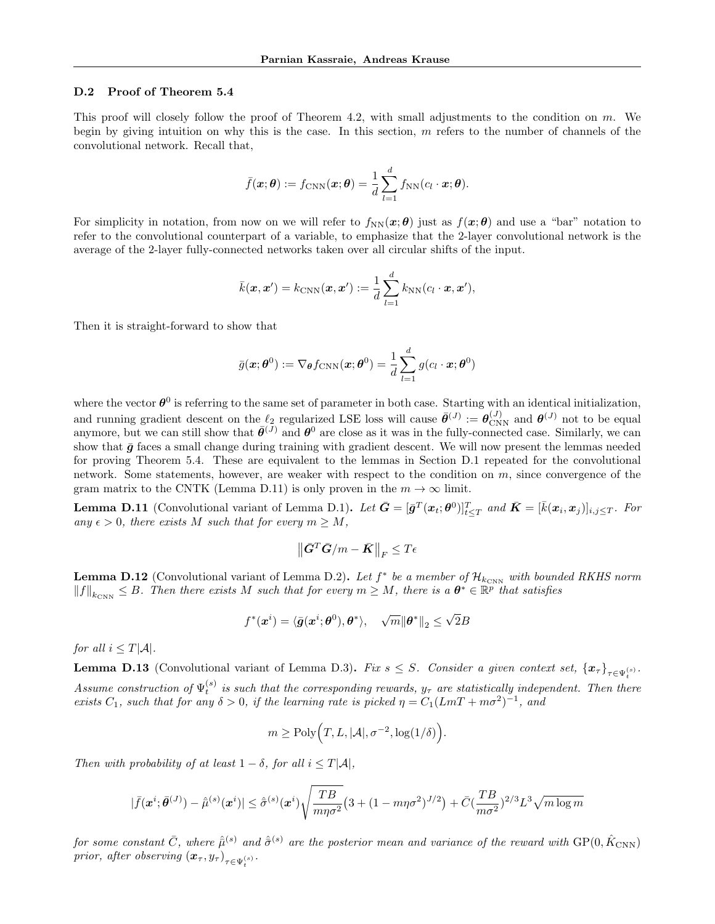#### D.2 Proof of Theorem 5.4

This proof will closely follow the proof of Theorem 4.2, with small adjustments to the condition on  $m$ . We begin by giving intuition on why this is the case. In this section,  $m$  refers to the number of channels of the convolutional network. Recall that,

$$
\bar{f}(\boldsymbol{x}; \boldsymbol{\theta}) := f_{\text{CNN}}(\boldsymbol{x}; \boldsymbol{\theta}) = \frac{1}{d} \sum_{l=1}^d f_{\text{NN}}(c_l \cdot \boldsymbol{x}; \boldsymbol{\theta}).
$$

For simplicity in notation, from now on we will refer to  $f_{NN}(x;\theta)$  just as  $f(x;\theta)$  and use a "bar" notation to refer to the convolutional counterpart of a variable, to emphasize that the 2-layer convolutional network is the average of the 2-layer fully-connected networks taken over all circular shifts of the input.

$$
\bar{k}(\boldsymbol{x}, \boldsymbol{x}') = k_{\text{CNN}}(\boldsymbol{x}, \boldsymbol{x}') := \frac{1}{d} \sum_{l=1}^{d} k_{\text{NN}}(c_l \cdot \boldsymbol{x}, \boldsymbol{x}'),
$$

Then it is straight-forward to show that

$$
\bar{g}(\boldsymbol{x};\boldsymbol{\theta}^0):=\nabla_{\boldsymbol{\theta}}f_{\mathrm{CNN}}(\boldsymbol{x};\boldsymbol{\theta}^0)=\frac{1}{d}\sum_{l=1}^d g(c_l\cdot\boldsymbol{x};\boldsymbol{\theta}^0)
$$

where the vector  $\theta^0$  is referring to the same set of parameter in both case. Starting with an identical initialization, and running gradient descent on the  $\ell_2$  regularized LSE loss will cause  $\bar{\theta}^{(J)} := \theta_{\text{CNN}}^{(J)}$  and  $\theta^{(J)}$  not to be equal anymore, but we can still show that  $\bar{\theta}^{(J)}$  and  $\theta^0$  are close as it was in the fully-connected case. Similarly, we can show that  $\bar{q}$  faces a small change during training with gradient descent. We will now present the lemmas needed for proving Theorem 5.4. These are equivalent to the lemmas in Section D.1 repeated for the convolutional network. Some statements, however, are weaker with respect to the condition on  $m$ , since convergence of the gram matrix to the CNTK (Lemma D.11) is only proven in the  $m \to \infty$  limit.

**Lemma D.11** (Convolutional variant of Lemma D.1). Let  $\bar{G} = [\bar{g}^T(x_t; \theta^0)]_{t \leq T}^T$  and  $\bar{K} = [\bar{k}(x_i, x_j)]_{i,j \leq T}$ . For any  $\epsilon > 0$ , there exists M such that for every  $m \geq M$ ,

$$
\left\|\bar{\bm{G}}^T\bar{\bm{G}}/m-\bar{\bm{K}}\right\|_F\leq T\epsilon
$$

**Lemma D.12** (Convolutional variant of Lemma D.2). Let  $f^*$  be a member of  $\mathcal{H}_{k_{\text{CNN}}}$  with bounded RKHS norm  $||f||_{k_{\text{CNN}}} \leq B$ . Then there exists M such that for every  $m \geq M$ , there is a  $\theta^* \in \mathbb{R}^p$  that satisfies

$$
f^*(\boldsymbol{x}^i) = \langle \bar{\boldsymbol{g}}(\boldsymbol{x}^i; \boldsymbol{\theta}^0), \boldsymbol{\theta}^* \rangle, \quad \sqrt{m} {\| \boldsymbol{\theta}^* \|}_2 \leq \sqrt{2}B
$$

for all  $i \leq T|\mathcal{A}|$ .

**Lemma D.13** (Convolutional variant of Lemma D.3). Fix  $s \leq S$ . Consider a given context set,  $\{x_\tau\}_{\tau \in \Psi_t^{(s)}}$ . Assume construction of  $\Psi_t^{(s)}$  is such that the corresponding rewards,  $y_\tau$  are statistically independent. Then there exists  $C_1$ , such that for any  $\delta > 0$ , if the learning rate is picked  $\eta = C_1 (LmT + m\sigma^2)^{-1}$ , and

$$
m \ge \text{Poly}\Big(T, L, |\mathcal{A}|, \sigma^{-2}, \log(1/\delta)\Big).
$$

Then with probability of at least  $1 - \delta$ , for all  $i \leq T|\mathcal{A}|$ ,

$$
|\bar{f}(\bm{x}^{i}; \bar{\bm{\theta}}^{(J)}) - \hat{\bar{\mu}}^{(s)}(\bm{x}^{i})| \leq \hat{\bar{\sigma}}^{(s)}(\bm{x}^{i})\sqrt{\frac{TB}{m\eta\sigma^{2}}}\big(3 + (1-m\eta\sigma^{2})^{J/2}\big) + \bar{C}(\frac{TB}{m\sigma^{2}})^{2/3}L^{3}\sqrt{m\log m}
$$

for some constant  $\bar C$ , where  $\hat{\bar\mu}^{(s)}$  and  $\hat{\bar\sigma}^{(s)}$  are the posterior mean and variance of the reward with  $\text{GP}(0,\hat{K}_{\text{CNN}})$ prior, after observing  $\left(\boldsymbol{x}_{\tau}, y_{\tau}\right)_{\tau \in \Psi_{t}^{\left(s\right)}}$ .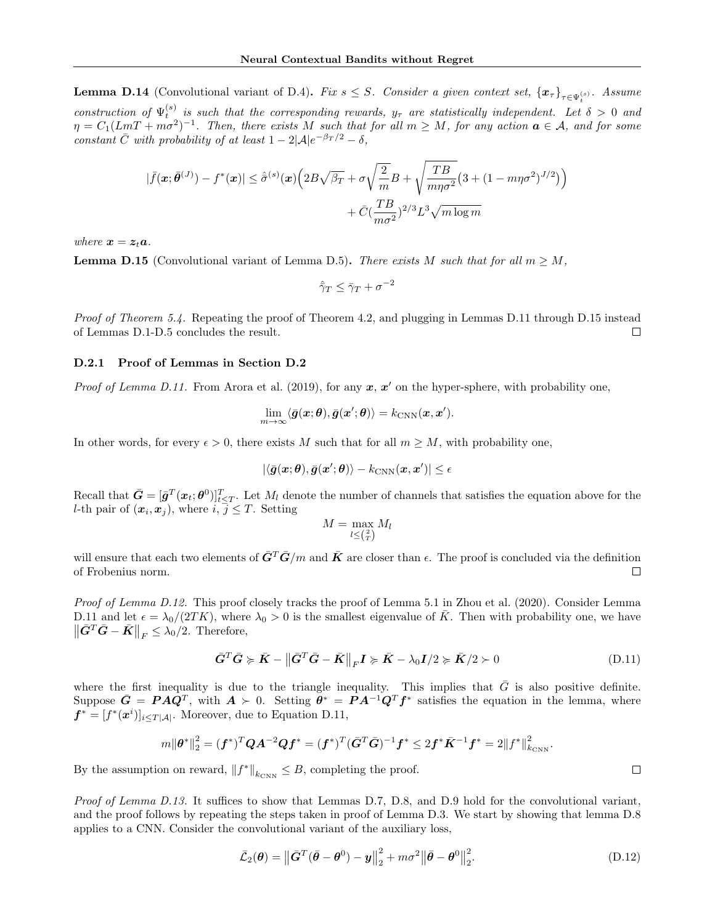**Lemma D.14** (Convolutional variant of D.4). Fix  $s \leq S$ . Consider a given context set,  $\{x_\tau\}_{\tau \in \Psi_t^{(s)}}$ . Assume construction of  $\Psi_t^{(s)}$  is such that the corresponding rewards,  $y_\tau$  are statistically independent. Let  $\delta > 0$  and  $\eta = C_1 (LmT + m\sigma^2)^{-1}$ . Then, there exists M such that for all  $m \geq M$ , for any action  $a \in \mathcal{A}$ , and for some constant  $\overline{C}$  with probability of at least  $1 - 2|\mathcal{A}|e^{-\beta_T/2} - \delta$ ,

$$
|\bar{f}(\boldsymbol{x};\bar{\boldsymbol{\theta}}^{(J)}) - f^*(\boldsymbol{x})| \leq \hat{\sigma}^{(s)}(\boldsymbol{x}) \Big( 2B\sqrt{\beta_T} + \sigma \sqrt{\frac{2}{m}} B + \sqrt{\frac{TB}{m\eta \sigma^2}} \big( 3 + (1 - m\eta \sigma^2)^{J/2} \big) \Big) + \bar{C} (\frac{TB}{m\sigma^2})^{2/3} L^3 \sqrt{m \log m}
$$

where  $x = z_t a$ .

**Lemma D.15** (Convolutional variant of Lemma D.5). There exists M such that for all  $m \geq M$ ,

 $\hat{\gamma}_T \leq \bar{\gamma}_T + \sigma^{-2}$ 

Proof of Theorem 5.4. Repeating the proof of Theorem 4.2, and plugging in Lemmas D.11 through D.15 instead of Lemmas D.1-D.5 concludes the result. П

#### D.2.1 Proof of Lemmas in Section D.2

*Proof of Lemma D.11.* From Arora et al. (2019), for any  $x, x'$  on the hyper-sphere, with probability one,

$$
\lim_{m\to\infty}\langle\bar{\bm{g}}(\bm{x};\bm{\theta}),\bar{\bm{g}}(\bm{x}';\bm{\theta})\rangle=k_{\text{CNN}}(\bm{x},\bm{x}').
$$

In other words, for every  $\epsilon > 0$ , there exists M such that for all  $m \geq M$ , with probability one,

$$
|\langle \bar{\bm{g}}(\bm{x};\bm{\theta}),\bar{\bm{g}}(\bm{x}';\bm{\theta})\rangle-k_{\text{CNN}}(\bm{x},\bm{x}')| \leq \epsilon
$$

Recall that  $\bar{G} = [\bar{g}^T(x_t; \theta^0)]_{t \leq T}^T$ . Let  $M_l$  denote the number of channels that satisfies the equation above for the *l*-th pair of  $(x_i, x_j)$ , where  $i, \overline{j} \leq T$ . Setting

$$
M = \max_{l \leq \binom{2}{T}} M_l
$$

will ensure that each two elements of  $\bar{G}^T \bar{G}/m$  and  $\bar{K}$  are closer than  $\epsilon$ . The proof is concluded via the definition of Frobenius norm.  $\Box$ 

Proof of Lemma D.12. This proof closely tracks the proof of Lemma 5.1 in Zhou et al. (2020). Consider Lemma D.11 and let  $\epsilon = \lambda_0/(2TK)$ , where  $\lambda_0 > 0$  is the smallest eigenvalue of  $\overline{K}$ . Then with probability one, we have  $\left\|\bar{G}^T\bar{G}-\bar{K}\right\|_F\leq \lambda_0/2$ . Therefore,

$$
\bar{G}^T \bar{G} \succcurlyeq \bar{K} - \left\| \bar{G}^T \bar{G} - \bar{K} \right\|_F I \succcurlyeq \bar{K} - \lambda_0 I/2 \succcurlyeq \bar{K}/2 \succ 0 \tag{D.11}
$$

where the first inequality is due to the triangle inequality. This implies that  $\bar{G}$  is also positive definite. Suppose  $\bar{G} = P A \hat{Q}^T$ , with  $A \succ 0$ . Setting  $\tilde{\theta}^* = P A^{-1} Q^T f^*$  satisfies the equation in the lemma, where  $f^* = [f^*(\boldsymbol{x}^i)]_{i \le T|\mathcal{A}|}$ . Moreover, due to Equation D.11,

$$
m\|\boldsymbol{\theta}^*\|_2^2 = (\boldsymbol{f}^*)^T\boldsymbol{Q}\boldsymbol{A}^{-2}\boldsymbol{Q}\boldsymbol{f}^* = (\boldsymbol{f}^*)^T(\bar{\boldsymbol{G}}^T\bar{\boldsymbol{G}})^{-1}\boldsymbol{f}^* \leq 2\boldsymbol{f}^*\bar{\boldsymbol{K}}^{-1}\boldsymbol{f}^* = 2\|f^*\|_{k_{\text{CNN}}}^2.
$$

By the assumption on reward,  $||f^*||_{k_{\text{CNN}}} \leq B$ , completing the proof.

Proof of Lemma D.13. It suffices to show that Lemmas D.7, D.8, and D.9 hold for the convolutional variant, and the proof follows by repeating the steps taken in proof of Lemma D.3. We start by showing that lemma D.8 applies to a CNN. Consider the convolutional variant of the auxiliary loss,

$$
\bar{\mathcal{L}}_2(\boldsymbol{\theta}) = \left\| \bar{\mathbf{G}}^T (\bar{\boldsymbol{\theta}} - \boldsymbol{\theta}^0) - \boldsymbol{y} \right\|_2^2 + m\sigma^2 \left\| \bar{\boldsymbol{\theta}} - \boldsymbol{\theta}^0 \right\|_2^2.
$$
 (D.12)

 $\Box$